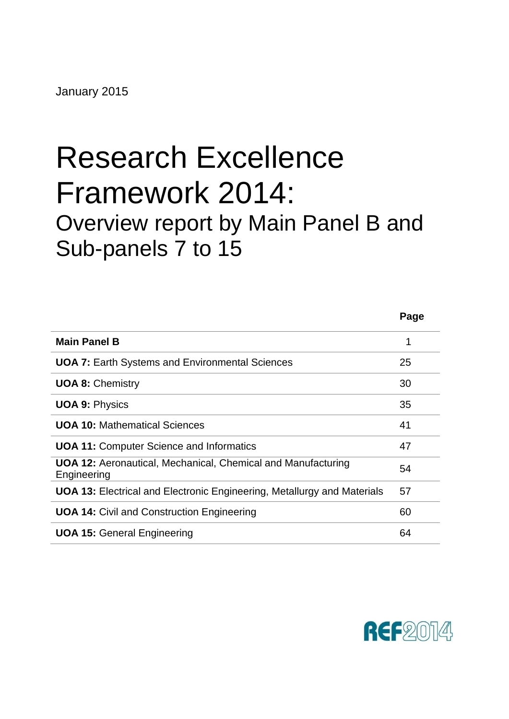# Research Excellence Framework 2014: Overview report by Main Panel B and Sub-panels 7 to 15

|                                                                                    | Page |
|------------------------------------------------------------------------------------|------|
| <b>Main Panel B</b>                                                                | 1    |
| <b>UOA 7: Earth Systems and Environmental Sciences</b>                             | 25   |
| <b>UOA 8: Chemistry</b>                                                            | 30   |
| <b>UOA 9: Physics</b>                                                              | 35   |
| <b>UOA 10: Mathematical Sciences</b>                                               | 41   |
| <b>UOA 11: Computer Science and Informatics</b>                                    | 47   |
| <b>UOA 12:</b> Aeronautical, Mechanical, Chemical and Manufacturing<br>Engineering | 54   |
| <b>UOA 13:</b> Electrical and Electronic Engineering, Metallurgy and Materials     | 57   |
| <b>UOA 14: Civil and Construction Engineering</b>                                  | 60   |
| <b>UOA 15: General Engineering</b>                                                 | 64   |

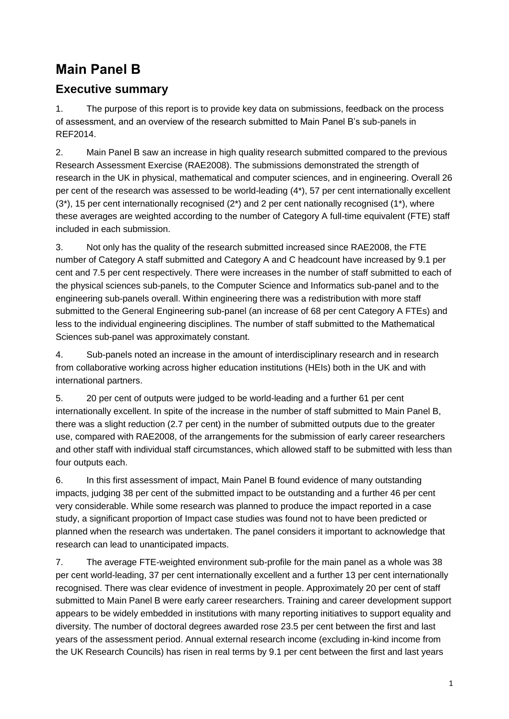# <span id="page-1-0"></span>**Main Panel B**

### **Executive summary**

1. The purpose of this report is to provide key data on submissions, feedback on the process of assessment, and an overview of the research submitted to Main Panel B's sub-panels in REF2014.

2. Main Panel B saw an increase in high quality research submitted compared to the previous Research Assessment Exercise (RAE2008). The submissions demonstrated the strength of research in the UK in physical, mathematical and computer sciences, and in engineering. Overall 26 per cent of the research was assessed to be world-leading (4\*), 57 per cent internationally excellent  $(3<sup>*</sup>)$ , 15 per cent internationally recognised  $(2<sup>*</sup>)$  and 2 per cent nationally recognised  $(1<sup>*</sup>)$ , where these averages are weighted according to the number of Category A full-time equivalent (FTE) staff included in each submission.

3. Not only has the quality of the research submitted increased since RAE2008, the FTE number of Category A staff submitted and Category A and C headcount have increased by 9.1 per cent and 7.5 per cent respectively. There were increases in the number of staff submitted to each of the physical sciences sub-panels, to the Computer Science and Informatics sub-panel and to the engineering sub-panels overall. Within engineering there was a redistribution with more staff submitted to the General Engineering sub-panel (an increase of 68 per cent Category A FTEs) and less to the individual engineering disciplines. The number of staff submitted to the Mathematical Sciences sub-panel was approximately constant.

4. Sub-panels noted an increase in the amount of interdisciplinary research and in research from collaborative working across higher education institutions (HEIs) both in the UK and with international partners.

5. 20 per cent of outputs were judged to be world-leading and a further 61 per cent internationally excellent. In spite of the increase in the number of staff submitted to Main Panel B, there was a slight reduction (2.7 per cent) in the number of submitted outputs due to the greater use, compared with RAE2008, of the arrangements for the submission of early career researchers and other staff with individual staff circumstances, which allowed staff to be submitted with less than four outputs each.

6. In this first assessment of impact, Main Panel B found evidence of many outstanding impacts, judging 38 per cent of the submitted impact to be outstanding and a further 46 per cent very considerable. While some research was planned to produce the impact reported in a case study, a significant proportion of Impact case studies was found not to have been predicted or planned when the research was undertaken. The panel considers it important to acknowledge that research can lead to unanticipated impacts.

7. The average FTE-weighted environment sub-profile for the main panel as a whole was 38 per cent world-leading, 37 per cent internationally excellent and a further 13 per cent internationally recognised. There was clear evidence of investment in people. Approximately 20 per cent of staff submitted to Main Panel B were early career researchers. Training and career development support appears to be widely embedded in institutions with many reporting initiatives to support equality and diversity. The number of doctoral degrees awarded rose 23.5 per cent between the first and last years of the assessment period. Annual external research income (excluding in-kind income from the UK Research Councils) has risen in real terms by 9.1 per cent between the first and last years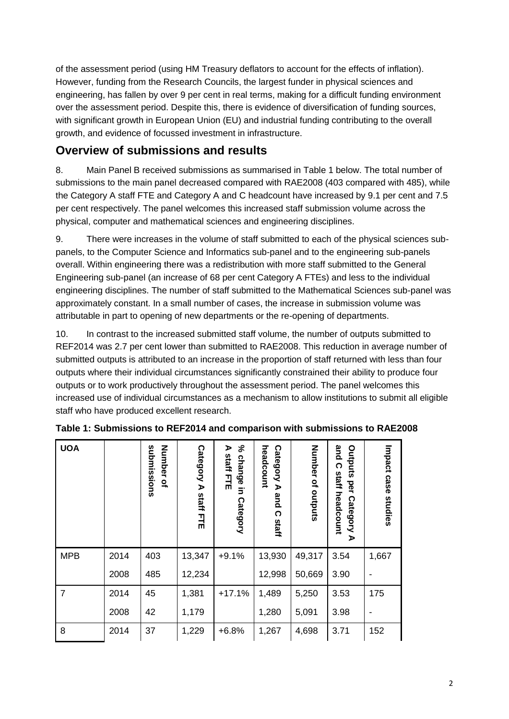of the assessment period (using HM Treasury deflators to account for the effects of inflation). However, funding from the Research Councils, the largest funder in physical sciences and engineering, has fallen by over 9 per cent in real terms, making for a difficult funding environment over the assessment period. Despite this, there is evidence of diversification of funding sources, with significant growth in European Union (EU) and industrial funding contributing to the overall growth, and evidence of focussed investment in infrastructure.

### **Overview of submissions and results**

8. Main Panel B received submissions as summarised in Table 1 below. The total number of submissions to the main panel decreased compared with RAE2008 (403 compared with 485), while the Category A staff FTE and Category A and C headcount have increased by 9.1 per cent and 7.5 per cent respectively. The panel welcomes this increased staff submission volume across the physical, computer and mathematical sciences and engineering disciplines.

9. There were increases in the volume of staff submitted to each of the physical sciences subpanels, to the Computer Science and Informatics sub-panel and to the engineering sub-panels overall. Within engineering there was a redistribution with more staff submitted to the General Engineering sub-panel (an increase of 68 per cent Category A FTEs) and less to the individual engineering disciplines. The number of staff submitted to the Mathematical Sciences sub-panel was approximately constant. In a small number of cases, the increase in submission volume was attributable in part to opening of new departments or the re-opening of departments.

10. In contrast to the increased submitted staff volume, the number of outputs submitted to REF2014 was 2.7 per cent lower than submitted to RAE2008. This reduction in average number of submitted outputs is attributed to an increase in the proportion of staff returned with less than four outputs where their individual circumstances significantly constrained their ability to produce four outputs or to work productively throughout the assessment period. The panel welcomes this increased use of individual circumstances as a mechanism to allow institutions to submit all eligible staff who have produced excellent research.

| <b>UOA</b>     |      | submissions<br><b>Number</b><br>$\tilde{a}$ | Category<br>D<br>staff<br>긮 | న్<br>⋗<br>staff<br>change<br>ĔĘ<br>$\overline{5}$<br>Category | headcount<br>Category<br>D<br>and<br>ဂ<br>staff | Number of<br>outputs | and<br>Outputs<br>$\Omega$<br>staff<br>per<br>headcount<br>Category<br>$\blacktriangleright$ | Impact case<br>studies |
|----------------|------|---------------------------------------------|-----------------------------|----------------------------------------------------------------|-------------------------------------------------|----------------------|----------------------------------------------------------------------------------------------|------------------------|
| <b>MPB</b>     | 2014 | 403                                         | 13,347                      | $+9.1%$                                                        | 13,930                                          | 49,317               | 3.54                                                                                         | 1,667                  |
|                | 2008 | 485                                         | 12,234                      |                                                                | 12,998                                          | 50,669               | 3.90                                                                                         |                        |
| $\overline{7}$ | 2014 | 45                                          | 1,381                       | $+17.1%$                                                       | 1,489                                           | 5,250                | 3.53                                                                                         | 175                    |
|                | 2008 | 42                                          | 1,179                       |                                                                | 1,280                                           | 5,091                | 3.98                                                                                         |                        |
| 8              | 2014 | 37                                          | 1,229                       | $+6.8%$                                                        | 1,267                                           | 4,698                | 3.71                                                                                         | 152                    |

**Table 1: Submissions to REF2014 and comparison with submissions to RAE2008**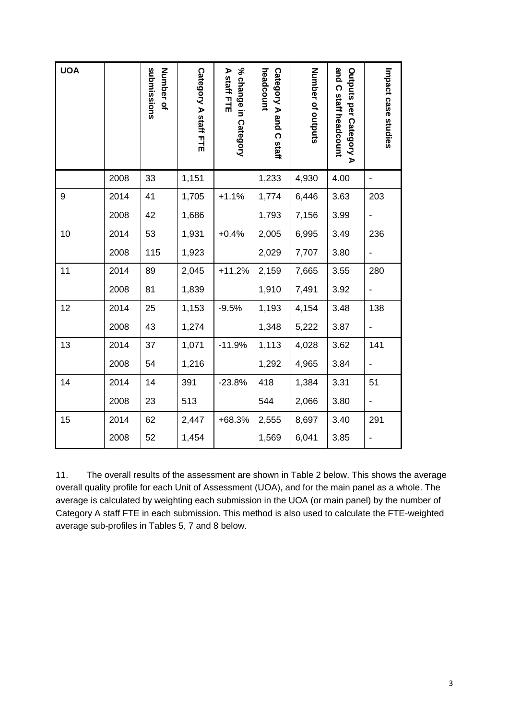| <b>UOA</b> |      | submissions<br>Number of | Category A staff FTE | % change in Category<br>A staff FTE | headcount<br>Category A and C staff | Number of outputs | and C staff headcount<br>Outputs per Category A | Impact case studies |
|------------|------|--------------------------|----------------------|-------------------------------------|-------------------------------------|-------------------|-------------------------------------------------|---------------------|
|            | 2008 | 33                       | 1,151                |                                     | 1,233                               | 4,930             | 4.00                                            |                     |
| 9          | 2014 | 41                       | 1,705                | $+1.1%$                             | 1,774                               | 6,446             | 3.63                                            | 203                 |
|            | 2008 | 42                       | 1,686                |                                     | 1,793                               | 7,156             | 3.99                                            |                     |
| 10         | 2014 | 53                       | 1,931                | $+0.4%$                             | 2,005                               | 6,995             | 3.49                                            | 236                 |
|            | 2008 | 115                      | 1,923                |                                     | 2,029                               | 7,707             | 3.80                                            |                     |
| 11         | 2014 | 89                       | 2,045                | $+11.2%$                            | 2,159                               | 7,665             | 3.55                                            | 280                 |
|            | 2008 | 81                       | 1,839                |                                     | 1,910                               | 7,491             | 3.92                                            |                     |
| 12         | 2014 | 25                       | 1,153                | $-9.5%$                             | 1,193                               | 4,154             | 3.48                                            | 138                 |
|            | 2008 | 43                       | 1,274                |                                     | 1,348                               | 5,222             | 3.87                                            |                     |
| 13         | 2014 | 37                       | 1,071                | $-11.9%$                            | 1,113                               | 4,028             | 3.62                                            | 141                 |
|            | 2008 | 54                       | 1,216                |                                     | 1,292                               | 4,965             | 3.84                                            |                     |
| 14         | 2014 | 14                       | 391                  | $-23.8%$                            | 418                                 | 1,384             | 3.31                                            | 51                  |
|            | 2008 | 23                       | 513                  |                                     | 544                                 | 2,066             | 3.80                                            |                     |
| 15         | 2014 | 62                       | 2,447                | +68.3%                              | 2,555                               | 8,697             | 3.40                                            | 291                 |
|            | 2008 | 52                       | 1,454                |                                     | 1,569                               | 6,041             | 3.85                                            |                     |

11. The overall results of the assessment are shown in Table 2 below. This shows the average overall quality profile for each Unit of Assessment (UOA), and for the main panel as a whole. The average is calculated by weighting each submission in the UOA (or main panel) by the number of Category A staff FTE in each submission. This method is also used to calculate the FTE-weighted average sub-profiles in Tables 5, 7 and 8 below.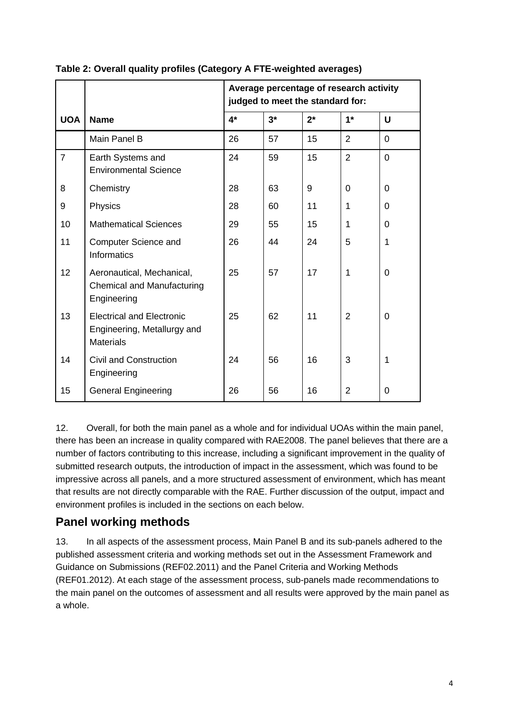|                |                                                                                     | Average percentage of research activity<br>judged to meet the standard for: |      |       |                |              |  |  |
|----------------|-------------------------------------------------------------------------------------|-----------------------------------------------------------------------------|------|-------|----------------|--------------|--|--|
| <b>UOA</b>     | <b>Name</b>                                                                         | $4*$                                                                        | $3*$ | $2^*$ | $1*$           | $\mathbf U$  |  |  |
|                | Main Panel B                                                                        | 26                                                                          | 57   | 15    | $\overline{2}$ | 0            |  |  |
| $\overline{7}$ | Earth Systems and<br><b>Environmental Science</b>                                   | 24                                                                          | 59   | 15    | $\overline{2}$ | 0            |  |  |
| 8              | Chemistry                                                                           | 28                                                                          | 63   | 9     | $\Omega$       | $\Omega$     |  |  |
| 9              | Physics                                                                             | 28                                                                          | 60   | 11    | 1              | $\Omega$     |  |  |
| 10             | <b>Mathematical Sciences</b>                                                        | 29                                                                          | 55   | 15    | 1              | $\Omega$     |  |  |
| 11             | Computer Science and<br><b>Informatics</b>                                          | 26                                                                          | 44   | 24    | 5              | $\mathbf{1}$ |  |  |
| 12             | Aeronautical, Mechanical,<br>Chemical and Manufacturing<br>Engineering              | 25                                                                          | 57   | 17    | 1              | 0            |  |  |
| 13             | <b>Electrical and Electronic</b><br>Engineering, Metallurgy and<br><b>Materials</b> | 25                                                                          | 62   | 11    | $\overline{2}$ | 0            |  |  |
| 14             | <b>Civil and Construction</b><br>Engineering                                        | 24                                                                          | 56   | 16    | 3              | $\mathbf 1$  |  |  |
| 15             | <b>General Engineering</b>                                                          | 26                                                                          | 56   | 16    | 2              | 0            |  |  |

#### **Table 2: Overall quality profiles (Category A FTE-weighted averages)**

12. Overall, for both the main panel as a whole and for individual UOAs within the main panel, there has been an increase in quality compared with RAE2008. The panel believes that there are a number of factors contributing to this increase, including a significant improvement in the quality of submitted research outputs, the introduction of impact in the assessment, which was found to be impressive across all panels, and a more structured assessment of environment, which has meant that results are not directly comparable with the RAE. Further discussion of the output, impact and environment profiles is included in the sections on each below.

### **Panel working methods**

13. In all aspects of the assessment process, Main Panel B and its sub-panels adhered to the published assessment criteria and working methods set out in the Assessment Framework and Guidance on Submissions (REF02.2011) and the Panel Criteria and Working Methods (REF01.2012). At each stage of the assessment process, sub-panels made recommendations to the main panel on the outcomes of assessment and all results were approved by the main panel as a whole.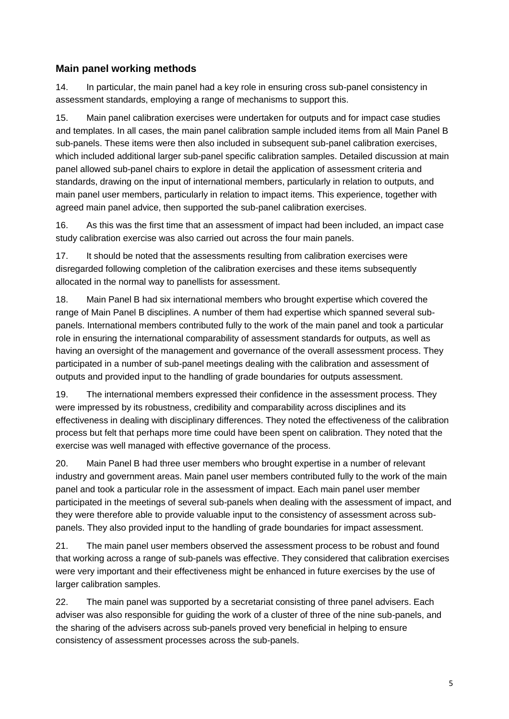#### **Main panel working methods**

14. In particular, the main panel had a key role in ensuring cross sub-panel consistency in assessment standards, employing a range of mechanisms to support this.

15. Main panel calibration exercises were undertaken for outputs and for impact case studies and templates. In all cases, the main panel calibration sample included items from all Main Panel B sub-panels. These items were then also included in subsequent sub-panel calibration exercises, which included additional larger sub-panel specific calibration samples. Detailed discussion at main panel allowed sub-panel chairs to explore in detail the application of assessment criteria and standards, drawing on the input of international members, particularly in relation to outputs, and main panel user members, particularly in relation to impact items. This experience, together with agreed main panel advice, then supported the sub-panel calibration exercises.

16. As this was the first time that an assessment of impact had been included, an impact case study calibration exercise was also carried out across the four main panels.

17. It should be noted that the assessments resulting from calibration exercises were disregarded following completion of the calibration exercises and these items subsequently allocated in the normal way to panellists for assessment.

18. Main Panel B had six international members who brought expertise which covered the range of Main Panel B disciplines. A number of them had expertise which spanned several subpanels. International members contributed fully to the work of the main panel and took a particular role in ensuring the international comparability of assessment standards for outputs, as well as having an oversight of the management and governance of the overall assessment process. They participated in a number of sub-panel meetings dealing with the calibration and assessment of outputs and provided input to the handling of grade boundaries for outputs assessment.

19. The international members expressed their confidence in the assessment process. They were impressed by its robustness, credibility and comparability across disciplines and its effectiveness in dealing with disciplinary differences. They noted the effectiveness of the calibration process but felt that perhaps more time could have been spent on calibration. They noted that the exercise was well managed with effective governance of the process.

20. Main Panel B had three user members who brought expertise in a number of relevant industry and government areas. Main panel user members contributed fully to the work of the main panel and took a particular role in the assessment of impact. Each main panel user member participated in the meetings of several sub-panels when dealing with the assessment of impact, and they were therefore able to provide valuable input to the consistency of assessment across subpanels. They also provided input to the handling of grade boundaries for impact assessment.

21. The main panel user members observed the assessment process to be robust and found that working across a range of sub-panels was effective. They considered that calibration exercises were very important and their effectiveness might be enhanced in future exercises by the use of larger calibration samples.

22. The main panel was supported by a secretariat consisting of three panel advisers. Each adviser was also responsible for guiding the work of a cluster of three of the nine sub-panels, and the sharing of the advisers across sub-panels proved very beneficial in helping to ensure consistency of assessment processes across the sub-panels.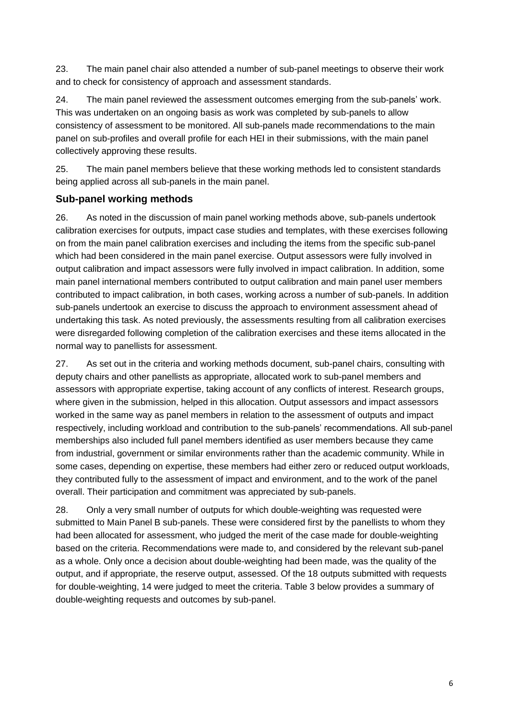23. The main panel chair also attended a number of sub-panel meetings to observe their work and to check for consistency of approach and assessment standards.

24. The main panel reviewed the assessment outcomes emerging from the sub-panels' work. This was undertaken on an ongoing basis as work was completed by sub-panels to allow consistency of assessment to be monitored. All sub-panels made recommendations to the main panel on sub-profiles and overall profile for each HEI in their submissions, with the main panel collectively approving these results.

25. The main panel members believe that these working methods led to consistent standards being applied across all sub-panels in the main panel.

#### **Sub-panel working methods**

26. As noted in the discussion of main panel working methods above, sub-panels undertook calibration exercises for outputs, impact case studies and templates, with these exercises following on from the main panel calibration exercises and including the items from the specific sub-panel which had been considered in the main panel exercise. Output assessors were fully involved in output calibration and impact assessors were fully involved in impact calibration. In addition, some main panel international members contributed to output calibration and main panel user members contributed to impact calibration, in both cases, working across a number of sub-panels. In addition sub-panels undertook an exercise to discuss the approach to environment assessment ahead of undertaking this task. As noted previously, the assessments resulting from all calibration exercises were disregarded following completion of the calibration exercises and these items allocated in the normal way to panellists for assessment.

27. As set out in the criteria and working methods document, sub-panel chairs, consulting with deputy chairs and other panellists as appropriate, allocated work to sub-panel members and assessors with appropriate expertise, taking account of any conflicts of interest. Research groups, where given in the submission, helped in this allocation. Output assessors and impact assessors worked in the same way as panel members in relation to the assessment of outputs and impact respectively, including workload and contribution to the sub-panels' recommendations. All sub-panel memberships also included full panel members identified as user members because they came from industrial, government or similar environments rather than the academic community. While in some cases, depending on expertise, these members had either zero or reduced output workloads, they contributed fully to the assessment of impact and environment, and to the work of the panel overall. Their participation and commitment was appreciated by sub-panels.

28. Only a very small number of outputs for which double-weighting was requested were submitted to Main Panel B sub-panels. These were considered first by the panellists to whom they had been allocated for assessment, who judged the merit of the case made for double-weighting based on the criteria. Recommendations were made to, and considered by the relevant sub-panel as a whole. Only once a decision about double-weighting had been made, was the quality of the output, and if appropriate, the reserve output, assessed. Of the 18 outputs submitted with requests for double-weighting, 14 were judged to meet the criteria. Table 3 below provides a summary of double-weighting requests and outcomes by sub-panel.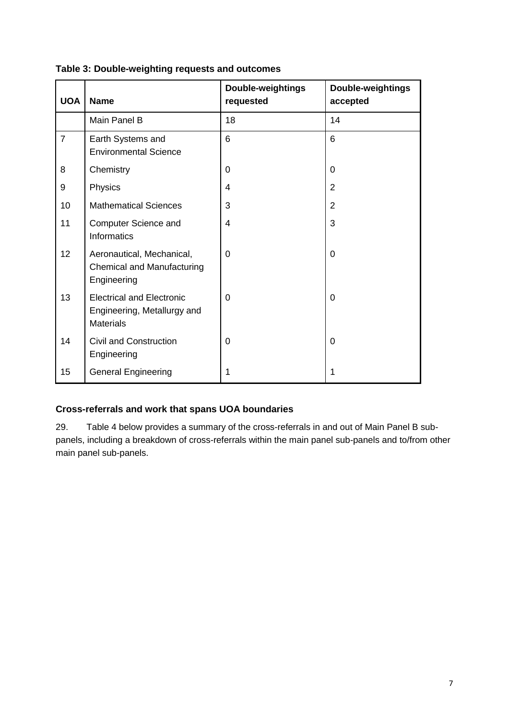| <b>UOA</b>     | <b>Name</b>                                                                         | Double-weightings<br>requested | Double-weightings<br>accepted |
|----------------|-------------------------------------------------------------------------------------|--------------------------------|-------------------------------|
|                | Main Panel B                                                                        | 18                             | 14                            |
| $\overline{7}$ | Earth Systems and<br><b>Environmental Science</b>                                   | 6                              | 6                             |
| 8              | Chemistry                                                                           | 0                              | 0                             |
| 9              | Physics                                                                             | $\overline{4}$                 | $\overline{2}$                |
| 10             | <b>Mathematical Sciences</b>                                                        | 3                              | $\overline{2}$                |
| 11             | Computer Science and<br>Informatics                                                 | $\overline{4}$                 | 3                             |
| 12             | Aeronautical, Mechanical,<br>Chemical and Manufacturing<br>Engineering              | $\Omega$                       | $\mathbf 0$                   |
| 13             | <b>Electrical and Electronic</b><br>Engineering, Metallurgy and<br><b>Materials</b> | 0                              | $\mathbf 0$                   |
| 14             | <b>Civil and Construction</b><br>Engineering                                        | 0                              | $\mathbf 0$                   |
| 15             | <b>General Engineering</b>                                                          | 1                              | 1                             |

#### **Table 3: Double-weighting requests and outcomes**

#### **Cross-referrals and work that spans UOA boundaries**

29. Table 4 below provides a summary of the cross-referrals in and out of Main Panel B subpanels, including a breakdown of cross-referrals within the main panel sub-panels and to/from other main panel sub-panels.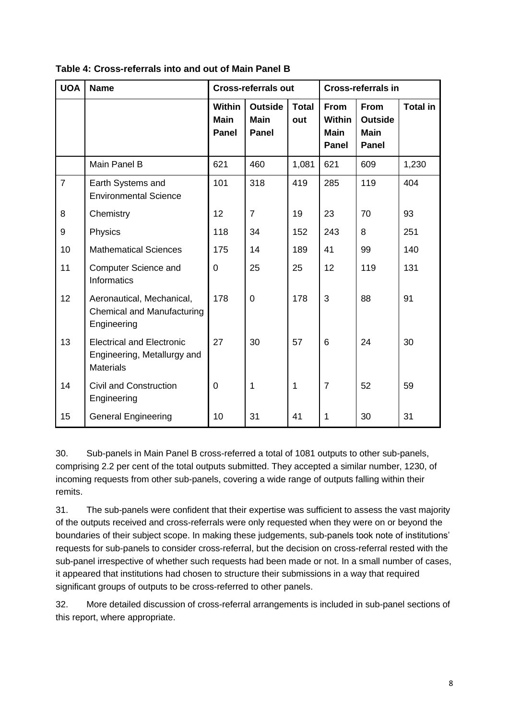| <b>UOA</b>     | <b>Name</b>                                                                         |                                              | <b>Cross-referrals out</b>                    |                     |                                                             | <b>Cross-referrals in</b>                                    |                 |  |  |
|----------------|-------------------------------------------------------------------------------------|----------------------------------------------|-----------------------------------------------|---------------------|-------------------------------------------------------------|--------------------------------------------------------------|-----------------|--|--|
|                |                                                                                     | <b>Within</b><br><b>Main</b><br><b>Panel</b> | <b>Outside</b><br><b>Main</b><br><b>Panel</b> | <b>Total</b><br>out | <b>From</b><br><b>Within</b><br><b>Main</b><br><b>Panel</b> | <b>From</b><br><b>Outside</b><br><b>Main</b><br><b>Panel</b> | <b>Total in</b> |  |  |
|                | Main Panel B                                                                        | 621                                          | 460                                           | 1,081               | 621                                                         | 609                                                          | 1,230           |  |  |
| $\overline{7}$ | Earth Systems and<br><b>Environmental Science</b>                                   | 101                                          | 318                                           | 419                 | 285                                                         | 119                                                          | 404             |  |  |
| 8              | Chemistry                                                                           | 12                                           | $\overline{7}$                                | 19                  | 23                                                          | 70                                                           | 93              |  |  |
| 9              | Physics                                                                             | 118                                          | 34                                            | 152                 | 243                                                         | 8                                                            | 251             |  |  |
| 10             | <b>Mathematical Sciences</b>                                                        | 175                                          | 14                                            | 189                 | 41                                                          | 99                                                           | 140             |  |  |
| 11             | <b>Computer Science and</b><br>Informatics                                          | 0                                            | 25                                            | 25                  | 12                                                          | 119                                                          | 131             |  |  |
| 12             | Aeronautical, Mechanical,<br><b>Chemical and Manufacturing</b><br>Engineering       | 178                                          | $\mathbf 0$                                   | 178                 | 3                                                           | 88                                                           | 91              |  |  |
| 13             | <b>Electrical and Electronic</b><br>Engineering, Metallurgy and<br><b>Materials</b> | 27                                           | 30                                            | 57                  | 6                                                           | 24                                                           | 30              |  |  |
| 14             | <b>Civil and Construction</b><br>Engineering                                        | 0                                            | 1                                             | 1                   | $\overline{7}$                                              | 52                                                           | 59              |  |  |
| 15             | <b>General Engineering</b>                                                          | 10                                           | 31                                            | 41                  | 1                                                           | 30                                                           | 31              |  |  |

**Table 4: Cross-referrals into and out of Main Panel B**

30. Sub-panels in Main Panel B cross-referred a total of 1081 outputs to other sub-panels, comprising 2.2 per cent of the total outputs submitted. They accepted a similar number, 1230, of incoming requests from other sub-panels, covering a wide range of outputs falling within their remits.

31. The sub-panels were confident that their expertise was sufficient to assess the vast majority of the outputs received and cross-referrals were only requested when they were on or beyond the boundaries of their subject scope. In making these judgements, sub-panels took note of institutions' requests for sub-panels to consider cross-referral, but the decision on cross-referral rested with the sub-panel irrespective of whether such requests had been made or not. In a small number of cases, it appeared that institutions had chosen to structure their submissions in a way that required significant groups of outputs to be cross-referred to other panels.

32. More detailed discussion of cross-referral arrangements is included in sub-panel sections of this report, where appropriate.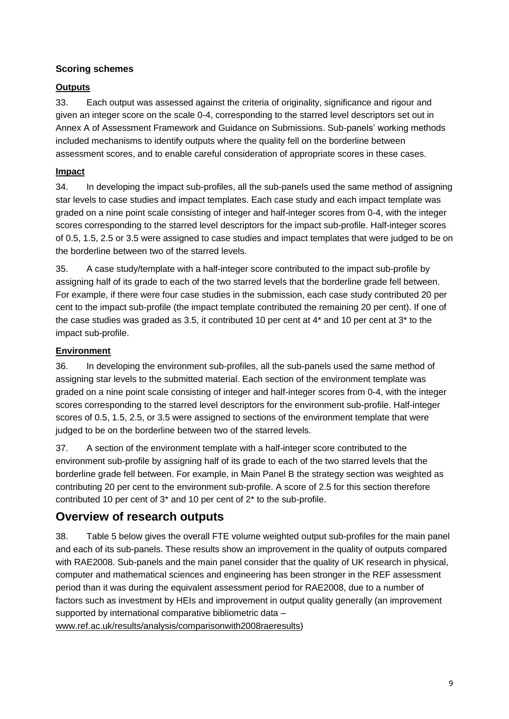#### **Scoring schemes**

#### **Outputs**

33. Each output was assessed against the criteria of originality, significance and rigour and given an integer score on the scale 0-4, corresponding to the starred level descriptors set out in Annex A of Assessment Framework and Guidance on Submissions. Sub-panels' working methods included mechanisms to identify outputs where the quality fell on the borderline between assessment scores, and to enable careful consideration of appropriate scores in these cases.

#### **Impact**

34. In developing the impact sub-profiles, all the sub-panels used the same method of assigning star levels to case studies and impact templates. Each case study and each impact template was graded on a nine point scale consisting of integer and half-integer scores from 0-4, with the integer scores corresponding to the starred level descriptors for the impact sub-profile. Half-integer scores of 0.5, 1.5, 2.5 or 3.5 were assigned to case studies and impact templates that were judged to be on the borderline between two of the starred levels.

35. A case study/template with a half-integer score contributed to the impact sub-profile by assigning half of its grade to each of the two starred levels that the borderline grade fell between. For example, if there were four case studies in the submission, each case study contributed 20 per cent to the impact sub-profile (the impact template contributed the remaining 20 per cent). If one of the case studies was graded as 3.5, it contributed 10 per cent at 4\* and 10 per cent at 3\* to the impact sub-profile.

#### **Environment**

36. In developing the environment sub-profiles, all the sub-panels used the same method of assigning star levels to the submitted material. Each section of the environment template was graded on a nine point scale consisting of integer and half-integer scores from 0-4, with the integer scores corresponding to the starred level descriptors for the environment sub-profile. Half-integer scores of 0.5, 1.5, 2.5, or 3.5 were assigned to sections of the environment template that were judged to be on the borderline between two of the starred levels.

37. A section of the environment template with a half-integer score contributed to the environment sub-profile by assigning half of its grade to each of the two starred levels that the borderline grade fell between. For example, in Main Panel B the strategy section was weighted as contributing 20 per cent to the environment sub-profile. A score of 2.5 for this section therefore contributed 10 per cent of 3\* and 10 per cent of 2\* to the sub-profile.

### **Overview of research outputs**

38. Table 5 below gives the overall FTE volume weighted output sub-profiles for the main panel and each of its sub-panels. These results show an improvement in the quality of outputs compared with RAE2008. Sub-panels and the main panel consider that the quality of UK research in physical, computer and mathematical sciences and engineering has been stronger in the REF assessment period than it was during the equivalent assessment period for RAE2008, due to a number of factors such as investment by HEIs and improvement in output quality generally (an improvement supported by international comparative bibliometric data –

[www.ref.ac.uk/results/analysis/comparisonwith2008raeresults\)](http://www.ref.ac.uk/results/analysis/comparisonwith2008raeresults)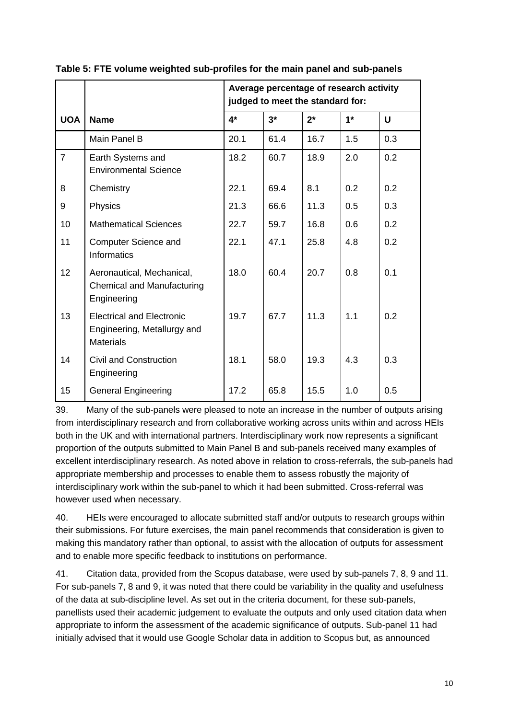|                |                                                                                     | Average percentage of research activity<br>judged to meet the standard for: |      |       |      |     |  |  |  |
|----------------|-------------------------------------------------------------------------------------|-----------------------------------------------------------------------------|------|-------|------|-----|--|--|--|
| <b>UOA</b>     | <b>Name</b>                                                                         | $4*$                                                                        | $3*$ | $2^*$ | $1*$ | U   |  |  |  |
|                | Main Panel B                                                                        | 20.1                                                                        | 61.4 | 16.7  | 1.5  | 0.3 |  |  |  |
| $\overline{7}$ | Earth Systems and<br><b>Environmental Science</b>                                   | 18.2                                                                        | 60.7 | 18.9  | 2.0  | 0.2 |  |  |  |
| 8              | Chemistry                                                                           | 22.1                                                                        | 69.4 | 8.1   | 0.2  | 0.2 |  |  |  |
| 9              | Physics                                                                             | 21.3                                                                        | 66.6 | 11.3  | 0.5  | 0.3 |  |  |  |
| 10             | <b>Mathematical Sciences</b>                                                        | 22.7                                                                        | 59.7 | 16.8  | 0.6  | 0.2 |  |  |  |
| 11             | Computer Science and<br><b>Informatics</b>                                          | 22.1                                                                        | 47.1 | 25.8  | 4.8  | 0.2 |  |  |  |
| 12             | Aeronautical, Mechanical,<br>Chemical and Manufacturing<br>Engineering              | 18.0                                                                        | 60.4 | 20.7  | 0.8  | 0.1 |  |  |  |
| 13             | <b>Electrical and Electronic</b><br>Engineering, Metallurgy and<br><b>Materials</b> | 19.7                                                                        | 677  | 11.3  | 1.1  | 0.2 |  |  |  |
| 14             | <b>Civil and Construction</b><br>Engineering                                        | 18.1                                                                        | 58.0 | 19.3  | 4.3  | 0.3 |  |  |  |
| 15             | <b>General Engineering</b>                                                          | 17.2                                                                        | 65.8 | 15.5  | 1.0  | 0.5 |  |  |  |

**Table 5: FTE volume weighted sub-profiles for the main panel and sub-panels**

39. Many of the sub-panels were pleased to note an increase in the number of outputs arising from interdisciplinary research and from collaborative working across units within and across HEIs both in the UK and with international partners. Interdisciplinary work now represents a significant proportion of the outputs submitted to Main Panel B and sub-panels received many examples of excellent interdisciplinary research. As noted above in relation to cross-referrals, the sub-panels had appropriate membership and processes to enable them to assess robustly the majority of interdisciplinary work within the sub-panel to which it had been submitted. Cross-referral was however used when necessary.

40. HEIs were encouraged to allocate submitted staff and/or outputs to research groups within their submissions. For future exercises, the main panel recommends that consideration is given to making this mandatory rather than optional, to assist with the allocation of outputs for assessment and to enable more specific feedback to institutions on performance.

41. Citation data, provided from the Scopus database, were used by sub-panels 7, 8, 9 and 11. For sub-panels 7, 8 and 9, it was noted that there could be variability in the quality and usefulness of the data at sub-discipline level. As set out in the criteria document, for these sub-panels, panellists used their academic judgement to evaluate the outputs and only used citation data when appropriate to inform the assessment of the academic significance of outputs. Sub-panel 11 had initially advised that it would use Google Scholar data in addition to Scopus but, as announced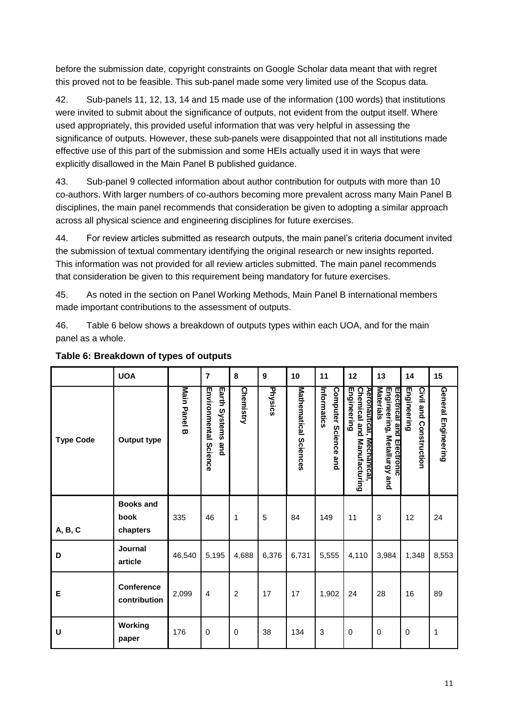before the submission date, copyright constraints on Google Scholar data meant that with regret this proved not to be feasible. This sub-panel made some very limited use of the Scopus data.

42. Sub-panels 11, 12, 13, 14 and 15 made use of the information (100 words) that institutions were invited to submit about the significance of outputs, not evident from the output itself. Where used appropriately, this provided useful information that was very helpful in assessing the significance of outputs. However, these sub-panels were disappointed that not all institutions made effective use of this part of the submission and some HEIs actually used it in ways that were explicitly disallowed in the Main Panel B published guidance.

43. Sub-panel 9 collected information about author contribution for outputs with more than 10 co-authors. With larger numbers of co-authors becoming more prevalent across many Main Panel B disciplines, the main panel recommends that consideration be given to adopting a similar approach across all physical science and engineering disciplines for future exercises.

44. For review articles submitted as research outputs, the main panel's criteria document invited the submission of textual commentary identifying the original research or new insights reported. This information was not provided for all review articles submitted. The main panel recommends that consideration be given to this requirement being mandatory for future exercises.

45. As noted in the section on Panel Working Methods, Main Panel B international members made important contributions to the assessment of outputs.

46. Table 6 below shows a breakdown of outputs types within each UOA, and for the main panel as a whole.

|                  | <b>UOA</b>                           |              | $\overline{7}$                                                 | 8              | 9       | 10                    | 11                                  | 12                                                                     | 13                                                                                     | 14                                       | 15                         |
|------------------|--------------------------------------|--------------|----------------------------------------------------------------|----------------|---------|-----------------------|-------------------------------------|------------------------------------------------------------------------|----------------------------------------------------------------------------------------|------------------------------------------|----------------------------|
| <b>Type Code</b> | <b>Output type</b>                   | Main Panel B | <b>Environmental Science</b><br>Earth<br><b>Systems</b><br>and | Chemistry      | Physics | Mathematical Sciences | Informatics<br>Computer Science and | Engineering<br>Chemical and Manufacturing<br>Aeronautıcal, Mechanıcal, | <b>Materials</b><br>Engineering, Metallurgy and<br>Electrical and<br><b>Electronic</b> | Engineering<br>Civil and<br>Construction | <b>General Engineering</b> |
| A, B, C          | <b>Books and</b><br>book<br>chapters | 335          | 46                                                             | 1              | 5       | 84                    | 149                                 | 11                                                                     | 3                                                                                      | 12                                       | 24                         |
| D                | <b>Journal</b><br>article            | 46,540       | 5,195                                                          | 4,688          | 6,376   | 6,731                 | 5,555                               | 4,110                                                                  | 3,984                                                                                  | 1,348                                    | 8,553                      |
| Е                | Conference<br>contribution           | 2,099        | $\overline{4}$                                                 | $\overline{c}$ | 17      | 17                    | 1,902                               | 24                                                                     | 28                                                                                     | 16                                       | 89                         |
| U                | Working<br>paper                     | 176          | 0                                                              | 0              | 38      | 134                   | $\sqrt{3}$                          | $\mathbf 0$                                                            | 0                                                                                      | $\mathbf 0$                              | $\mathbf{1}$               |

#### **Table 6: Breakdown of types of outputs**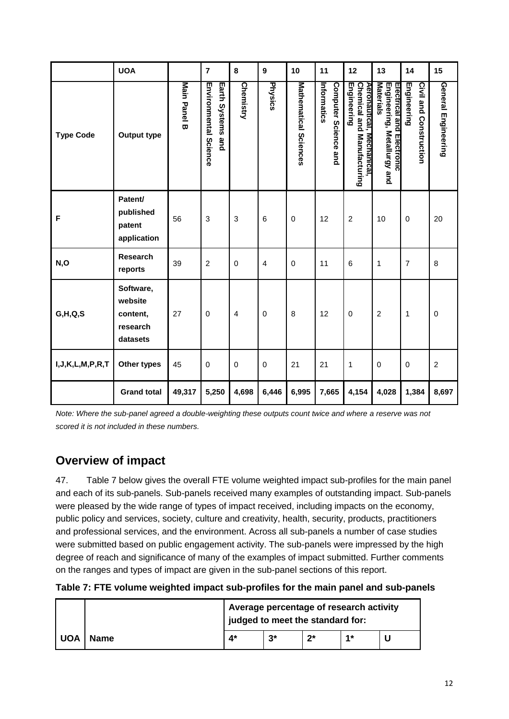|                        | <b>UOA</b>                                               |              | $\overline{7}$                                    | 8                       | $\boldsymbol{9}$        | 10                    | 11                                  | 12                                                                     | 13                                                                    | 14                                           | 15                         |
|------------------------|----------------------------------------------------------|--------------|---------------------------------------------------|-------------------------|-------------------------|-----------------------|-------------------------------------|------------------------------------------------------------------------|-----------------------------------------------------------------------|----------------------------------------------|----------------------------|
| <b>Type Code</b>       | <b>Output type</b>                                       | Main Panel B | <b>Environmental Science</b><br>Earth Systems and | Chemistry               | Physics                 | Mathematical Sciences | Computer Science and<br>Informatics | Chemical and Manufacturing<br>Engineering<br>Aeronautical, Mechanical, | Materials<br>Engineering, Metallurgy and<br>Electrical and Electronic | <b>Civil and Construction</b><br>Engineering | <b>General Engineering</b> |
| F                      | Patent/<br>published<br>patent<br>application            | 56           | 3                                                 | 3                       | 6                       | 0                     | 12                                  | $\overline{2}$                                                         | 10                                                                    | $\mathbf 0$                                  | 20                         |
| N,O                    | <b>Research</b><br>reports                               | 39           | $\overline{c}$                                    | 0                       | $\overline{\mathbf{4}}$ | $\mathsf 0$           | 11                                  | 6                                                                      | 1                                                                     | 7                                            | 8                          |
| G,H,Q,S                | Software,<br>website<br>content,<br>research<br>datasets | 27           | $\mathbf 0$                                       | $\overline{\mathbf{4}}$ | $\pmb{0}$               | 8                     | 12                                  | $\mathsf{O}\xspace$                                                    | $\overline{c}$                                                        | $\mathbf{1}$                                 | $\mathbf 0$                |
| I, J, K, L, M, P, R, T | Other types                                              | 45           | 0                                                 | $\pmb{0}$               | $\pmb{0}$               | 21                    | 21                                  | $\mathbf{1}$                                                           | 0                                                                     | $\mathbf 0$                                  | $\overline{c}$             |
|                        | <b>Grand total</b>                                       | 49,317       | 5,250                                             | 4,698                   | 6,446                   | 6,995                 | 7,665                               | 4,154                                                                  | 4,028                                                                 | 1,384                                        | 8,697                      |

*Note: Where the sub-panel agreed a double-weighting these outputs count twice and where a reserve was not scored it is not included in these numbers.*

### **Overview of impact**

47. Table 7 below gives the overall FTE volume weighted impact sub-profiles for the main panel and each of its sub-panels. Sub-panels received many examples of outstanding impact. Sub-panels were pleased by the wide range of types of impact received, including impacts on the economy, public policy and services, society, culture and creativity, health, security, products, practitioners and professional services, and the environment. Across all sub-panels a number of case studies were submitted based on public engagement activity. The sub-panels were impressed by the high degree of reach and significance of many of the examples of impact submitted. Further comments on the ranges and types of impact are given in the sub-panel sections of this report.

|            |             | Average percentage of research activity<br>judged to meet the standard for: |       |    |    |  |  |
|------------|-------------|-----------------------------------------------------------------------------|-------|----|----|--|--|
| <b>UOA</b> | <b>Name</b> | 4*                                                                          | $3^*$ | つ* | 4* |  |  |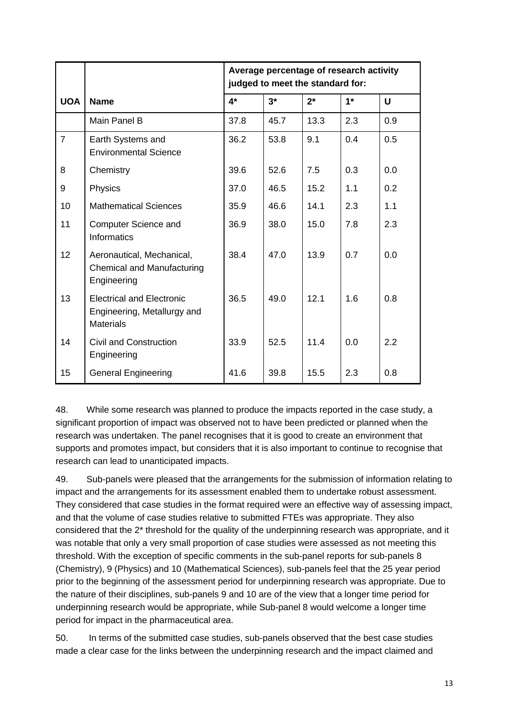|                |                                                                                     | Average percentage of research activity<br>judged to meet the standard for: |      |       |      |              |  |  |  |
|----------------|-------------------------------------------------------------------------------------|-----------------------------------------------------------------------------|------|-------|------|--------------|--|--|--|
| <b>UOA</b>     | <b>Name</b>                                                                         | $4*$                                                                        | $3*$ | $2^*$ | $1*$ | $\mathsf{U}$ |  |  |  |
|                | Main Panel B                                                                        | 37.8                                                                        | 45.7 | 13.3  | 2.3  | 0.9          |  |  |  |
| $\overline{7}$ | Earth Systems and<br><b>Environmental Science</b>                                   | 36.2                                                                        | 53.8 | 9.1   | 0.4  | 0.5          |  |  |  |
| 8              | Chemistry                                                                           | 39.6                                                                        | 52.6 | 7.5   | 0.3  | 0.0          |  |  |  |
| 9              | Physics                                                                             | 37.0                                                                        | 46.5 | 15.2  | 1.1  | 0.2          |  |  |  |
| 10             | <b>Mathematical Sciences</b>                                                        | 35.9                                                                        | 46.6 | 14.1  | 2.3  | 1.1          |  |  |  |
| 11             | Computer Science and<br><b>Informatics</b>                                          | 36.9                                                                        | 38.0 | 15.0  | 7.8  | 2.3          |  |  |  |
| 12             | Aeronautical, Mechanical,<br>Chemical and Manufacturing<br>Engineering              | 38.4                                                                        | 47.0 | 13.9  | 0.7  | 0.0          |  |  |  |
| 13             | <b>Electrical and Electronic</b><br>Engineering, Metallurgy and<br><b>Materials</b> | 36.5                                                                        | 49.0 | 12.1  | 1.6  | 0.8          |  |  |  |
| 14             | Civil and Construction<br>Engineering                                               | 33.9                                                                        | 52.5 | 11.4  | 0.0  | 2.2          |  |  |  |
| 15             | <b>General Engineering</b>                                                          | 41.6                                                                        | 39.8 | 15.5  | 2.3  | 0.8          |  |  |  |

48. While some research was planned to produce the impacts reported in the case study, a significant proportion of impact was observed not to have been predicted or planned when the research was undertaken. The panel recognises that it is good to create an environment that supports and promotes impact, but considers that it is also important to continue to recognise that research can lead to unanticipated impacts.

49. Sub-panels were pleased that the arrangements for the submission of information relating to impact and the arrangements for its assessment enabled them to undertake robust assessment. They considered that case studies in the format required were an effective way of assessing impact, and that the volume of case studies relative to submitted FTEs was appropriate. They also considered that the 2\* threshold for the quality of the underpinning research was appropriate, and it was notable that only a very small proportion of case studies were assessed as not meeting this threshold. With the exception of specific comments in the sub-panel reports for sub-panels 8 (Chemistry), 9 (Physics) and 10 (Mathematical Sciences), sub-panels feel that the 25 year period prior to the beginning of the assessment period for underpinning research was appropriate. Due to the nature of their disciplines, sub-panels 9 and 10 are of the view that a longer time period for underpinning research would be appropriate, while Sub-panel 8 would welcome a longer time period for impact in the pharmaceutical area.

50. In terms of the submitted case studies, sub-panels observed that the best case studies made a clear case for the links between the underpinning research and the impact claimed and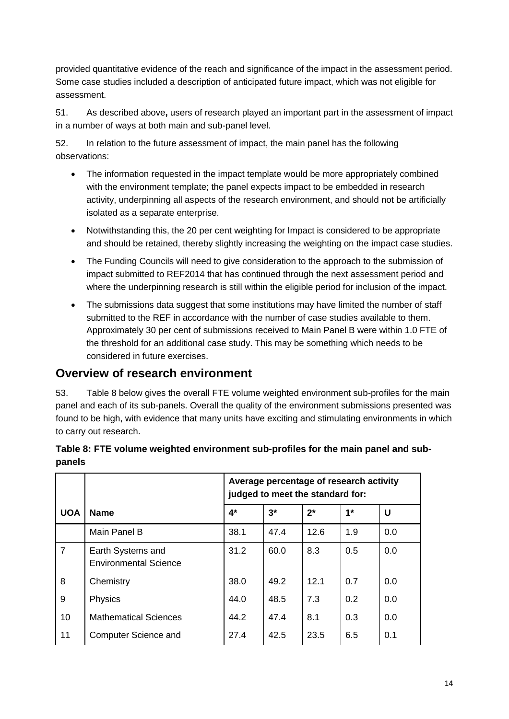provided quantitative evidence of the reach and significance of the impact in the assessment period. Some case studies included a description of anticipated future impact, which was not eligible for assessment.

51. As described above**,** users of research played an important part in the assessment of impact in a number of ways at both main and sub-panel level.

52. In relation to the future assessment of impact, the main panel has the following observations:

- The information requested in the impact template would be more appropriately combined with the environment template; the panel expects impact to be embedded in research activity, underpinning all aspects of the research environment, and should not be artificially isolated as a separate enterprise.
- Notwithstanding this, the 20 per cent weighting for Impact is considered to be appropriate and should be retained, thereby slightly increasing the weighting on the impact case studies.
- The Funding Councils will need to give consideration to the approach to the submission of impact submitted to REF2014 that has continued through the next assessment period and where the underpinning research is still within the eligible period for inclusion of the impact.
- The submissions data suggest that some institutions may have limited the number of staff submitted to the REF in accordance with the number of case studies available to them. Approximately 30 per cent of submissions received to Main Panel B were within 1.0 FTE of the threshold for an additional case study. This may be something which needs to be considered in future exercises.

### **Overview of research environment**

53. Table 8 below gives the overall FTE volume weighted environment sub-profiles for the main panel and each of its sub-panels. Overall the quality of the environment submissions presented was found to be high, with evidence that many units have exciting and stimulating environments in which to carry out research.

|                |                                                   | Average percentage of research activity<br>judged to meet the standard for: |       |       |      |     |  |  |  |
|----------------|---------------------------------------------------|-----------------------------------------------------------------------------|-------|-------|------|-----|--|--|--|
| <b>UOA</b>     | <b>Name</b>                                       | 4*                                                                          | $3^*$ | $2^*$ | $1*$ | U   |  |  |  |
|                | Main Panel B                                      | 38.1                                                                        | 47.4  | 12.6  | 1.9  | 0.0 |  |  |  |
| $\overline{7}$ | Earth Systems and<br><b>Environmental Science</b> | 31.2                                                                        | 60.0  | 8.3   | 0.5  | 0.0 |  |  |  |
| 8              | Chemistry                                         | 38.0                                                                        | 49.2  | 12.1  | 0.7  | 0.0 |  |  |  |
| 9              | Physics                                           | 44.0                                                                        | 48.5  | 7.3   | 0.2  | 0.0 |  |  |  |
| 10             | <b>Mathematical Sciences</b>                      | 44.2                                                                        | 47.4  | 8.1   | 0.3  | 0.0 |  |  |  |
| 11             | <b>Computer Science and</b>                       | 27.4                                                                        | 42.5  | 23.5  | 6.5  | 0.1 |  |  |  |

#### **Table 8: FTE volume weighted environment sub-profiles for the main panel and subpanels**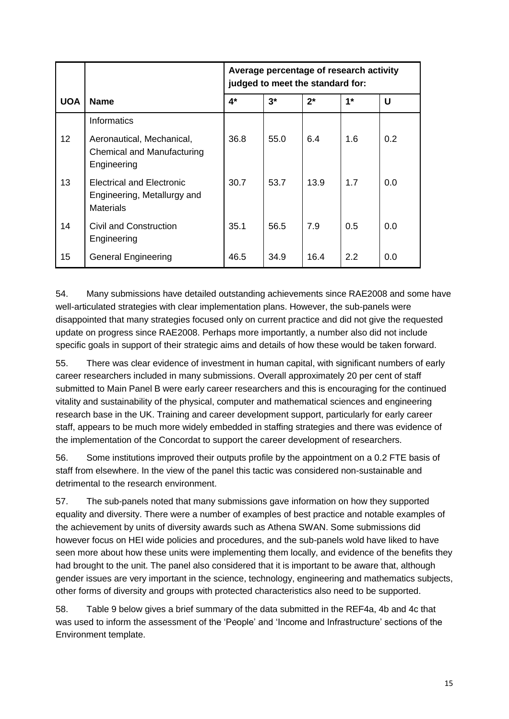|                 |                                                                                     | Average percentage of research activity<br>judged to meet the standard for: |      |       |      |     |  |  |  |
|-----------------|-------------------------------------------------------------------------------------|-----------------------------------------------------------------------------|------|-------|------|-----|--|--|--|
| <b>UOA</b>      | <b>Name</b>                                                                         | 4*                                                                          | $3*$ | $2^*$ | $1*$ | U   |  |  |  |
|                 | Informatics                                                                         |                                                                             |      |       |      |     |  |  |  |
| 12 <sup>°</sup> | Aeronautical, Mechanical,<br>Chemical and Manufacturing<br>Engineering              | 36.8                                                                        | 55.0 | 6.4   | 1.6  | 0.2 |  |  |  |
| 13              | <b>Electrical and Electronic</b><br>Engineering, Metallurgy and<br><b>Materials</b> | 30.7                                                                        | 53.7 | 13.9  | 1.7  | 0.0 |  |  |  |
| 14              | Civil and Construction<br>Engineering                                               | 35.1                                                                        | 56.5 | 7.9   | 0.5  | 0.0 |  |  |  |
| 15              | <b>General Engineering</b>                                                          | 46.5                                                                        | 34.9 | 16.4  | 2.2  | 0.0 |  |  |  |

54. Many submissions have detailed outstanding achievements since RAE2008 and some have well-articulated strategies with clear implementation plans. However, the sub-panels were disappointed that many strategies focused only on current practice and did not give the requested update on progress since RAE2008. Perhaps more importantly, a number also did not include specific goals in support of their strategic aims and details of how these would be taken forward.

55. There was clear evidence of investment in human capital, with significant numbers of early career researchers included in many submissions. Overall approximately 20 per cent of staff submitted to Main Panel B were early career researchers and this is encouraging for the continued vitality and sustainability of the physical, computer and mathematical sciences and engineering research base in the UK. Training and career development support, particularly for early career staff, appears to be much more widely embedded in staffing strategies and there was evidence of the implementation of the Concordat to support the career development of researchers.

56. Some institutions improved their outputs profile by the appointment on a 0.2 FTE basis of staff from elsewhere. In the view of the panel this tactic was considered non-sustainable and detrimental to the research environment.

57. The sub-panels noted that many submissions gave information on how they supported equality and diversity. There were a number of examples of best practice and notable examples of the achievement by units of diversity awards such as Athena SWAN. Some submissions did however focus on HEI wide policies and procedures, and the sub-panels wold have liked to have seen more about how these units were implementing them locally, and evidence of the benefits they had brought to the unit. The panel also considered that it is important to be aware that, although gender issues are very important in the science, technology, engineering and mathematics subjects, other forms of diversity and groups with protected characteristics also need to be supported.

58. Table 9 below gives a brief summary of the data submitted in the REF4a, 4b and 4c that was used to inform the assessment of the 'People' and 'Income and Infrastructure' sections of the Environment template.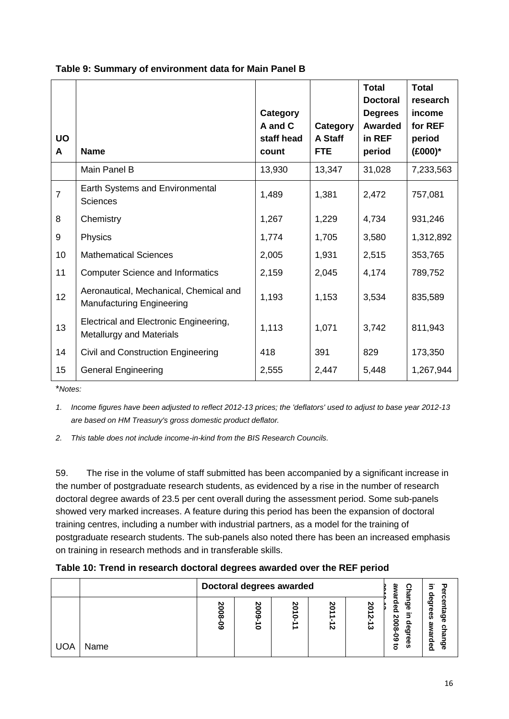| <b>UO</b><br>A | <b>Name</b>                                                                | Category<br>A and C<br>staff head<br>count | Category<br>A Staff<br><b>FTE</b> | <b>Total</b><br><b>Doctoral</b><br><b>Degrees</b><br><b>Awarded</b><br>in REF<br>period | <b>Total</b><br>research<br>income<br>for REF<br>period<br>$(E000)^*$ |
|----------------|----------------------------------------------------------------------------|--------------------------------------------|-----------------------------------|-----------------------------------------------------------------------------------------|-----------------------------------------------------------------------|
|                | Main Panel B                                                               | 13,930                                     | 13,347                            | 31,028                                                                                  | 7,233,563                                                             |
| $\overline{7}$ | Earth Systems and Environmental<br><b>Sciences</b>                         | 1,489                                      | 1,381                             | 2,472                                                                                   | 757,081                                                               |
| 8              | Chemistry                                                                  | 1,267                                      | 1,229                             | 4,734                                                                                   | 931,246                                                               |
| 9              | Physics                                                                    | 1,774                                      | 1,705                             | 3,580                                                                                   | 1,312,892                                                             |
| 10             | <b>Mathematical Sciences</b>                                               | 2,005                                      | 1,931                             | 2,515                                                                                   | 353,765                                                               |
| 11             | <b>Computer Science and Informatics</b>                                    | 2,159                                      | 2,045                             | 4,174                                                                                   | 789,752                                                               |
| 12             | Aeronautical, Mechanical, Chemical and<br><b>Manufacturing Engineering</b> | 1,193                                      | 1,153                             | 3,534                                                                                   | 835,589                                                               |
| 13             | Electrical and Electronic Engineering,<br>Metallurgy and Materials         | 1,113                                      | 1,071                             | 3,742                                                                                   | 811,943                                                               |
| 14             | Civil and Construction Engineering                                         | 418                                        | 391                               | 829                                                                                     | 173,350                                                               |
| 15             | <b>General Engineering</b>                                                 | 2,555                                      | 2,447                             | 5,448                                                                                   | 1,267,944                                                             |

#### **Table 9: Summary of environment data for Main Panel B**

\**Notes:*

*1. Income figures have been adjusted to reflect 2012-13 prices; the 'deflators' used to adjust to base year 2012-13 are based on HM Treasury's gross domestic product deflator.*

*2. This table does not include income-in-kind from the BIS Research Councils.*

59. The rise in the volume of staff submitted has been accompanied by a significant increase in the number of postgraduate research students, as evidenced by a rise in the number of research doctoral degree awards of 23.5 per cent overall during the assessment period. Some sub-panels showed very marked increases. A feature during this period has been the expansion of doctoral training centres, including a number with industrial partners, as a model for the training of postgraduate research students. The sub-panels also noted there has been an increased emphasis on training in research methods and in transferable skills.

| Table 10: Trend in research doctoral degrees awarded over the REF period |  |  |  |  |
|--------------------------------------------------------------------------|--|--|--|--|
|                                                                          |  |  |  |  |

|             |                         | Doctoral degrees awarded |         |         |             |                                                                                  |                                                                    |  |
|-------------|-------------------------|--------------------------|---------|---------|-------------|----------------------------------------------------------------------------------|--------------------------------------------------------------------|--|
| UOA<br>Name | 20<br>o<br>ōō<br>o<br>ō | 20<br>ලි<br>0            | 20<br>◓ | 20<br>N | ၓ<br>N<br>ω | ω<br>യ<br>ခဲ့<br>ഥ<br>ᢛ<br>N<br>-<br>Ō<br>ōō<br>r<br>င္စ<br>P<br>$\vec{a}$<br>Ö. | $\boldsymbol{\sigma}$<br>œ<br>ၷ<br>అ<br>ω<br>ω<br>ဖ<br>ᢛ<br>መ<br>൨ |  |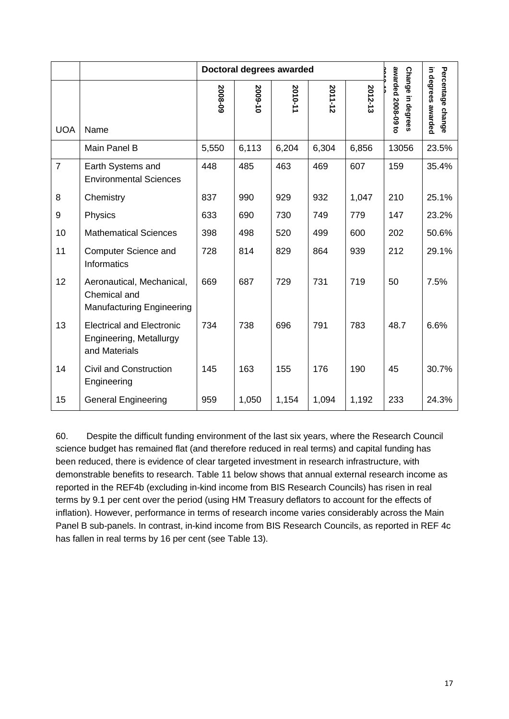|                |                                                                               |         | Doctoral degrees awarded |         |         |         |                                         |                                         |
|----------------|-------------------------------------------------------------------------------|---------|--------------------------|---------|---------|---------|-----------------------------------------|-----------------------------------------|
| <b>UOA</b>     | Name                                                                          | 2008-09 | 2009-10                  | 2010-11 | 2011-12 | 2012-13 | awarded 2008-09 to<br>Change in degrees | in degrees awarded<br>Percentage change |
|                | Main Panel B                                                                  | 5,550   | 6,113                    | 6,204   | 6,304   | 6,856   | 13056                                   | 23.5%                                   |
| $\overline{7}$ | Earth Systems and<br><b>Environmental Sciences</b>                            | 448     | 485                      | 463     | 469     | 607     | 159                                     | 35.4%                                   |
| 8              | Chemistry                                                                     | 837     | 990                      | 929     | 932     | 1,047   | 210                                     | 25.1%                                   |
| 9              | Physics                                                                       | 633     | 690                      | 730     | 749     | 779     | 147                                     | 23.2%                                   |
| 10             | <b>Mathematical Sciences</b>                                                  | 398     | 498                      | 520     | 499     | 600     | 202                                     | 50.6%                                   |
| 11             | Computer Science and<br>Informatics                                           | 728     | 814                      | 829     | 864     | 939     | 212                                     | 29.1%                                   |
| 12             | Aeronautical, Mechanical,<br>Chemical and<br><b>Manufacturing Engineering</b> | 669     | 687                      | 729     | 731     | 719     | 50                                      | 7.5%                                    |
| 13             | <b>Electrical and Electronic</b><br>Engineering, Metallurgy<br>and Materials  | 734     | 738                      | 696     | 791     | 783     | 48.7                                    | 6.6%                                    |
| 14             | <b>Civil and Construction</b><br>Engineering                                  | 145     | 163                      | 155     | 176     | 190     | 45                                      | 30.7%                                   |
| 15             | <b>General Engineering</b>                                                    | 959     | 1,050                    | 1,154   | 1,094   | 1,192   | 233                                     | 24.3%                                   |

60. Despite the difficult funding environment of the last six years, where the Research Council science budget has remained flat (and therefore reduced in real terms) and capital funding has been reduced, there is evidence of clear targeted investment in research infrastructure, with demonstrable benefits to research. Table 11 below shows that annual external research income as reported in the REF4b (excluding in-kind income from BIS Research Councils) has risen in real terms by 9.1 per cent over the period (using HM Treasury deflators to account for the effects of inflation). However, performance in terms of research income varies considerably across the Main Panel B sub-panels. In contrast, in-kind income from BIS Research Councils, as reported in REF 4c has fallen in real terms by 16 per cent (see Table 13).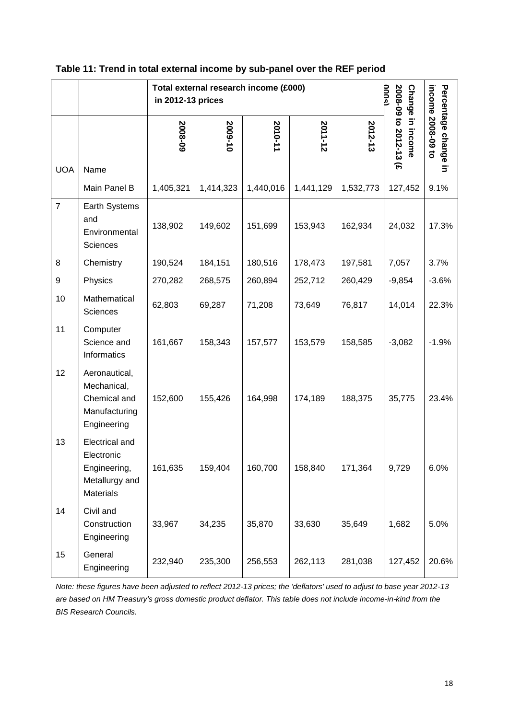|                |                                                                                           | Total external research income (£000)<br>in 2012-13 prices | ນກາດ      |           |           |           |                                           |                                                          |
|----------------|-------------------------------------------------------------------------------------------|------------------------------------------------------------|-----------|-----------|-----------|-----------|-------------------------------------------|----------------------------------------------------------|
| <b>UOA</b>     | Name                                                                                      | 2008-09                                                    | 2009-10   | 2010-11   | 2011-12   | 2012-13   | 2008-09 to 2012-13 (£<br>Change in income | income 2008-09 to<br>Percentage change<br>$\overline{5}$ |
|                | Main Panel B                                                                              | 1,405,321                                                  | 1,414,323 | 1,440,016 | 1,441,129 | 1,532,773 | 127,452                                   | 9.1%                                                     |
| $\overline{7}$ | Earth Systems<br>and<br>Environmental<br>Sciences                                         | 138,902                                                    | 149,602   | 151,699   | 153,943   | 162,934   | 24,032                                    | 17.3%                                                    |
| 8              | Chemistry                                                                                 | 190,524                                                    | 184,151   | 180,516   | 178,473   | 197,581   | 7,057                                     | 3.7%                                                     |
| 9              | Physics                                                                                   | 270,282                                                    | 268,575   | 260,894   | 252,712   | 260,429   | $-9,854$                                  | $-3.6%$                                                  |
| 10             | Mathematical<br>Sciences                                                                  | 62,803                                                     | 69,287    | 71,208    | 73,649    | 76,817    | 14,014                                    | 22.3%                                                    |
| 11             | Computer<br>Science and<br>Informatics                                                    | 161,667                                                    | 158,343   | 157,577   | 153,579   | 158,585   | $-3,082$                                  | $-1.9%$                                                  |
| 12             | Aeronautical,<br>Mechanical,<br>Chemical and<br>Manufacturing<br>Engineering              | 152,600                                                    | 155,426   | 164,998   | 174,189   | 188,375   | 35,775                                    | 23.4%                                                    |
| 13             | <b>Electrical and</b><br>Electronic<br>Engineering,<br>Metallurgy and<br><b>Materials</b> | 161,635                                                    | 159,404   | 160,700   | 158,840   | 171,364   | 9,729                                     | 6.0%                                                     |
| 14             | Civil and<br>Construction<br>Engineering                                                  | 33,967                                                     | 34,235    | 35,870    | 33,630    | 35,649    | 1,682                                     | 5.0%                                                     |
| 15             | General<br>Engineering                                                                    | 232,940                                                    | 235,300   | 256,553   | 262,113   | 281,038   | 127,452                                   | 20.6%                                                    |

#### **Table 11: Trend in total external income by sub-panel over the REF period**

*Note: these figures have been adjusted to reflect 2012-13 prices; the 'deflators' used to adjust to base year 2012-13 are based on HM Treasury's gross domestic product deflator. This table does not include income-in-kind from the BIS Research Councils.*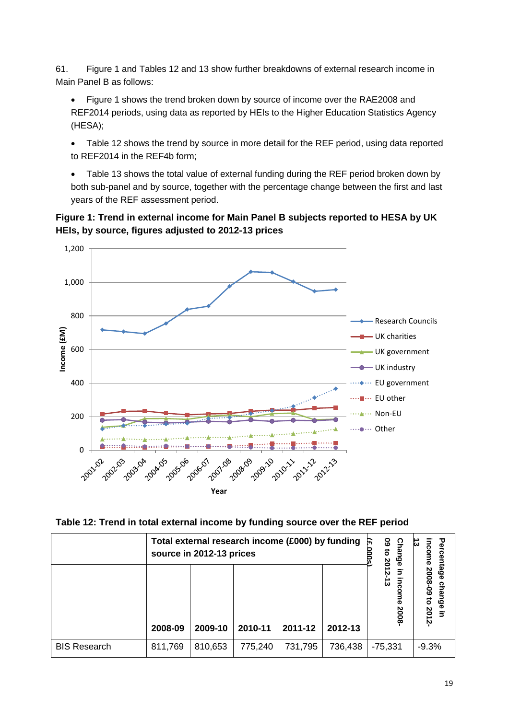61. Figure 1 and Tables 12 and 13 show further breakdowns of external research income in Main Panel B as follows:

- Figure 1 shows the trend broken down by source of income over the RAE2008 and REF2014 periods, using data as reported by HEIs to the Higher Education Statistics Agency (HESA);
- Table 12 shows the trend by source in more detail for the REF period, using data reported to REF2014 in the REF4b form;
- Table 13 shows the total value of external funding during the REF period broken down by both sub-panel and by source, together with the percentage change between the first and last years of the REF assessment period.

**Figure 1: Trend in external income for Main Panel B subjects reported to HESA by UK HEIs, by source, figures adjusted to 2012-13 prices**





|                     | Total external research income (£000) by funding<br>source in 2012-13 prices | <b>09 to</b><br>F<br>Chal<br>န္စ | Percen<br>ట               |                                                  |
|---------------------|------------------------------------------------------------------------------|----------------------------------|---------------------------|--------------------------------------------------|
|                     | 2008-09                                                                      | 2009-10                          | 2012-13<br>5<br>ō<br>2008 | ncome 2008-09 to 2012-<br>tage<br>char<br>nge in |
| <b>BIS Research</b> | 736,438                                                                      | $-75,331$                        | $-9.3%$                   |                                                  |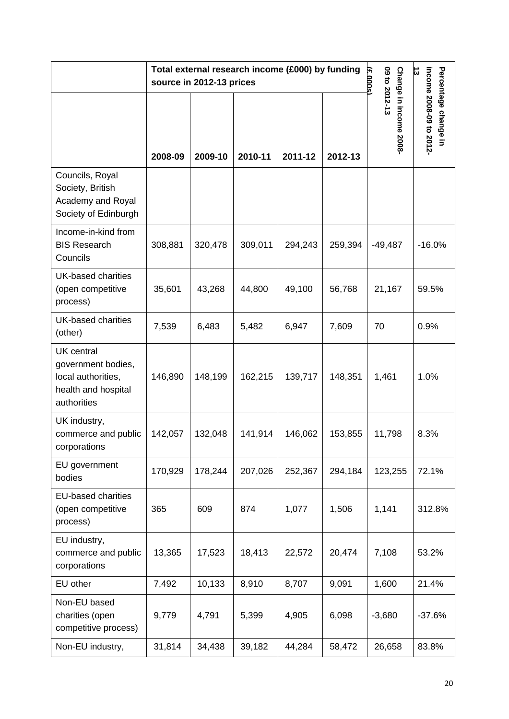|                                                                                                     |         | source in 2012-13 prices | Total external research income (£000) by funding |         |         | 09 to 2012-13<br>F<br>ooos | 님                                               |  |
|-----------------------------------------------------------------------------------------------------|---------|--------------------------|--------------------------------------------------|---------|---------|----------------------------|-------------------------------------------------|--|
|                                                                                                     | 2008-09 | 2009-10                  | 2010-11                                          | 2011-12 | 2012-13 | Change in income 2008-     | income 2008-09 to 2012-<br>Percentage change in |  |
| Councils, Royal<br>Society, British<br>Academy and Royal<br>Society of Edinburgh                    |         |                          |                                                  |         |         |                            |                                                 |  |
| Income-in-kind from<br><b>BIS Research</b><br>Councils                                              | 308,881 | 320,478                  | 309,011                                          | 294,243 | 259,394 | $-49,487$                  | $-16.0%$                                        |  |
| UK-based charities<br>(open competitive<br>process)                                                 | 35,601  | 43,268                   | 44,800                                           | 49,100  | 56,768  | 21,167                     | 59.5%                                           |  |
| <b>UK-based charities</b><br>(other)                                                                | 7,539   | 6,483                    | 5,482                                            | 6,947   | 7,609   | 70                         | 0.9%                                            |  |
| <b>UK</b> central<br>government bodies,<br>local authorities,<br>health and hospital<br>authorities | 146,890 | 148,199                  | 162,215                                          | 139,717 | 148,351 | 1,461                      | 1.0%                                            |  |
| UK industry,<br>commerce and public<br>corporations                                                 | 142,057 | 132,048                  | 141,914                                          | 146,062 | 153,855 | 11,798                     | 8.3%                                            |  |
| EU government<br>bodies                                                                             | 170,929 | 178,244                  | 207,026                                          | 252,367 | 294,184 | 123,255                    | 72.1%                                           |  |
| <b>EU-based charities</b><br>(open competitive<br>process)                                          | 365     | 609                      | 874                                              | 1,077   | 1,506   | 1,141                      | 312.8%                                          |  |
| EU industry,<br>commerce and public<br>corporations                                                 | 13,365  | 17,523                   | 18,413                                           | 22,572  | 20,474  | 7,108                      | 53.2%                                           |  |
| EU other                                                                                            | 7,492   | 10,133                   | 8,910                                            | 8,707   | 9,091   | 1,600                      | 21.4%                                           |  |
| Non-EU based<br>charities (open<br>competitive process)                                             | 9,779   | 4,791                    | 5,399                                            | 4,905   | 6,098   | $-3,680$                   | $-37.6%$                                        |  |
| Non-EU industry,                                                                                    | 31,814  | 34,438                   | 39,182                                           | 44,284  | 58,472  | 26,658                     | 83.8%                                           |  |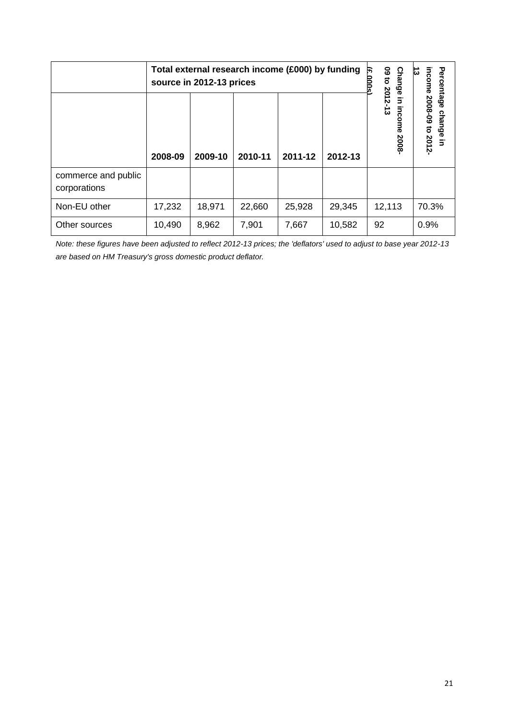|                                     |         | Total external research income (£000) by funding<br>source in 2012-13 prices | <u>င</u><br>দ্ধ<br><b>Change</b> | Percen<br>income<br>ದ |         |                                                |                                     |  |  |
|-------------------------------------|---------|------------------------------------------------------------------------------|----------------------------------|-----------------------|---------|------------------------------------------------|-------------------------------------|--|--|
|                                     | 2008-09 | 2009-10                                                                      | 2010-11                          | 2011-12               | 2012-13 | to 2012-13<br>$\overline{5}$<br>income<br>2008 | htage<br>2008-09 to 2012-<br>change |  |  |
| commerce and public<br>corporations |         |                                                                              |                                  |                       |         |                                                |                                     |  |  |
| Non-EU other                        | 12,113  | 70.3%                                                                        |                                  |                       |         |                                                |                                     |  |  |
| Other sources                       | 10,490  | 8,962                                                                        | 7,901                            | 7,667                 | 10,582  | 92                                             | 0.9%                                |  |  |

*Note: these figures have been adjusted to reflect 2012-13 prices; the 'deflators' used to adjust to base year 2012-13 are based on HM Treasury's gross domestic product deflator.*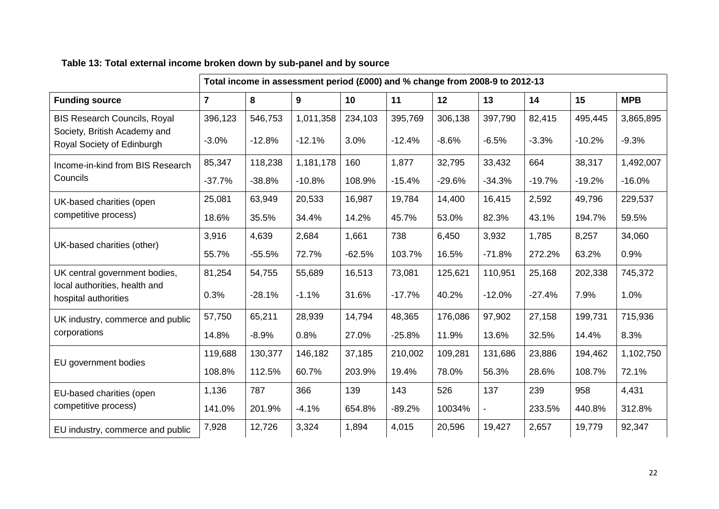|                                                            |                | Total income in assessment period (£000) and % change from 2008-9 to 2012-13 |           |          |          |          |          |          |          |            |
|------------------------------------------------------------|----------------|------------------------------------------------------------------------------|-----------|----------|----------|----------|----------|----------|----------|------------|
| <b>Funding source</b>                                      | $\overline{7}$ | 8                                                                            | 9         | 10       | 11       | 12       | 13       | 14       | 15       | <b>MPB</b> |
| <b>BIS Research Councils, Royal</b>                        | 396,123        | 546,753                                                                      | 1,011,358 | 234,103  | 395,769  | 306,138  | 397,790  | 82,415   | 495,445  | 3,865,895  |
| Society, British Academy and<br>Royal Society of Edinburgh | $-3.0%$        | $-12.8%$                                                                     | $-12.1%$  | 3.0%     | $-12.4%$ | $-8.6%$  | $-6.5%$  | $-3.3%$  | $-10.2%$ | $-9.3%$    |
| Income-in-kind from BIS Research                           | 85,347         | 118,238                                                                      | 1,181,178 | 160      | 1,877    | 32,795   | 33,432   | 664      | 38,317   | 1,492,007  |
| Councils                                                   | $-37.7%$       | $-38.8%$                                                                     | $-10.8%$  | 108.9%   | $-15.4%$ | $-29.6%$ | $-34.3%$ | $-19.7%$ | $-19.2%$ | $-16.0%$   |
| UK-based charities (open                                   | 25,081         | 63,949                                                                       | 20,533    | 16,987   | 19,784   | 14,400   | 16,415   | 2,592    | 49,796   | 229,537    |
| competitive process)                                       | 18.6%          | 35.5%                                                                        | 34.4%     | 14.2%    | 45.7%    | 53.0%    | 82.3%    | 43.1%    | 194.7%   | 59.5%      |
| UK-based charities (other)                                 | 3,916          | 4,639                                                                        | 2,684     | 1,661    | 738      | 6,450    | 3,932    | 1,785    | 8,257    | 34,060     |
|                                                            | 55.7%          | $-55.5%$                                                                     | 72.7%     | $-62.5%$ | 103.7%   | 16.5%    | $-71.8%$ | 272.2%   | 63.2%    | 0.9%       |
| UK central government bodies,                              | 81,254         | 54,755                                                                       | 55,689    | 16,513   | 73,081   | 125,621  | 110,951  | 25,168   | 202,338  | 745,372    |
| local authorities, health and<br>hospital authorities      | 0.3%           | $-28.1%$                                                                     | $-1.1%$   | 31.6%    | $-17.7%$ | 40.2%    | $-12.0%$ | $-27.4%$ | 7.9%     | 1.0%       |
| UK industry, commerce and public                           | 57,750         | 65,211                                                                       | 28,939    | 14,794   | 48,365   | 176,086  | 97,902   | 27,158   | 199,731  | 715,936    |
| corporations                                               | 14.8%          | $-8.9%$                                                                      | 0.8%      | 27.0%    | $-25.8%$ | 11.9%    | 13.6%    | 32.5%    | 14.4%    | 8.3%       |
| EU government bodies                                       | 119,688        | 130,377                                                                      | 146,182   | 37,185   | 210,002  | 109,281  | 131,686  | 23,886   | 194,462  | 1,102,750  |
|                                                            | 108.8%         | 112.5%                                                                       | 60.7%     | 203.9%   | 19.4%    | 78.0%    | 56.3%    | 28.6%    | 108.7%   | 72.1%      |
| EU-based charities (open                                   | 1,136          | 787                                                                          | 366       | 139      | 143      | 526      | 137      | 239      | 958      | 4,431      |
| competitive process)                                       | 141.0%         | 201.9%                                                                       | $-4.1%$   | 654.8%   | $-89.2%$ | 10034%   |          | 233.5%   | 440.8%   | 312.8%     |
| EU industry, commerce and public                           | 7,928          | 12,726                                                                       | 3,324     | 1,894    | 4,015    | 20,596   | 19,427   | 2,657    | 19,779   | 92,347     |

### **Table 13: Total external income broken down by sub-panel and by source**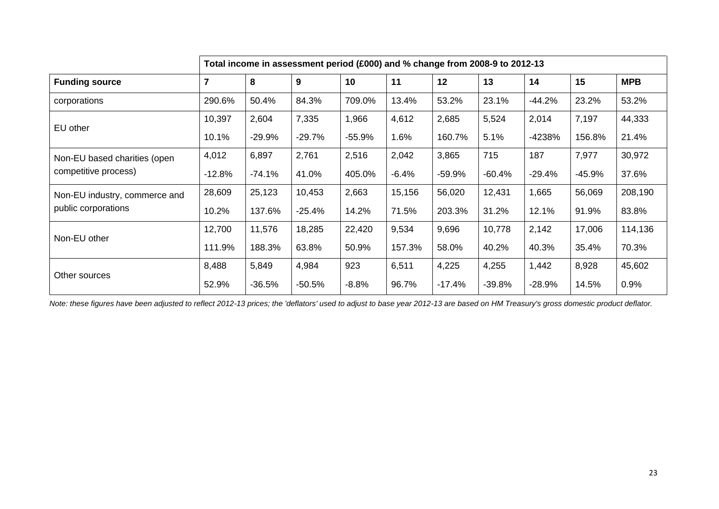|                               |                |          | Total income in assessment period (£000) and % change from 2008-9 to 2012-13 |          |         |          |          |          |          |            |
|-------------------------------|----------------|----------|------------------------------------------------------------------------------|----------|---------|----------|----------|----------|----------|------------|
| <b>Funding source</b>         | $\overline{7}$ | 8        | 9                                                                            | 10       | 11      | 12       | 13       | 14       | 15       | <b>MPB</b> |
| corporations                  | 290.6%         | 50.4%    | 84.3%                                                                        | 709.0%   | 13.4%   | 53.2%    | 23.1%    | $-44.2%$ | 23.2%    | 53.2%      |
| EU other                      | 10,397         | 2,604    | 7,335                                                                        | 1,966    | 4,612   | 2,685    | 5,524    | 2,014    | 7,197    | 44,333     |
|                               | 10.1%          | $-29.9%$ | $-29.7%$                                                                     | $-55.9%$ | 1.6%    | 160.7%   | 5.1%     | -4238%   | 156.8%   | 21.4%      |
| Non-EU based charities (open  | 4,012          | 6,897    | 2,761                                                                        | 2,516    | 2,042   | 3,865    | 715      | 187      | 7,977    | 30,972     |
| competitive process)          | $-12.8%$       | $-74.1%$ | 41.0%                                                                        | 405.0%   | $-6.4%$ | $-59.9%$ | $-60.4%$ | $-29.4%$ | $-45.9%$ | 37.6%      |
| Non-EU industry, commerce and | 28,609         | 25,123   | 10,453                                                                       | 2,663    | 15,156  | 56,020   | 12,431   | 1,665    | 56,069   | 208,190    |
| public corporations           | 10.2%          | 137.6%   | $-25.4%$                                                                     | 14.2%    | 71.5%   | 203.3%   | 31.2%    | 12.1%    | 91.9%    | 83.8%      |
| Non-EU other                  | 12,700         | 11,576   | 18,285                                                                       | 22,420   | 9,534   | 9,696    | 10,778   | 2,142    | 17,006   | 114,136    |
|                               | 111.9%         | 188.3%   | 63.8%                                                                        | 50.9%    | 157.3%  | 58.0%    | 40.2%    | 40.3%    | 35.4%    | 70.3%      |
|                               | 8,488          | 5,849    | 4,984                                                                        | 923      | 6,511   | 4,225    | 4,255    | 1,442    | 8,928    | 45,602     |
| Other sources                 | 52.9%          | $-36.5%$ | $-50.5%$                                                                     | $-8.8%$  | 96.7%   | $-17.4%$ | $-39.8%$ | $-28.9%$ | 14.5%    | 0.9%       |

*Note: these figures have been adjusted to reflect 2012-13 prices; the 'deflators' used to adjust to base year 2012-13 are based on HM Treasury's gross domestic product deflator.*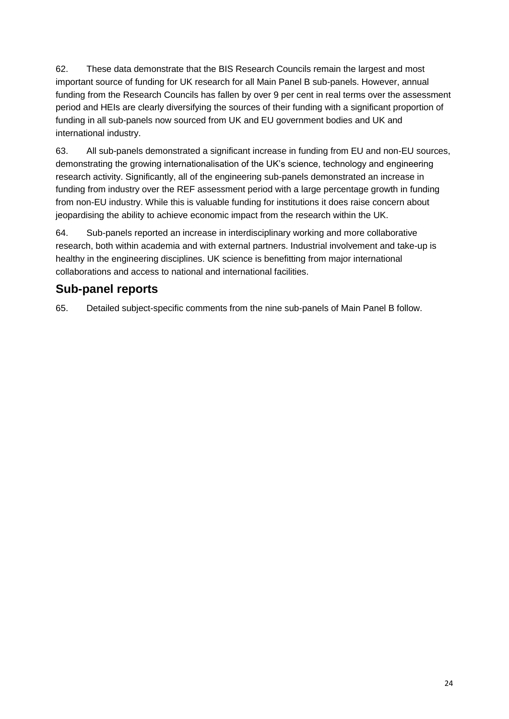62. These data demonstrate that the BIS Research Councils remain the largest and most important source of funding for UK research for all Main Panel B sub-panels. However, annual funding from the Research Councils has fallen by over 9 per cent in real terms over the assessment period and HEIs are clearly diversifying the sources of their funding with a significant proportion of funding in all sub-panels now sourced from UK and EU government bodies and UK and international industry.

63. All sub-panels demonstrated a significant increase in funding from EU and non-EU sources, demonstrating the growing internationalisation of the UK's science, technology and engineering research activity. Significantly, all of the engineering sub-panels demonstrated an increase in funding from industry over the REF assessment period with a large percentage growth in funding from non-EU industry. While this is valuable funding for institutions it does raise concern about jeopardising the ability to achieve economic impact from the research within the UK.

64. Sub-panels reported an increase in interdisciplinary working and more collaborative research, both within academia and with external partners. Industrial involvement and take-up is healthy in the engineering disciplines. UK science is benefitting from major international collaborations and access to national and international facilities.

### **Sub-panel reports**

65. Detailed subject-specific comments from the nine sub-panels of Main Panel B follow.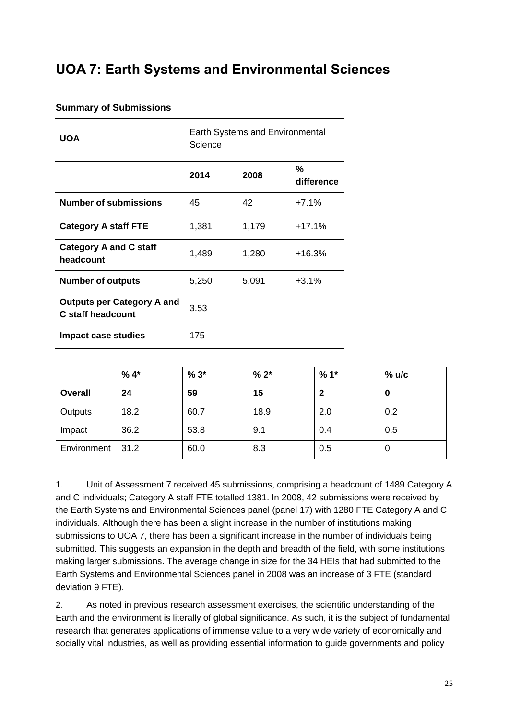# <span id="page-25-0"></span>**UOA 7: Earth Systems and Environmental Sciences**

#### **Summary of Submissions**

| <b>UOA</b>                                                    | <b>Earth Systems and Environmental</b><br>Science |       |                 |  |  |  |
|---------------------------------------------------------------|---------------------------------------------------|-------|-----------------|--|--|--|
|                                                               | 2014                                              | 2008  | %<br>difference |  |  |  |
| <b>Number of submissions</b>                                  | 45                                                | 42    | $+7.1%$         |  |  |  |
| <b>Category A staff FTE</b>                                   | 1,381                                             | 1,179 | $+17.1%$        |  |  |  |
| <b>Category A and C staff</b><br>headcount                    | 1,489                                             | 1,280 | $+16.3%$        |  |  |  |
| <b>Number of outputs</b>                                      | 5,250                                             | 5,091 | $+3.1%$         |  |  |  |
| <b>Outputs per Category A and</b><br><b>C</b> staff headcount | 3.53                                              |       |                 |  |  |  |
| <b>Impact case studies</b>                                    | 175                                               |       |                 |  |  |  |

|                | $%4*$ | $%3*$ | $% 2*$ | $%1*$ | $%$ u/c |
|----------------|-------|-------|--------|-------|---------|
| <b>Overall</b> | 24    | 59    | 15     | 2     | 0       |
| Outputs        | 18.2  | 60.7  | 18.9   | 2.0   | 0.2     |
| Impact         | 36.2  | 53.8  | 9.1    | 0.4   | 0.5     |
| Environment    | 31.2  | 60.0  | 8.3    | 0.5   | 0       |

1. Unit of Assessment 7 received 45 submissions, comprising a headcount of 1489 Category A and C individuals; Category A staff FTE totalled 1381. In 2008, 42 submissions were received by the Earth Systems and Environmental Sciences panel (panel 17) with 1280 FTE Category A and C individuals. Although there has been a slight increase in the number of institutions making submissions to UOA 7, there has been a significant increase in the number of individuals being submitted. This suggests an expansion in the depth and breadth of the field, with some institutions making larger submissions. The average change in size for the 34 HEIs that had submitted to the Earth Systems and Environmental Sciences panel in 2008 was an increase of 3 FTE (standard deviation 9 FTE).

2. As noted in previous research assessment exercises, the scientific understanding of the Earth and the environment is literally of global significance. As such, it is the subject of fundamental research that generates applications of immense value to a very wide variety of economically and socially vital industries, as well as providing essential information to guide governments and policy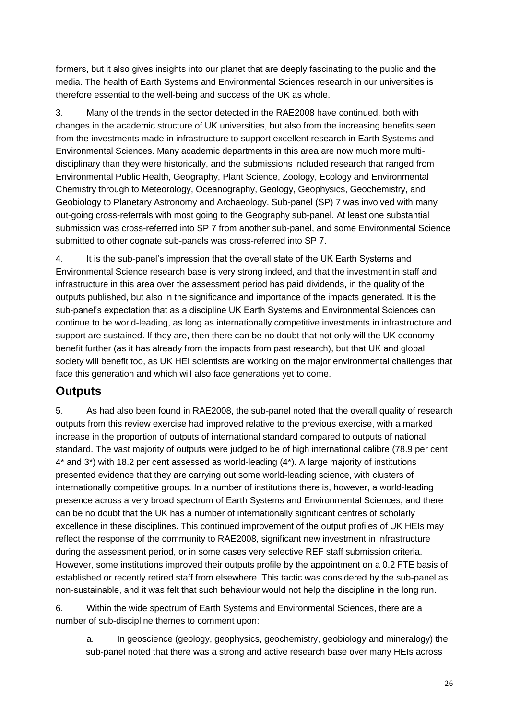formers, but it also gives insights into our planet that are deeply fascinating to the public and the media. The health of Earth Systems and Environmental Sciences research in our universities is therefore essential to the well-being and success of the UK as whole.

3. Many of the trends in the sector detected in the RAE2008 have continued, both with changes in the academic structure of UK universities, but also from the increasing benefits seen from the investments made in infrastructure to support excellent research in Earth Systems and Environmental Sciences. Many academic departments in this area are now much more multidisciplinary than they were historically, and the submissions included research that ranged from Environmental Public Health, Geography, Plant Science, Zoology, Ecology and Environmental Chemistry through to Meteorology, Oceanography, Geology, Geophysics, Geochemistry, and Geobiology to Planetary Astronomy and Archaeology. Sub-panel (SP) 7 was involved with many out-going cross-referrals with most going to the Geography sub-panel. At least one substantial submission was cross-referred into SP 7 from another sub-panel, and some Environmental Science submitted to other cognate sub-panels was cross-referred into SP 7.

4. It is the sub-panel's impression that the overall state of the UK Earth Systems and Environmental Science research base is very strong indeed, and that the investment in staff and infrastructure in this area over the assessment period has paid dividends, in the quality of the outputs published, but also in the significance and importance of the impacts generated. It is the sub-panel's expectation that as a discipline UK Earth Systems and Environmental Sciences can continue to be world-leading, as long as internationally competitive investments in infrastructure and support are sustained. If they are, then there can be no doubt that not only will the UK economy benefit further (as it has already from the impacts from past research), but that UK and global society will benefit too, as UK HEI scientists are working on the major environmental challenges that face this generation and which will also face generations yet to come.

### **Outputs**

5. As had also been found in RAE2008, the sub-panel noted that the overall quality of research outputs from this review exercise had improved relative to the previous exercise, with a marked increase in the proportion of outputs of international standard compared to outputs of national standard. The vast majority of outputs were judged to be of high international calibre (78.9 per cent 4\* and 3\*) with 18.2 per cent assessed as world-leading (4\*). A large majority of institutions presented evidence that they are carrying out some world-leading science, with clusters of internationally competitive groups. In a number of institutions there is, however, a world-leading presence across a very broad spectrum of Earth Systems and Environmental Sciences, and there can be no doubt that the UK has a number of internationally significant centres of scholarly excellence in these disciplines. This continued improvement of the output profiles of UK HEIs may reflect the response of the community to RAE2008, significant new investment in infrastructure during the assessment period, or in some cases very selective REF staff submission criteria. However, some institutions improved their outputs profile by the appointment on a 0.2 FTE basis of established or recently retired staff from elsewhere. This tactic was considered by the sub-panel as non-sustainable, and it was felt that such behaviour would not help the discipline in the long run.

6. Within the wide spectrum of Earth Systems and Environmental Sciences, there are a number of sub-discipline themes to comment upon:

a. In geoscience (geology, geophysics, geochemistry, geobiology and mineralogy) the sub-panel noted that there was a strong and active research base over many HEIs across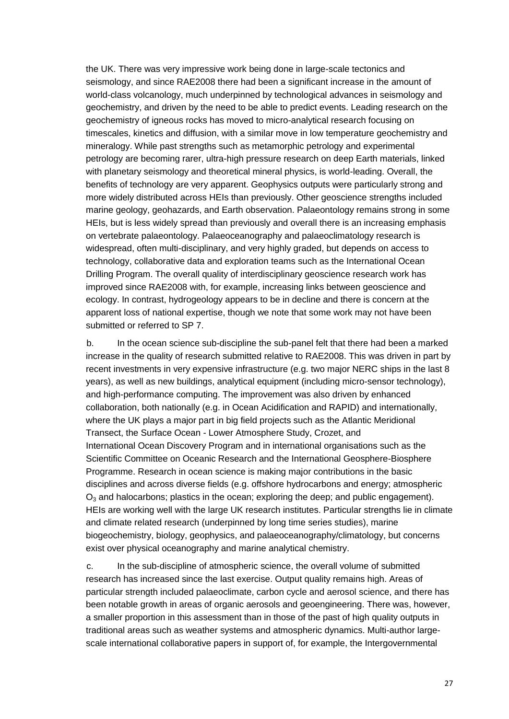the UK. There was very impressive work being done in large-scale tectonics and seismology, and since RAE2008 there had been a significant increase in the amount of world-class volcanology, much underpinned by technological advances in seismology and geochemistry, and driven by the need to be able to predict events. Leading research on the geochemistry of igneous rocks has moved to micro-analytical research focusing on timescales, kinetics and diffusion, with a similar move in low temperature geochemistry and mineralogy. While past strengths such as metamorphic petrology and experimental petrology are becoming rarer, ultra-high pressure research on deep Earth materials, linked with planetary seismology and theoretical mineral physics, is world-leading. Overall, the benefits of technology are very apparent. Geophysics outputs were particularly strong and more widely distributed across HEIs than previously. Other geoscience strengths included marine geology, geohazards, and Earth observation. Palaeontology remains strong in some HEIs, but is less widely spread than previously and overall there is an increasing emphasis on vertebrate palaeontology. Palaeoceanography and palaeoclimatology research is widespread, often multi-disciplinary, and very highly graded, but depends on access to technology, collaborative data and exploration teams such as the International Ocean Drilling Program. The overall quality of interdisciplinary geoscience research work has improved since RAE2008 with, for example, increasing links between geoscience and ecology. In contrast, hydrogeology appears to be in decline and there is concern at the apparent loss of national expertise, though we note that some work may not have been submitted or referred to SP 7.

b. In the ocean science sub-discipline the sub-panel felt that there had been a marked increase in the quality of research submitted relative to RAE2008. This was driven in part by recent investments in very expensive infrastructure (e.g. two major NERC ships in the last 8 years), as well as new buildings, analytical equipment (including micro-sensor technology), and high-performance computing. The improvement was also driven by enhanced collaboration, both nationally (e.g. in Ocean Acidification and RAPID) and internationally, where the UK plays a major part in big field projects such as the Atlantic Meridional Transect, the Surface Ocean - Lower Atmosphere Study, Crozet, and International Ocean Discovery Program and in international organisations such as the Scientific Committee on Oceanic Research and the International Geosphere-Biosphere Programme. Research in ocean science is making major contributions in the basic disciplines and across diverse fields (e.g. offshore hydrocarbons and energy; atmospheric  $O<sub>3</sub>$  and halocarbons; plastics in the ocean; exploring the deep; and public engagement). HEIs are working well with the large UK research institutes. Particular strengths lie in climate and climate related research (underpinned by long time series studies), marine biogeochemistry, biology, geophysics, and palaeoceanography/climatology, but concerns exist over physical oceanography and marine analytical chemistry.

c. In the sub-discipline of atmospheric science, the overall volume of submitted research has increased since the last exercise. Output quality remains high. Areas of particular strength included palaeoclimate, carbon cycle and aerosol science, and there has been notable growth in areas of organic aerosols and geoengineering. There was, however, a smaller proportion in this assessment than in those of the past of high quality outputs in traditional areas such as weather systems and atmospheric dynamics. Multi-author largescale international collaborative papers in support of, for example, the Intergovernmental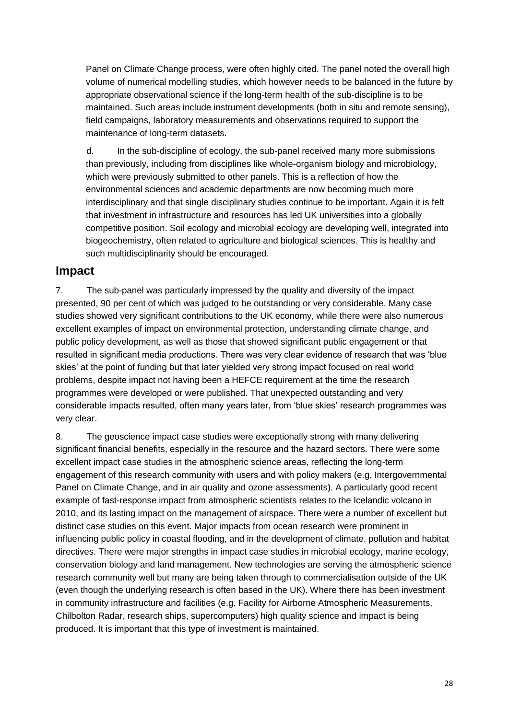Panel on Climate Change process, were often highly cited. The panel noted the overall high volume of numerical modelling studies, which however needs to be balanced in the future by appropriate observational science if the long-term health of the sub-discipline is to be maintained. Such areas include instrument developments (both in situ and remote sensing), field campaigns, laboratory measurements and observations required to support the maintenance of long-term datasets.

d. In the sub-discipline of ecology, the sub-panel received many more submissions than previously, including from disciplines like whole-organism biology and microbiology, which were previously submitted to other panels. This is a reflection of how the environmental sciences and academic departments are now becoming much more interdisciplinary and that single disciplinary studies continue to be important. Again it is felt that investment in infrastructure and resources has led UK universities into a globally competitive position. Soil ecology and microbial ecology are developing well, integrated into biogeochemistry, often related to agriculture and biological sciences. This is healthy and such multidisciplinarity should be encouraged.

#### **Impact**

7. The sub-panel was particularly impressed by the quality and diversity of the impact presented, 90 per cent of which was judged to be outstanding or very considerable. Many case studies showed very significant contributions to the UK economy, while there were also numerous excellent examples of impact on environmental protection, understanding climate change, and public policy development, as well as those that showed significant public engagement or that resulted in significant media productions. There was very clear evidence of research that was 'blue skies' at the point of funding but that later yielded very strong impact focused on real world problems, despite impact not having been a HEFCE requirement at the time the research programmes were developed or were published. That unexpected outstanding and very considerable impacts resulted, often many years later, from 'blue skies' research programmes was very clear.

8. The geoscience impact case studies were exceptionally strong with many delivering significant financial benefits, especially in the resource and the hazard sectors. There were some excellent impact case studies in the atmospheric science areas, reflecting the long-term engagement of this research community with users and with policy makers (e.g. Intergovernmental Panel on Climate Change, and in air quality and ozone assessments). A particularly good recent example of fast-response impact from atmospheric scientists relates to the Icelandic volcano in 2010, and its lasting impact on the management of airspace. There were a number of excellent but distinct case studies on this event. Major impacts from ocean research were prominent in influencing public policy in coastal flooding, and in the development of climate, pollution and habitat directives. There were major strengths in impact case studies in microbial ecology, marine ecology, conservation biology and land management. New technologies are serving the atmospheric science research community well but many are being taken through to commercialisation outside of the UK (even though the underlying research is often based in the UK). Where there has been investment in community infrastructure and facilities (e.g. Facility for Airborne Atmospheric Measurements, Chilbolton Radar, research ships, supercomputers) high quality science and impact is being produced. It is important that this type of investment is maintained.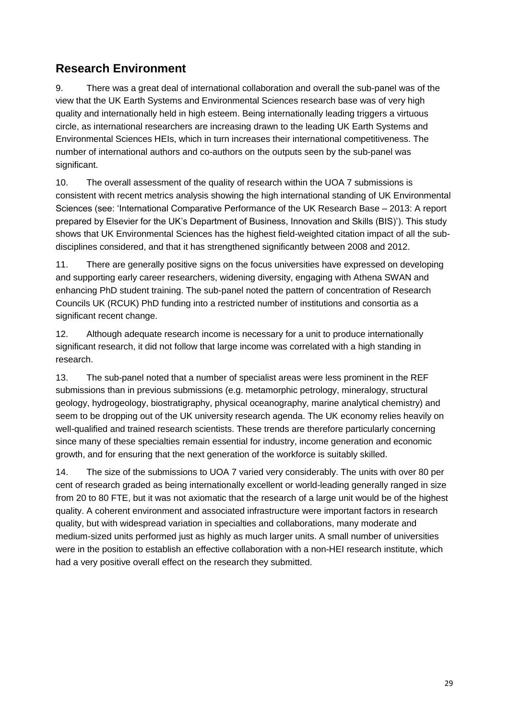### **Research Environment**

9. There was a great deal of international collaboration and overall the sub-panel was of the view that the UK Earth Systems and Environmental Sciences research base was of very high quality and internationally held in high esteem. Being internationally leading triggers a virtuous circle, as international researchers are increasing drawn to the leading UK Earth Systems and Environmental Sciences HEIs, which in turn increases their international competitiveness. The number of international authors and co-authors on the outputs seen by the sub-panel was significant.

10. The overall assessment of the quality of research within the UOA 7 submissions is consistent with recent metrics analysis showing the high international standing of UK Environmental Sciences (see: 'International Comparative Performance of the UK Research Base – 2013: A report prepared by Elsevier for the UK's Department of Business, Innovation and Skills (BIS)'). This study shows that UK Environmental Sciences has the highest field-weighted citation impact of all the subdisciplines considered, and that it has strengthened significantly between 2008 and 2012.

11. There are generally positive signs on the focus universities have expressed on developing and supporting early career researchers, widening diversity, engaging with Athena SWAN and enhancing PhD student training. The sub-panel noted the pattern of concentration of Research Councils UK (RCUK) PhD funding into a restricted number of institutions and consortia as a significant recent change.

12. Although adequate research income is necessary for a unit to produce internationally significant research, it did not follow that large income was correlated with a high standing in research.

13. The sub-panel noted that a number of specialist areas were less prominent in the REF submissions than in previous submissions (e.g. metamorphic petrology, mineralogy, structural geology, hydrogeology, biostratigraphy, physical oceanography, marine analytical chemistry) and seem to be dropping out of the UK university research agenda. The UK economy relies heavily on well-qualified and trained research scientists. These trends are therefore particularly concerning since many of these specialties remain essential for industry, income generation and economic growth, and for ensuring that the next generation of the workforce is suitably skilled.

14. The size of the submissions to UOA 7 varied very considerably. The units with over 80 per cent of research graded as being internationally excellent or world-leading generally ranged in size from 20 to 80 FTE, but it was not axiomatic that the research of a large unit would be of the highest quality. A coherent environment and associated infrastructure were important factors in research quality, but with widespread variation in specialties and collaborations, many moderate and medium-sized units performed just as highly as much larger units. A small number of universities were in the position to establish an effective collaboration with a non-HEI research institute, which had a very positive overall effect on the research they submitted.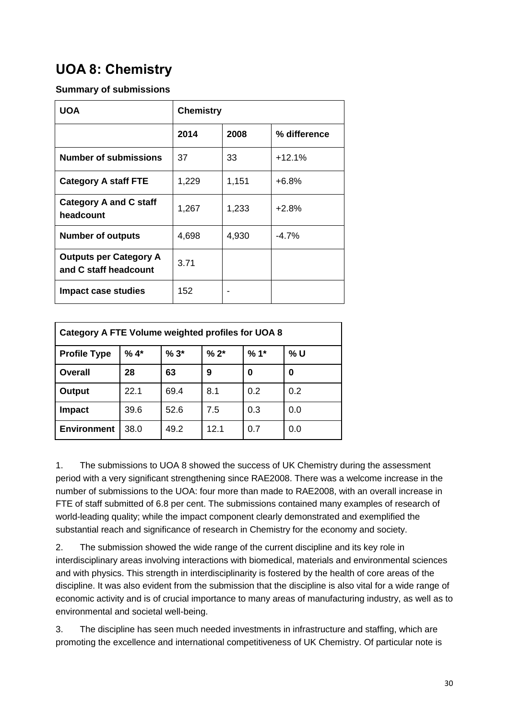# <span id="page-30-0"></span>**UOA 8: Chemistry**

#### **Summary of submissions**

| <b>UOA</b>                                             | <b>Chemistry</b> |       |              |  |  |
|--------------------------------------------------------|------------------|-------|--------------|--|--|
|                                                        | 2014             | 2008  | % difference |  |  |
| <b>Number of submissions</b>                           | 37               | 33    | $+12.1%$     |  |  |
| <b>Category A staff FTE</b>                            | 1,229            | 1,151 | $+6.8%$      |  |  |
| <b>Category A and C staff</b><br>headcount             | 1,267            | 1,233 | $+2.8%$      |  |  |
| <b>Number of outputs</b>                               | 4,698            | 4,930 | $-4.7\%$     |  |  |
| <b>Outputs per Category A</b><br>and C staff headcount | 3.71             |       |              |  |  |
| <b>Impact case studies</b>                             | 152              |       |              |  |  |

| Category A FTE Volume weighted profiles for UOA 8 |                                          |      |      |     |     |  |  |  |
|---------------------------------------------------|------------------------------------------|------|------|-----|-----|--|--|--|
| <b>Profile Type</b>                               | $%1*$<br>$%4*$<br>% U<br>$%3*$<br>$% 2*$ |      |      |     |     |  |  |  |
| Overall                                           | 28                                       | 63   | 9    | 0   | 0   |  |  |  |
| Output                                            | 22.1                                     | 69.4 | 8.1  | 0.2 | 0.2 |  |  |  |
| <b>Impact</b>                                     | 39.6                                     | 52.6 | 7.5  | 0.3 | 0.0 |  |  |  |
| <b>Environment</b>                                | 38.0                                     | 49.2 | 12.1 | 0.7 | 0.0 |  |  |  |

1. The submissions to UOA 8 showed the success of UK Chemistry during the assessment period with a very significant strengthening since RAE2008. There was a welcome increase in the number of submissions to the UOA: four more than made to RAE2008, with an overall increase in FTE of staff submitted of 6.8 per cent. The submissions contained many examples of research of world-leading quality; while the impact component clearly demonstrated and exemplified the substantial reach and significance of research in Chemistry for the economy and society.

2. The submission showed the wide range of the current discipline and its key role in interdisciplinary areas involving interactions with biomedical, materials and environmental sciences and with physics. This strength in interdisciplinarity is fostered by the health of core areas of the discipline. It was also evident from the submission that the discipline is also vital for a wide range of economic activity and is of crucial importance to many areas of manufacturing industry, as well as to environmental and societal well-being.

3. The discipline has seen much needed investments in infrastructure and staffing, which are promoting the excellence and international competitiveness of UK Chemistry. Of particular note is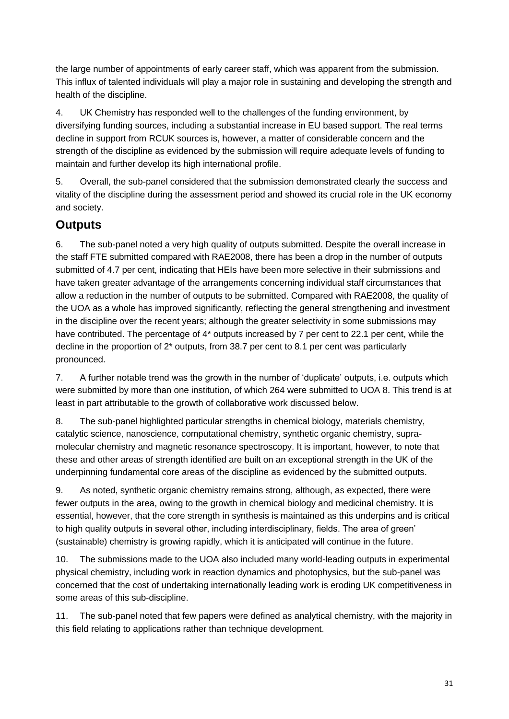the large number of appointments of early career staff, which was apparent from the submission. This influx of talented individuals will play a major role in sustaining and developing the strength and health of the discipline.

4. UK Chemistry has responded well to the challenges of the funding environment, by diversifying funding sources, including a substantial increase in EU based support. The real terms decline in support from RCUK sources is, however, a matter of considerable concern and the strength of the discipline as evidenced by the submission will require adequate levels of funding to maintain and further develop its high international profile.

5. Overall, the sub-panel considered that the submission demonstrated clearly the success and vitality of the discipline during the assessment period and showed its crucial role in the UK economy and society.

### **Outputs**

6. The sub-panel noted a very high quality of outputs submitted. Despite the overall increase in the staff FTE submitted compared with RAE2008, there has been a drop in the number of outputs submitted of 4.7 per cent, indicating that HEIs have been more selective in their submissions and have taken greater advantage of the arrangements concerning individual staff circumstances that allow a reduction in the number of outputs to be submitted. Compared with RAE2008, the quality of the UOA as a whole has improved significantly, reflecting the general strengthening and investment in the discipline over the recent years; although the greater selectivity in some submissions may have contributed. The percentage of 4<sup>\*</sup> outputs increased by 7 per cent to 22.1 per cent, while the decline in the proportion of 2\* outputs, from 38.7 per cent to 8.1 per cent was particularly pronounced.

7. A further notable trend was the growth in the number of 'duplicate' outputs, i.e. outputs which were submitted by more than one institution, of which 264 were submitted to UOA 8. This trend is at least in part attributable to the growth of collaborative work discussed below.

8. The sub-panel highlighted particular strengths in chemical biology, materials chemistry, catalytic science, nanoscience, computational chemistry, synthetic organic chemistry, supramolecular chemistry and magnetic resonance spectroscopy. It is important, however, to note that these and other areas of strength identified are built on an exceptional strength in the UK of the underpinning fundamental core areas of the discipline as evidenced by the submitted outputs.

9. As noted, synthetic organic chemistry remains strong, although, as expected, there were fewer outputs in the area, owing to the growth in chemical biology and medicinal chemistry. It is essential, however, that the core strength in synthesis is maintained as this underpins and is critical to high quality outputs in several other, including interdisciplinary, fields. The area of green' (sustainable) chemistry is growing rapidly, which it is anticipated will continue in the future.

10. The submissions made to the UOA also included many world-leading outputs in experimental physical chemistry, including work in reaction dynamics and photophysics, but the sub-panel was concerned that the cost of undertaking internationally leading work is eroding UK competitiveness in some areas of this sub-discipline.

11. The sub-panel noted that few papers were defined as analytical chemistry, with the majority in this field relating to applications rather than technique development.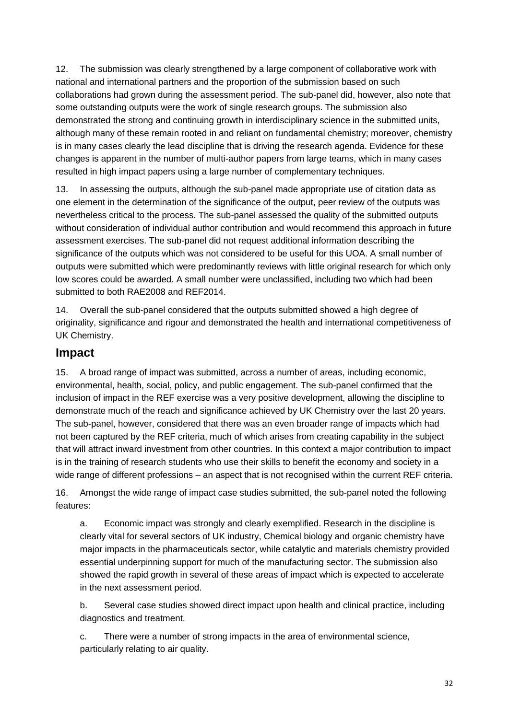12. The submission was clearly strengthened by a large component of collaborative work with national and international partners and the proportion of the submission based on such collaborations had grown during the assessment period. The sub-panel did, however, also note that some outstanding outputs were the work of single research groups. The submission also demonstrated the strong and continuing growth in interdisciplinary science in the submitted units, although many of these remain rooted in and reliant on fundamental chemistry; moreover, chemistry is in many cases clearly the lead discipline that is driving the research agenda. Evidence for these changes is apparent in the number of multi-author papers from large teams, which in many cases resulted in high impact papers using a large number of complementary techniques.

13. In assessing the outputs, although the sub-panel made appropriate use of citation data as one element in the determination of the significance of the output, peer review of the outputs was nevertheless critical to the process. The sub-panel assessed the quality of the submitted outputs without consideration of individual author contribution and would recommend this approach in future assessment exercises. The sub-panel did not request additional information describing the significance of the outputs which was not considered to be useful for this UOA. A small number of outputs were submitted which were predominantly reviews with little original research for which only low scores could be awarded. A small number were unclassified, including two which had been submitted to both RAE2008 and REF2014.

14. Overall the sub-panel considered that the outputs submitted showed a high degree of originality, significance and rigour and demonstrated the health and international competitiveness of UK Chemistry.

#### **Impact**

15. A broad range of impact was submitted, across a number of areas, including economic, environmental, health, social, policy, and public engagement. The sub-panel confirmed that the inclusion of impact in the REF exercise was a very positive development, allowing the discipline to demonstrate much of the reach and significance achieved by UK Chemistry over the last 20 years. The sub-panel, however, considered that there was an even broader range of impacts which had not been captured by the REF criteria, much of which arises from creating capability in the subject that will attract inward investment from other countries. In this context a major contribution to impact is in the training of research students who use their skills to benefit the economy and society in a wide range of different professions – an aspect that is not recognised within the current REF criteria.

16. Amongst the wide range of impact case studies submitted, the sub-panel noted the following features:

a. Economic impact was strongly and clearly exemplified. Research in the discipline is clearly vital for several sectors of UK industry, Chemical biology and organic chemistry have major impacts in the pharmaceuticals sector, while catalytic and materials chemistry provided essential underpinning support for much of the manufacturing sector. The submission also showed the rapid growth in several of these areas of impact which is expected to accelerate in the next assessment period.

b. Several case studies showed direct impact upon health and clinical practice, including diagnostics and treatment.

c. There were a number of strong impacts in the area of environmental science, particularly relating to air quality.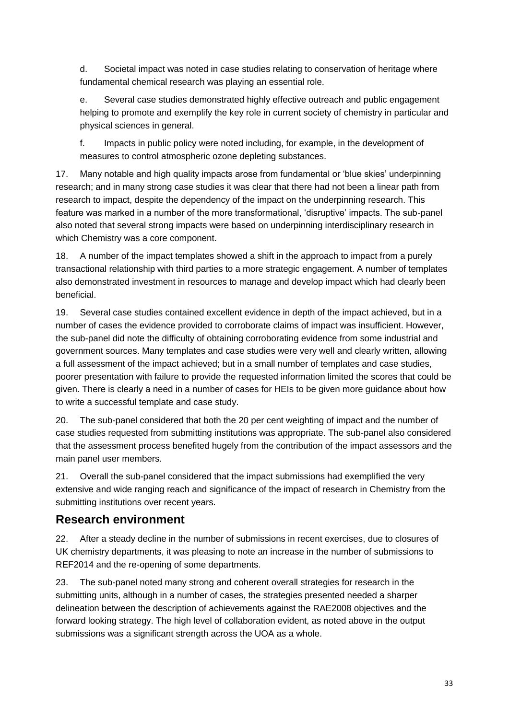d. Societal impact was noted in case studies relating to conservation of heritage where fundamental chemical research was playing an essential role.

e. Several case studies demonstrated highly effective outreach and public engagement helping to promote and exemplify the key role in current society of chemistry in particular and physical sciences in general.

f. Impacts in public policy were noted including, for example, in the development of measures to control atmospheric ozone depleting substances.

17. Many notable and high quality impacts arose from fundamental or 'blue skies' underpinning research; and in many strong case studies it was clear that there had not been a linear path from research to impact, despite the dependency of the impact on the underpinning research. This feature was marked in a number of the more transformational, 'disruptive' impacts. The sub-panel also noted that several strong impacts were based on underpinning interdisciplinary research in which Chemistry was a core component.

18. A number of the impact templates showed a shift in the approach to impact from a purely transactional relationship with third parties to a more strategic engagement. A number of templates also demonstrated investment in resources to manage and develop impact which had clearly been beneficial.

19. Several case studies contained excellent evidence in depth of the impact achieved, but in a number of cases the evidence provided to corroborate claims of impact was insufficient. However, the sub-panel did note the difficulty of obtaining corroborating evidence from some industrial and government sources. Many templates and case studies were very well and clearly written, allowing a full assessment of the impact achieved; but in a small number of templates and case studies, poorer presentation with failure to provide the requested information limited the scores that could be given. There is clearly a need in a number of cases for HEIs to be given more guidance about how to write a successful template and case study.

20. The sub-panel considered that both the 20 per cent weighting of impact and the number of case studies requested from submitting institutions was appropriate. The sub-panel also considered that the assessment process benefited hugely from the contribution of the impact assessors and the main panel user members.

21. Overall the sub-panel considered that the impact submissions had exemplified the very extensive and wide ranging reach and significance of the impact of research in Chemistry from the submitting institutions over recent years.

### **Research environment**

22. After a steady decline in the number of submissions in recent exercises, due to closures of UK chemistry departments, it was pleasing to note an increase in the number of submissions to REF2014 and the re-opening of some departments.

23. The sub-panel noted many strong and coherent overall strategies for research in the submitting units, although in a number of cases, the strategies presented needed a sharper delineation between the description of achievements against the RAE2008 objectives and the forward looking strategy. The high level of collaboration evident, as noted above in the output submissions was a significant strength across the UOA as a whole.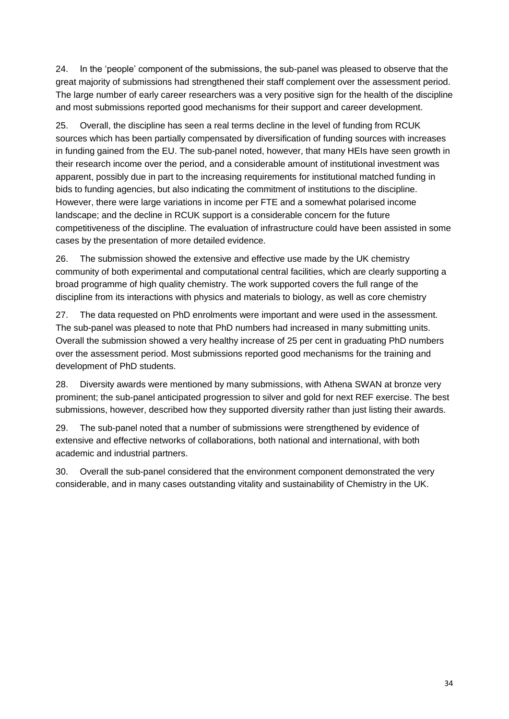24. In the 'people' component of the submissions, the sub-panel was pleased to observe that the great majority of submissions had strengthened their staff complement over the assessment period. The large number of early career researchers was a very positive sign for the health of the discipline and most submissions reported good mechanisms for their support and career development.

25. Overall, the discipline has seen a real terms decline in the level of funding from RCUK sources which has been partially compensated by diversification of funding sources with increases in funding gained from the EU. The sub-panel noted, however, that many HEIs have seen growth in their research income over the period, and a considerable amount of institutional investment was apparent, possibly due in part to the increasing requirements for institutional matched funding in bids to funding agencies, but also indicating the commitment of institutions to the discipline. However, there were large variations in income per FTE and a somewhat polarised income landscape; and the decline in RCUK support is a considerable concern for the future competitiveness of the discipline. The evaluation of infrastructure could have been assisted in some cases by the presentation of more detailed evidence.

26. The submission showed the extensive and effective use made by the UK chemistry community of both experimental and computational central facilities, which are clearly supporting a broad programme of high quality chemistry. The work supported covers the full range of the discipline from its interactions with physics and materials to biology, as well as core chemistry

27. The data requested on PhD enrolments were important and were used in the assessment. The sub-panel was pleased to note that PhD numbers had increased in many submitting units. Overall the submission showed a very healthy increase of 25 per cent in graduating PhD numbers over the assessment period. Most submissions reported good mechanisms for the training and development of PhD students.

28. Diversity awards were mentioned by many submissions, with Athena SWAN at bronze very prominent; the sub-panel anticipated progression to silver and gold for next REF exercise. The best submissions, however, described how they supported diversity rather than just listing their awards.

29. The sub-panel noted that a number of submissions were strengthened by evidence of extensive and effective networks of collaborations, both national and international, with both academic and industrial partners.

30. Overall the sub-panel considered that the environment component demonstrated the very considerable, and in many cases outstanding vitality and sustainability of Chemistry in the UK.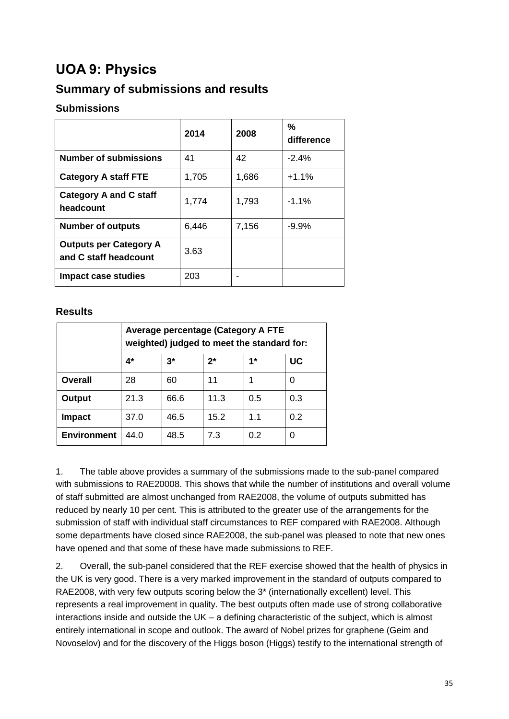# <span id="page-35-0"></span>**UOA 9: Physics**

### **Summary of submissions and results**

### **Submissions**

|                                                        | 2014  | 2008  | %<br>difference |
|--------------------------------------------------------|-------|-------|-----------------|
| <b>Number of submissions</b>                           | 41    | 42    | $-2.4%$         |
| <b>Category A staff FTE</b>                            | 1,705 | 1,686 | $+1.1%$         |
| <b>Category A and C staff</b><br>headcount             | 1,774 | 1,793 | $-1.1\%$        |
| <b>Number of outputs</b>                               | 6,446 | 7,156 | $-9.9%$         |
| <b>Outputs per Category A</b><br>and C staff headcount | 3.63  |       |                 |
| Impact case studies                                    | 203   |       |                 |

#### **Results**

|                    | <b>Average percentage (Category A FTE</b><br>weighted) judged to meet the standard for: |                         |      |     |     |  |  |  |  |  |
|--------------------|-----------------------------------------------------------------------------------------|-------------------------|------|-----|-----|--|--|--|--|--|
|                    | $4^*$                                                                                   | UC<br>$3^*$<br>2*<br>1* |      |     |     |  |  |  |  |  |
| <b>Overall</b>     | 28                                                                                      | 60                      | 11   |     | U   |  |  |  |  |  |
| Output             | 21.3                                                                                    | 66.6                    | 11.3 | 0.5 | 0.3 |  |  |  |  |  |
| <b>Impact</b>      | 37.0                                                                                    | 46.5                    | 15.2 | 1.1 | 0.2 |  |  |  |  |  |
| <b>Environment</b> | 44.0                                                                                    | 48.5                    | 7.3  | 0.2 | U   |  |  |  |  |  |

1. The table above provides a summary of the submissions made to the sub-panel compared with submissions to RAE20008. This shows that while the number of institutions and overall volume of staff submitted are almost unchanged from RAE2008, the volume of outputs submitted has reduced by nearly 10 per cent. This is attributed to the greater use of the arrangements for the submission of staff with individual staff circumstances to REF compared with RAE2008. Although some departments have closed since RAE2008, the sub-panel was pleased to note that new ones have opened and that some of these have made submissions to REF.

2. Overall, the sub-panel considered that the REF exercise showed that the health of physics in the UK is very good. There is a very marked improvement in the standard of outputs compared to RAE2008, with very few outputs scoring below the 3\* (internationally excellent) level. This represents a real improvement in quality. The best outputs often made use of strong collaborative interactions inside and outside the UK – a defining characteristic of the subject, which is almost entirely international in scope and outlook. The award of Nobel prizes for graphene (Geim and Novoselov) and for the discovery of the Higgs boson (Higgs) testify to the international strength of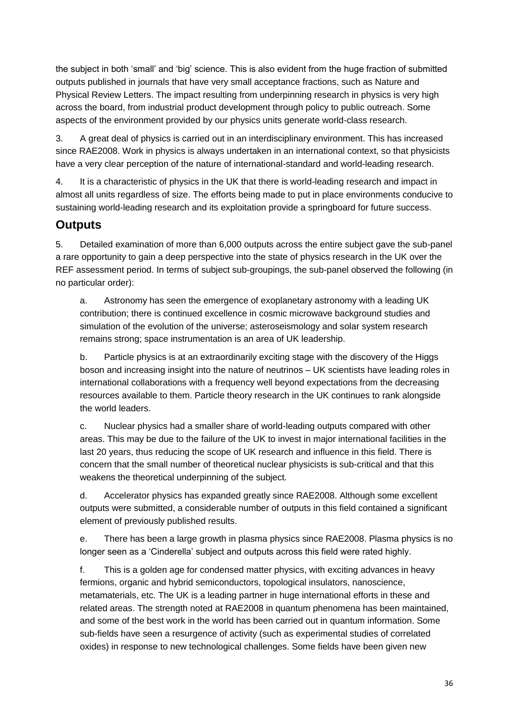the subject in both 'small' and 'big' science. This is also evident from the huge fraction of submitted outputs published in journals that have very small acceptance fractions, such as Nature and Physical Review Letters. The impact resulting from underpinning research in physics is very high across the board, from industrial product development through policy to public outreach. Some aspects of the environment provided by our physics units generate world-class research.

3. A great deal of physics is carried out in an interdisciplinary environment. This has increased since RAE2008. Work in physics is always undertaken in an international context, so that physicists have a very clear perception of the nature of international-standard and world-leading research.

4. It is a characteristic of physics in the UK that there is world-leading research and impact in almost all units regardless of size. The efforts being made to put in place environments conducive to sustaining world-leading research and its exploitation provide a springboard for future success.

### **Outputs**

5. Detailed examination of more than 6,000 outputs across the entire subject gave the sub-panel a rare opportunity to gain a deep perspective into the state of physics research in the UK over the REF assessment period. In terms of subject sub-groupings, the sub-panel observed the following (in no particular order):

a. Astronomy has seen the emergence of exoplanetary astronomy with a leading UK contribution; there is continued excellence in cosmic microwave background studies and simulation of the evolution of the universe; asteroseismology and solar system research remains strong; space instrumentation is an area of UK leadership.

b. Particle physics is at an extraordinarily exciting stage with the discovery of the Higgs boson and increasing insight into the nature of neutrinos – UK scientists have leading roles in international collaborations with a frequency well beyond expectations from the decreasing resources available to them. Particle theory research in the UK continues to rank alongside the world leaders.

c. Nuclear physics had a smaller share of world-leading outputs compared with other areas. This may be due to the failure of the UK to invest in major international facilities in the last 20 years, thus reducing the scope of UK research and influence in this field. There is concern that the small number of theoretical nuclear physicists is sub-critical and that this weakens the theoretical underpinning of the subject.

d. Accelerator physics has expanded greatly since RAE2008. Although some excellent outputs were submitted, a considerable number of outputs in this field contained a significant element of previously published results.

e. There has been a large growth in plasma physics since RAE2008. Plasma physics is no longer seen as a 'Cinderella' subject and outputs across this field were rated highly.

f. This is a golden age for condensed matter physics, with exciting advances in heavy fermions, organic and hybrid semiconductors, topological insulators, nanoscience, metamaterials, etc. The UK is a leading partner in huge international efforts in these and related areas. The strength noted at RAE2008 in quantum phenomena has been maintained, and some of the best work in the world has been carried out in quantum information. Some sub-fields have seen a resurgence of activity (such as experimental studies of correlated oxides) in response to new technological challenges. Some fields have been given new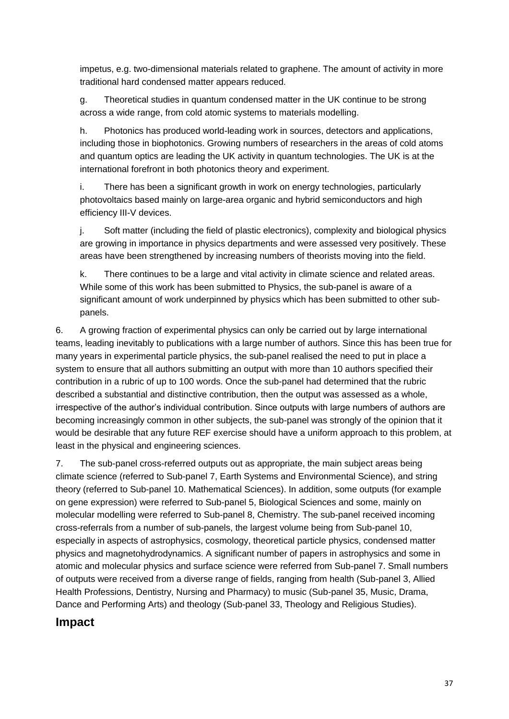impetus, e.g. two-dimensional materials related to graphene. The amount of activity in more traditional hard condensed matter appears reduced.

g. Theoretical studies in quantum condensed matter in the UK continue to be strong across a wide range, from cold atomic systems to materials modelling.

h. Photonics has produced world-leading work in sources, detectors and applications, including those in biophotonics. Growing numbers of researchers in the areas of cold atoms and quantum optics are leading the UK activity in quantum technologies. The UK is at the international forefront in both photonics theory and experiment.

i. There has been a significant growth in work on energy technologies, particularly photovoltaics based mainly on large-area organic and hybrid semiconductors and high efficiency III-V devices.

j. Soft matter (including the field of plastic electronics), complexity and biological physics are growing in importance in physics departments and were assessed very positively. These areas have been strengthened by increasing numbers of theorists moving into the field.

k. There continues to be a large and vital activity in climate science and related areas. While some of this work has been submitted to Physics, the sub-panel is aware of a significant amount of work underpinned by physics which has been submitted to other subpanels.

6. A growing fraction of experimental physics can only be carried out by large international teams, leading inevitably to publications with a large number of authors. Since this has been true for many years in experimental particle physics, the sub-panel realised the need to put in place a system to ensure that all authors submitting an output with more than 10 authors specified their contribution in a rubric of up to 100 words. Once the sub-panel had determined that the rubric described a substantial and distinctive contribution, then the output was assessed as a whole, irrespective of the author's individual contribution. Since outputs with large numbers of authors are becoming increasingly common in other subjects, the sub-panel was strongly of the opinion that it would be desirable that any future REF exercise should have a uniform approach to this problem, at least in the physical and engineering sciences.

7. The sub-panel cross-referred outputs out as appropriate, the main subject areas being climate science (referred to Sub-panel 7, Earth Systems and Environmental Science), and string theory (referred to Sub-panel 10. Mathematical Sciences). In addition, some outputs (for example on gene expression) were referred to Sub-panel 5, Biological Sciences and some, mainly on molecular modelling were referred to Sub-panel 8, Chemistry. The sub-panel received incoming cross-referrals from a number of sub-panels, the largest volume being from Sub-panel 10, especially in aspects of astrophysics, cosmology, theoretical particle physics, condensed matter physics and magnetohydrodynamics. A significant number of papers in astrophysics and some in atomic and molecular physics and surface science were referred from Sub-panel 7. Small numbers of outputs were received from a diverse range of fields, ranging from health (Sub-panel 3, Allied Health Professions, Dentistry, Nursing and Pharmacy) to music (Sub-panel 35, Music, Drama, Dance and Performing Arts) and theology (Sub-panel 33, Theology and Religious Studies).

### **Impact**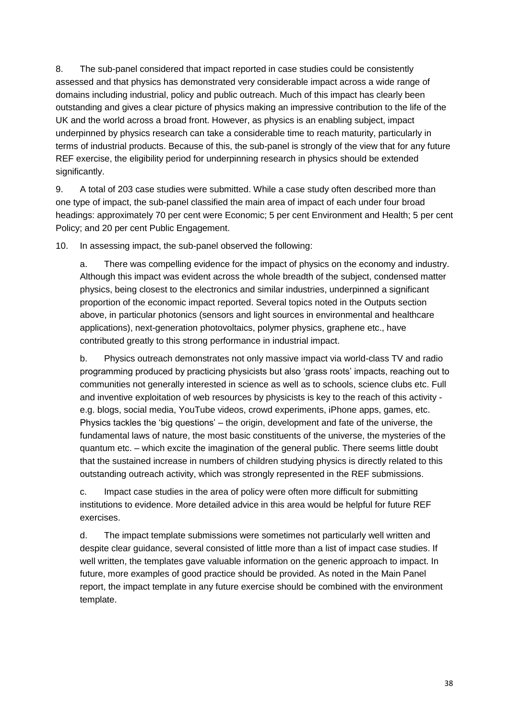8. The sub-panel considered that impact reported in case studies could be consistently assessed and that physics has demonstrated very considerable impact across a wide range of domains including industrial, policy and public outreach. Much of this impact has clearly been outstanding and gives a clear picture of physics making an impressive contribution to the life of the UK and the world across a broad front. However, as physics is an enabling subject, impact underpinned by physics research can take a considerable time to reach maturity, particularly in terms of industrial products. Because of this, the sub-panel is strongly of the view that for any future REF exercise, the eligibility period for underpinning research in physics should be extended significantly.

9. A total of 203 case studies were submitted. While a case study often described more than one type of impact, the sub-panel classified the main area of impact of each under four broad headings: approximately 70 per cent were Economic; 5 per cent Environment and Health; 5 per cent Policy; and 20 per cent Public Engagement.

10. In assessing impact, the sub-panel observed the following:

a. There was compelling evidence for the impact of physics on the economy and industry. Although this impact was evident across the whole breadth of the subject, condensed matter physics, being closest to the electronics and similar industries, underpinned a significant proportion of the economic impact reported. Several topics noted in the Outputs section above, in particular photonics (sensors and light sources in environmental and healthcare applications), next-generation photovoltaics, polymer physics, graphene etc., have contributed greatly to this strong performance in industrial impact.

b. Physics outreach demonstrates not only massive impact via world-class TV and radio programming produced by practicing physicists but also 'grass roots' impacts, reaching out to communities not generally interested in science as well as to schools, science clubs etc. Full and inventive exploitation of web resources by physicists is key to the reach of this activity e.g. blogs, social media, YouTube videos, crowd experiments, iPhone apps, games, etc. Physics tackles the 'big questions' – the origin, development and fate of the universe, the fundamental laws of nature, the most basic constituents of the universe, the mysteries of the quantum etc. – which excite the imagination of the general public. There seems little doubt that the sustained increase in numbers of children studying physics is directly related to this outstanding outreach activity, which was strongly represented in the REF submissions.

c. Impact case studies in the area of policy were often more difficult for submitting institutions to evidence. More detailed advice in this area would be helpful for future REF exercises.

d. The impact template submissions were sometimes not particularly well written and despite clear guidance, several consisted of little more than a list of impact case studies. If well written, the templates gave valuable information on the generic approach to impact. In future, more examples of good practice should be provided. As noted in the Main Panel report, the impact template in any future exercise should be combined with the environment template.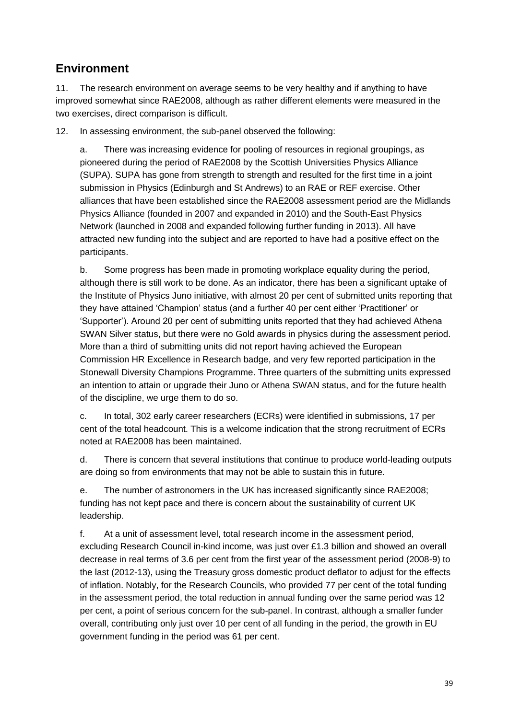### **Environment**

11. The research environment on average seems to be very healthy and if anything to have improved somewhat since RAE2008, although as rather different elements were measured in the two exercises, direct comparison is difficult.

12. In assessing environment, the sub-panel observed the following:

a. There was increasing evidence for pooling of resources in regional groupings, as pioneered during the period of RAE2008 by the Scottish Universities Physics Alliance (SUPA). SUPA has gone from strength to strength and resulted for the first time in a joint submission in Physics (Edinburgh and St Andrews) to an RAE or REF exercise. Other alliances that have been established since the RAE2008 assessment period are the Midlands Physics Alliance (founded in 2007 and expanded in 2010) and the South-East Physics Network (launched in 2008 and expanded following further funding in 2013). All have attracted new funding into the subject and are reported to have had a positive effect on the participants.

b. Some progress has been made in promoting workplace equality during the period, although there is still work to be done. As an indicator, there has been a significant uptake of the Institute of Physics Juno initiative, with almost 20 per cent of submitted units reporting that they have attained 'Champion' status (and a further 40 per cent either 'Practitioner' or 'Supporter'). Around 20 per cent of submitting units reported that they had achieved Athena SWAN Silver status, but there were no Gold awards in physics during the assessment period. More than a third of submitting units did not report having achieved the European Commission HR Excellence in Research badge, and very few reported participation in the Stonewall Diversity Champions Programme. Three quarters of the submitting units expressed an intention to attain or upgrade their Juno or Athena SWAN status, and for the future health of the discipline, we urge them to do so.

c. In total, 302 early career researchers (ECRs) were identified in submissions, 17 per cent of the total headcount. This is a welcome indication that the strong recruitment of ECRs noted at RAE2008 has been maintained.

d. There is concern that several institutions that continue to produce world-leading outputs are doing so from environments that may not be able to sustain this in future.

e. The number of astronomers in the UK has increased significantly since RAE2008; funding has not kept pace and there is concern about the sustainability of current UK leadership.

f. At a unit of assessment level, total research income in the assessment period, excluding Research Council in-kind income, was just over £1.3 billion and showed an overall decrease in real terms of 3.6 per cent from the first year of the assessment period (2008-9) to the last (2012-13), using the Treasury gross domestic product deflator to adjust for the effects of inflation. Notably, for the Research Councils, who provided 77 per cent of the total funding in the assessment period, the total reduction in annual funding over the same period was 12 per cent, a point of serious concern for the sub-panel. In contrast, although a smaller funder overall, contributing only just over 10 per cent of all funding in the period, the growth in EU government funding in the period was 61 per cent.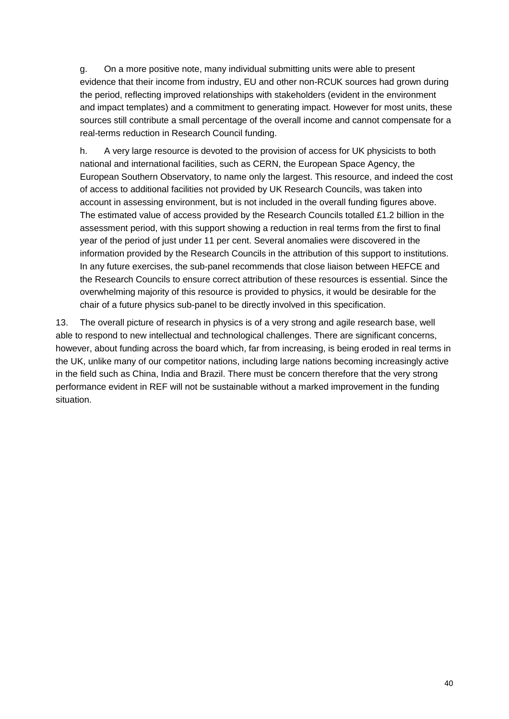g. On a more positive note, many individual submitting units were able to present evidence that their income from industry, EU and other non-RCUK sources had grown during the period, reflecting improved relationships with stakeholders (evident in the environment and impact templates) and a commitment to generating impact. However for most units, these sources still contribute a small percentage of the overall income and cannot compensate for a real-terms reduction in Research Council funding.

h. A very large resource is devoted to the provision of access for UK physicists to both national and international facilities, such as CERN, the European Space Agency, the European Southern Observatory, to name only the largest. This resource, and indeed the cost of access to additional facilities not provided by UK Research Councils, was taken into account in assessing environment, but is not included in the overall funding figures above. The estimated value of access provided by the Research Councils totalled £1.2 billion in the assessment period, with this support showing a reduction in real terms from the first to final year of the period of just under 11 per cent. Several anomalies were discovered in the information provided by the Research Councils in the attribution of this support to institutions. In any future exercises, the sub-panel recommends that close liaison between HEFCE and the Research Councils to ensure correct attribution of these resources is essential. Since the overwhelming majority of this resource is provided to physics, it would be desirable for the chair of a future physics sub-panel to be directly involved in this specification.

13. The overall picture of research in physics is of a very strong and agile research base, well able to respond to new intellectual and technological challenges. There are significant concerns, however, about funding across the board which, far from increasing, is being eroded in real terms in the UK, unlike many of our competitor nations, including large nations becoming increasingly active in the field such as China, India and Brazil. There must be concern therefore that the very strong performance evident in REF will not be sustainable without a marked improvement in the funding situation.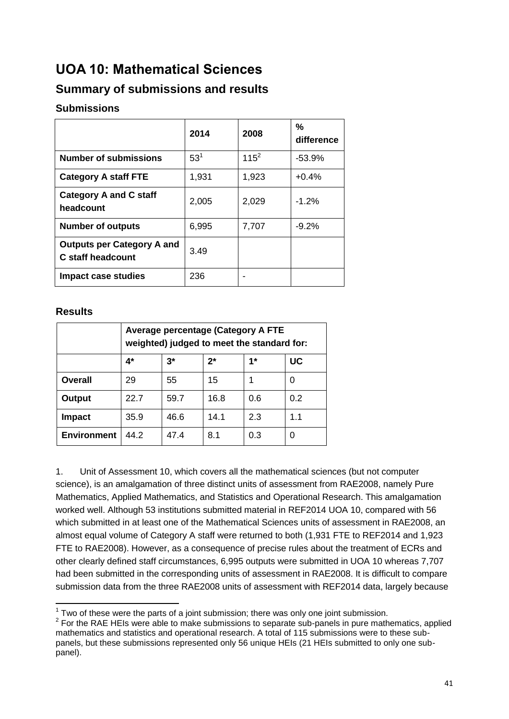# <span id="page-41-0"></span>**UOA 10: Mathematical Sciences**

### **Summary of submissions and results**

### **Submissions**

|                                                               | 2014     | 2008    | $\frac{9}{6}$<br>difference |
|---------------------------------------------------------------|----------|---------|-----------------------------|
| <b>Number of submissions</b>                                  | $53^{1}$ | $115^2$ | $-53.9%$                    |
| <b>Category A staff FTE</b>                                   | 1,931    | 1,923   | $+0.4%$                     |
| <b>Category A and C staff</b><br>headcount                    | 2,005    | 2,029   | $-1.2%$                     |
| <b>Number of outputs</b>                                      | 6,995    | 7,707   | $-9.2%$                     |
| <b>Outputs per Category A and</b><br><b>C</b> staff headcount | 3.49     |         |                             |
| Impact case studies                                           | 236      |         |                             |

#### **Results**

|                    | Average percentage (Category A FTE<br>weighted) judged to meet the standard for: |                         |      |     |     |  |  |  |  |  |
|--------------------|----------------------------------------------------------------------------------|-------------------------|------|-----|-----|--|--|--|--|--|
|                    | 4*                                                                               | UC<br>$3^*$<br>1*<br>2* |      |     |     |  |  |  |  |  |
| Overall            | 29                                                                               | 55                      | 15   |     |     |  |  |  |  |  |
| Output             | 22.7                                                                             | 59.7                    | 16.8 | 0.6 | 0.2 |  |  |  |  |  |
| <b>Impact</b>      | 35.9                                                                             | 46.6                    | 14.1 | 2.3 | 1.1 |  |  |  |  |  |
| <b>Environment</b> | 44.2                                                                             | 47.4                    | 8.1  | 0.3 | O   |  |  |  |  |  |

1. Unit of Assessment 10, which covers all the mathematical sciences (but not computer science), is an amalgamation of three distinct units of assessment from RAE2008, namely Pure Mathematics, Applied Mathematics, and Statistics and Operational Research. This amalgamation worked well. Although 53 institutions submitted material in REF2014 UOA 10, compared with 56 which submitted in at least one of the Mathematical Sciences units of assessment in RAE2008, an almost equal volume of Category A staff were returned to both (1,931 FTE to REF2014 and 1,923 FTE to RAE2008). However, as a consequence of precise rules about the treatment of ECRs and other clearly defined staff circumstances, 6,995 outputs were submitted in UOA 10 whereas 7,707 had been submitted in the corresponding units of assessment in RAE2008. It is difficult to compare submission data from the three RAE2008 units of assessment with REF2014 data, largely because

THE TWO OF these were the parts of a joint submission; there was only one joint submission.

 $2$  For the RAE HEIs were able to make submissions to separate sub-panels in pure mathematics, applied mathematics and statistics and operational research. A total of 115 submissions were to these subpanels, but these submissions represented only 56 unique HEIs (21 HEIs submitted to only one subpanel).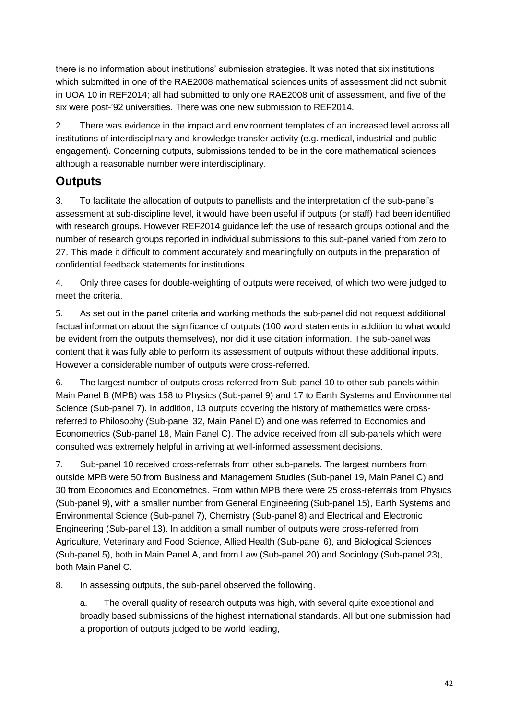there is no information about institutions' submission strategies. It was noted that six institutions which submitted in one of the RAE2008 mathematical sciences units of assessment did not submit in UOA 10 in REF2014; all had submitted to only one RAE2008 unit of assessment, and five of the six were post-'92 universities. There was one new submission to REF2014.

2. There was evidence in the impact and environment templates of an increased level across all institutions of interdisciplinary and knowledge transfer activity (e.g. medical, industrial and public engagement). Concerning outputs, submissions tended to be in the core mathematical sciences although a reasonable number were interdisciplinary.

### **Outputs**

3. To facilitate the allocation of outputs to panellists and the interpretation of the sub-panel's assessment at sub-discipline level, it would have been useful if outputs (or staff) had been identified with research groups. However REF2014 guidance left the use of research groups optional and the number of research groups reported in individual submissions to this sub-panel varied from zero to 27. This made it difficult to comment accurately and meaningfully on outputs in the preparation of confidential feedback statements for institutions.

4. Only three cases for double-weighting of outputs were received, of which two were judged to meet the criteria.

5. As set out in the panel criteria and working methods the sub-panel did not request additional factual information about the significance of outputs (100 word statements in addition to what would be evident from the outputs themselves), nor did it use citation information. The sub-panel was content that it was fully able to perform its assessment of outputs without these additional inputs. However a considerable number of outputs were cross-referred.

6. The largest number of outputs cross-referred from Sub-panel 10 to other sub-panels within Main Panel B (MPB) was 158 to Physics (Sub-panel 9) and 17 to Earth Systems and Environmental Science (Sub-panel 7). In addition, 13 outputs covering the history of mathematics were crossreferred to Philosophy (Sub-panel 32, Main Panel D) and one was referred to Economics and Econometrics (Sub-panel 18, Main Panel C). The advice received from all sub-panels which were consulted was extremely helpful in arriving at well-informed assessment decisions.

7. Sub-panel 10 received cross-referrals from other sub-panels. The largest numbers from outside MPB were 50 from Business and Management Studies (Sub-panel 19, Main Panel C) and 30 from Economics and Econometrics. From within MPB there were 25 cross-referrals from Physics (Sub-panel 9), with a smaller number from General Engineering (Sub-panel 15), Earth Systems and Environmental Science (Sub-panel 7), Chemistry (Sub-panel 8) and Electrical and Electronic Engineering (Sub-panel 13). In addition a small number of outputs were cross-referred from Agriculture, Veterinary and Food Science, Allied Health (Sub-panel 6), and Biological Sciences (Sub-panel 5), both in Main Panel A, and from Law (Sub-panel 20) and Sociology (Sub-panel 23), both Main Panel C.

8. In assessing outputs, the sub-panel observed the following.

a. The overall quality of research outputs was high, with several quite exceptional and broadly based submissions of the highest international standards. All but one submission had a proportion of outputs judged to be world leading,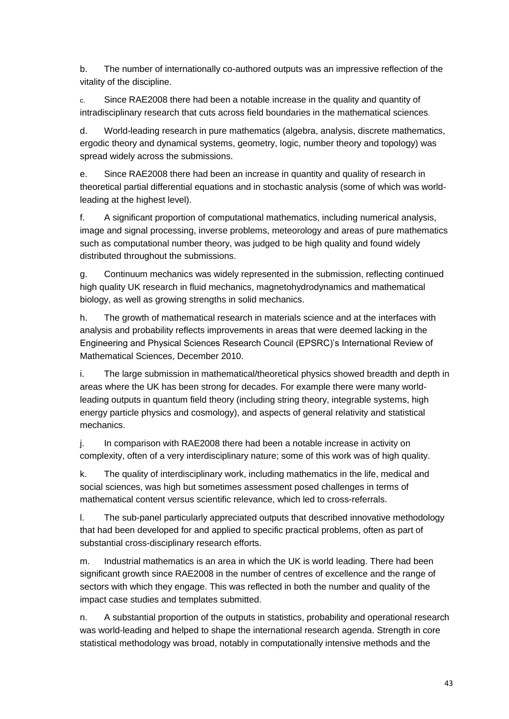b. The number of internationally co-authored outputs was an impressive reflection of the vitality of the discipline.

c. Since RAE2008 there had been a notable increase in the quality and quantity of intradisciplinary research that cuts across field boundaries in the mathematical sciences.

d. World-leading research in pure mathematics (algebra, analysis, discrete mathematics, ergodic theory and dynamical systems, geometry, logic, number theory and topology) was spread widely across the submissions.

e. Since RAE2008 there had been an increase in quantity and quality of research in theoretical partial differential equations and in stochastic analysis (some of which was worldleading at the highest level).

f. A significant proportion of computational mathematics, including numerical analysis, image and signal processing, inverse problems, meteorology and areas of pure mathematics such as computational number theory, was judged to be high quality and found widely distributed throughout the submissions.

g. Continuum mechanics was widely represented in the submission, reflecting continued high quality UK research in fluid mechanics, magnetohydrodynamics and mathematical biology, as well as growing strengths in solid mechanics.

h. The growth of mathematical research in materials science and at the interfaces with analysis and probability reflects improvements in areas that were deemed lacking in the Engineering and Physical Sciences Research Council (EPSRC)'s International Review of Mathematical Sciences, December 2010.

i. The large submission in mathematical/theoretical physics showed breadth and depth in areas where the UK has been strong for decades. For example there were many worldleading outputs in quantum field theory (including string theory, integrable systems, high energy particle physics and cosmology), and aspects of general relativity and statistical mechanics.

j. In comparison with RAE2008 there had been a notable increase in activity on complexity, often of a very interdisciplinary nature; some of this work was of high quality.

k. The quality of interdisciplinary work, including mathematics in the life, medical and social sciences, was high but sometimes assessment posed challenges in terms of mathematical content versus scientific relevance, which led to cross-referrals.

l. The sub-panel particularly appreciated outputs that described innovative methodology that had been developed for and applied to specific practical problems, often as part of substantial cross-disciplinary research efforts.

m. Industrial mathematics is an area in which the UK is world leading. There had been significant growth since RAE2008 in the number of centres of excellence and the range of sectors with which they engage. This was reflected in both the number and quality of the impact case studies and templates submitted.

n. A substantial proportion of the outputs in statistics, probability and operational research was world-leading and helped to shape the international research agenda. Strength in core statistical methodology was broad, notably in computationally intensive methods and the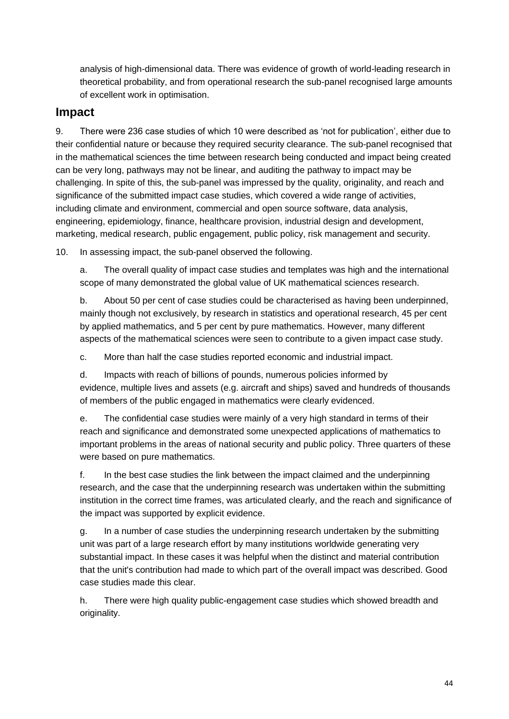analysis of high-dimensional data. There was evidence of growth of world-leading research in theoretical probability, and from operational research the sub-panel recognised large amounts of excellent work in optimisation.

### **Impact**

9. There were 236 case studies of which 10 were described as 'not for publication', either due to their confidential nature or because they required security clearance. The sub-panel recognised that in the mathematical sciences the time between research being conducted and impact being created can be very long, pathways may not be linear, and auditing the pathway to impact may be challenging. In spite of this, the sub-panel was impressed by the quality, originality, and reach and significance of the submitted impact case studies, which covered a wide range of activities, including climate and environment, commercial and open source software, data analysis, engineering, epidemiology, finance, healthcare provision, industrial design and development, marketing, medical research, public engagement, public policy, risk management and security.

10. In assessing impact, the sub-panel observed the following.

a. The overall quality of impact case studies and templates was high and the international scope of many demonstrated the global value of UK mathematical sciences research.

b. About 50 per cent of case studies could be characterised as having been underpinned, mainly though not exclusively, by research in statistics and operational research, 45 per cent by applied mathematics, and 5 per cent by pure mathematics. However, many different aspects of the mathematical sciences were seen to contribute to a given impact case study.

c. More than half the case studies reported economic and industrial impact.

d. Impacts with reach of billions of pounds, numerous policies informed by evidence, multiple lives and assets (e.g. aircraft and ships) saved and hundreds of thousands of members of the public engaged in mathematics were clearly evidenced.

e. The confidential case studies were mainly of a very high standard in terms of their reach and significance and demonstrated some unexpected applications of mathematics to important problems in the areas of national security and public policy. Three quarters of these were based on pure mathematics.

f. In the best case studies the link between the impact claimed and the underpinning research, and the case that the underpinning research was undertaken within the submitting institution in the correct time frames, was articulated clearly, and the reach and significance of the impact was supported by explicit evidence.

g. In a number of case studies the underpinning research undertaken by the submitting unit was part of a large research effort by many institutions worldwide generating very substantial impact. In these cases it was helpful when the distinct and material contribution that the unit's contribution had made to which part of the overall impact was described. Good case studies made this clear.

h. There were high quality public-engagement case studies which showed breadth and originality.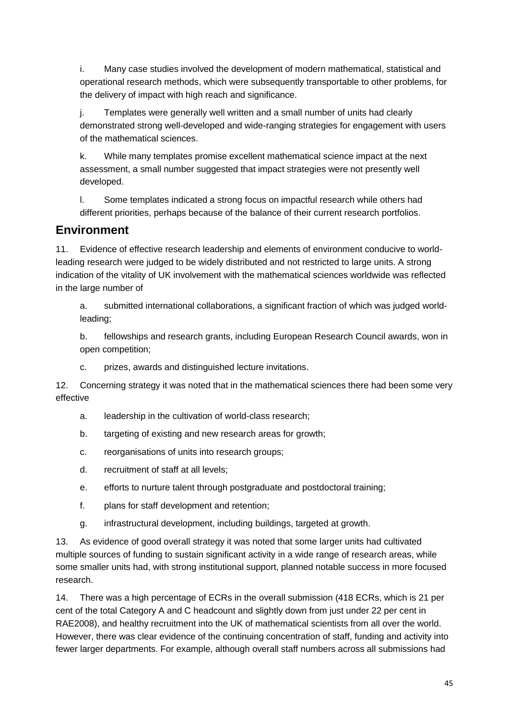i. Many case studies involved the development of modern mathematical, statistical and operational research methods, which were subsequently transportable to other problems, for the delivery of impact with high reach and significance.

j. Templates were generally well written and a small number of units had clearly demonstrated strong well-developed and wide-ranging strategies for engagement with users of the mathematical sciences.

k. While many templates promise excellent mathematical science impact at the next assessment, a small number suggested that impact strategies were not presently well developed.

l. Some templates indicated a strong focus on impactful research while others had different priorities, perhaps because of the balance of their current research portfolios.

### **Environment**

11. Evidence of effective research leadership and elements of environment conducive to worldleading research were judged to be widely distributed and not restricted to large units. A strong indication of the vitality of UK involvement with the mathematical sciences worldwide was reflected in the large number of

a. submitted international collaborations, a significant fraction of which was judged worldleading;

b. fellowships and research grants, including European Research Council awards, won in open competition;

c. prizes, awards and distinguished lecture invitations.

12. Concerning strategy it was noted that in the mathematical sciences there had been some very effective

- a. leadership in the cultivation of world-class research;
- b. targeting of existing and new research areas for growth;
- c. reorganisations of units into research groups;
- d. recruitment of staff at all levels;
- e. efforts to nurture talent through postgraduate and postdoctoral training;
- f. plans for staff development and retention;
- g. infrastructural development, including buildings, targeted at growth.

13. As evidence of good overall strategy it was noted that some larger units had cultivated multiple sources of funding to sustain significant activity in a wide range of research areas, while some smaller units had, with strong institutional support, planned notable success in more focused research.

14. There was a high percentage of ECRs in the overall submission (418 ECRs, which is 21 per cent of the total Category A and C headcount and slightly down from just under 22 per cent in RAE2008), and healthy recruitment into the UK of mathematical scientists from all over the world. However, there was clear evidence of the continuing concentration of staff, funding and activity into fewer larger departments. For example, although overall staff numbers across all submissions had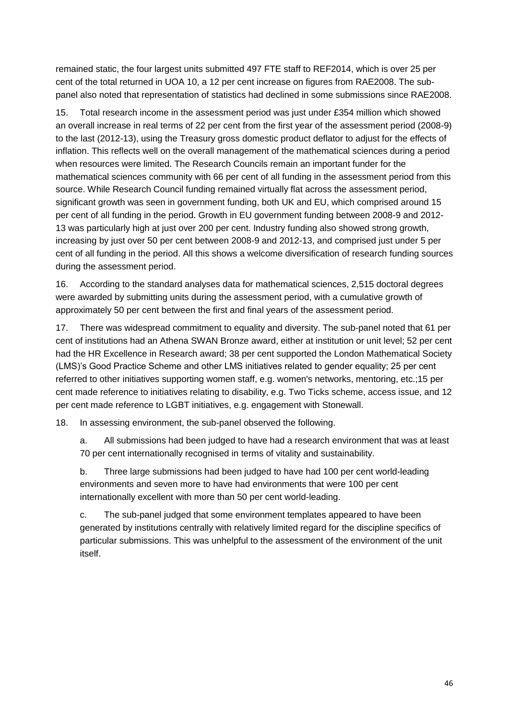remained static, the four largest units submitted 497 FTE staff to REF2014, which is over 25 per cent of the total returned in UOA 10, a 12 per cent increase on figures from RAE2008. The subpanel also noted that representation of statistics had declined in some submissions since RAE2008.

15. Total research income in the assessment period was just under £354 million which showed an overall increase in real terms of 22 per cent from the first year of the assessment period (2008-9) to the last (2012-13), using the Treasury gross domestic product deflator to adjust for the effects of inflation. This reflects well on the overall management of the mathematical sciences during a period when resources were limited. The Research Councils remain an important funder for the mathematical sciences community with 66 per cent of all funding in the assessment period from this source. While Research Council funding remained virtually flat across the assessment period, significant growth was seen in government funding, both UK and EU, which comprised around 15 per cent of all funding in the period. Growth in EU government funding between 2008-9 and 2012- 13 was particularly high at just over 200 per cent. Industry funding also showed strong growth, increasing by just over 50 per cent between 2008-9 and 2012-13, and comprised just under 5 per cent of all funding in the period. All this shows a welcome diversification of research funding sources during the assessment period.

16. According to the standard analyses data for mathematical sciences, 2,515 doctoral degrees were awarded by submitting units during the assessment period, with a cumulative growth of approximately 50 per cent between the first and final years of the assessment period.

17. There was widespread commitment to equality and diversity. The sub-panel noted that 61 per cent of institutions had an Athena SWAN Bronze award, either at institution or unit level; 52 per cent had the HR Excellence in Research award; 38 per cent supported the London Mathematical Society (LMS)'s Good Practice Scheme and other LMS initiatives related to gender equality; 25 per cent referred to other initiatives supporting women staff, e.g. women's networks, mentoring, etc.;15 per cent made reference to initiatives relating to disability, e.g. Two Ticks scheme, access issue, and 12 per cent made reference to LGBT initiatives, e.g. engagement with Stonewall.

18. In assessing environment, the sub-panel observed the following.

a. All submissions had been judged to have had a research environment that was at least 70 per cent internationally recognised in terms of vitality and sustainability.

b. Three large submissions had been judged to have had 100 per cent world-leading environments and seven more to have had environments that were 100 per cent internationally excellent with more than 50 per cent world-leading.

c. The sub-panel judged that some environment templates appeared to have been generated by institutions centrally with relatively limited regard for the discipline specifics of particular submissions. This was unhelpful to the assessment of the environment of the unit itself.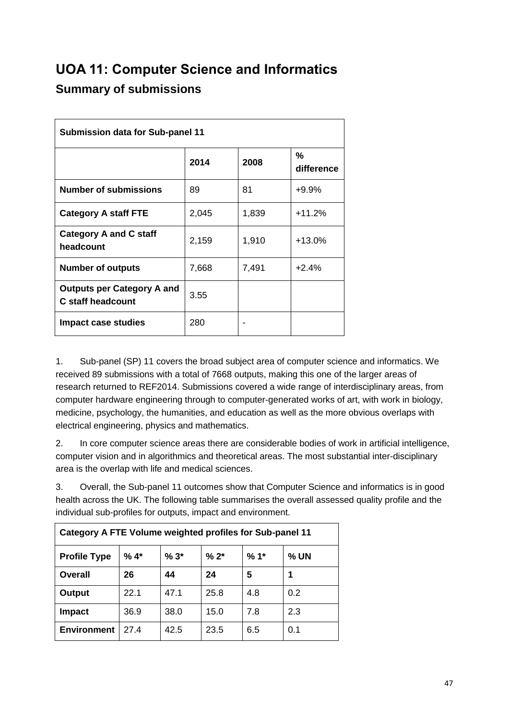# <span id="page-47-0"></span>**UOA 11: Computer Science and Informatics Summary of submissions**

| <b>Submission data for Sub-panel 11</b>                       |       |       |                 |  |  |  |  |
|---------------------------------------------------------------|-------|-------|-----------------|--|--|--|--|
|                                                               | 2014  | 2008  | %<br>difference |  |  |  |  |
| <b>Number of submissions</b>                                  | 89    | 81    | $+9.9%$         |  |  |  |  |
| <b>Category A staff FTE</b>                                   | 2,045 | 1,839 | $+11.2%$        |  |  |  |  |
| <b>Category A and C staff</b><br>headcount                    | 2,159 | 1,910 | $+13.0%$        |  |  |  |  |
| <b>Number of outputs</b>                                      | 7,668 | 7,491 | $+2.4%$         |  |  |  |  |
| <b>Outputs per Category A and</b><br><b>C</b> staff headcount | 3.55  |       |                 |  |  |  |  |
| <b>Impact case studies</b>                                    | 280   |       |                 |  |  |  |  |

1. Sub-panel (SP) 11 covers the broad subject area of computer science and informatics. We received 89 submissions with a total of 7668 outputs, making this one of the larger areas of research returned to REF2014. Submissions covered a wide range of interdisciplinary areas, from computer hardware engineering through to computer-generated works of art, with work in biology, medicine, psychology, the humanities, and education as well as the more obvious overlaps with electrical engineering, physics and mathematics.

2. In core computer science areas there are considerable bodies of work in artificial intelligence, computer vision and in algorithmics and theoretical areas. The most substantial inter-disciplinary area is the overlap with life and medical sciences.

3. Overall, the Sub-panel 11 outcomes show that Computer Science and informatics is in good health across the UK. The following table summarises the overall assessed quality profile and the individual sub-profiles for outputs, impact and environment.

| Category A FTE Volume weighted profiles for Sub-panel 11 |                                              |      |      |     |     |  |  |  |  |
|----------------------------------------------------------|----------------------------------------------|------|------|-----|-----|--|--|--|--|
| <b>Profile Type</b>                                      | $% 4*$<br>$%3*$<br>$% 2*$<br>$%1*$<br>$%$ UN |      |      |     |     |  |  |  |  |
| Overall                                                  | 26                                           | 44   | 24   | 5   |     |  |  |  |  |
| <b>Output</b>                                            | 22.1                                         | 47.1 | 25.8 | 4.8 | 0.2 |  |  |  |  |
| <b>Impact</b>                                            | 36.9                                         | 38.0 | 15.0 | 7.8 | 2.3 |  |  |  |  |
| <b>Environment</b>                                       | 27 4                                         | 42.5 | 23.5 | 6.5 | 0.1 |  |  |  |  |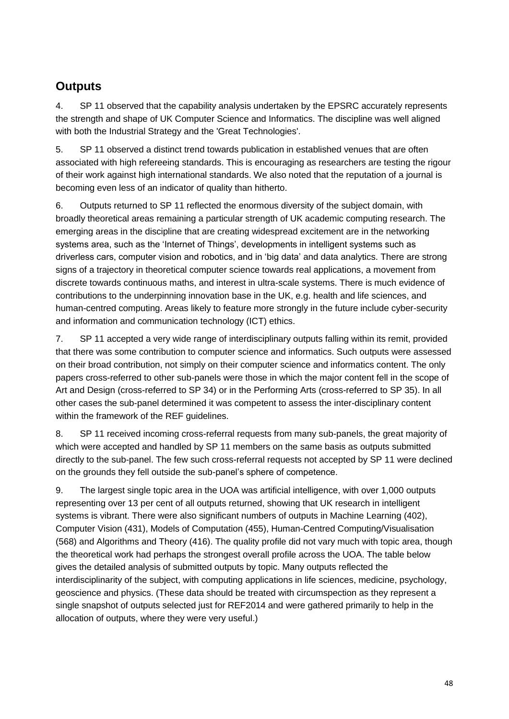### **Outputs**

4. SP 11 observed that the capability analysis undertaken by the EPSRC accurately represents the strength and shape of UK Computer Science and Informatics. The discipline was well aligned with both the Industrial Strategy and the 'Great Technologies'.

5. SP 11 observed a distinct trend towards publication in established venues that are often associated with high refereeing standards. This is encouraging as researchers are testing the rigour of their work against high international standards. We also noted that the reputation of a journal is becoming even less of an indicator of quality than hitherto.

6. Outputs returned to SP 11 reflected the enormous diversity of the subject domain, with broadly theoretical areas remaining a particular strength of UK academic computing research. The emerging areas in the discipline that are creating widespread excitement are in the networking systems area, such as the 'Internet of Things', developments in intelligent systems such as driverless cars, computer vision and robotics, and in 'big data' and data analytics. There are strong signs of a trajectory in theoretical computer science towards real applications, a movement from discrete towards continuous maths, and interest in ultra-scale systems. There is much evidence of contributions to the underpinning innovation base in the UK, e.g. health and life sciences, and human-centred computing. Areas likely to feature more strongly in the future include cyber-security and information and communication technology (ICT) ethics.

7. SP 11 accepted a very wide range of interdisciplinary outputs falling within its remit, provided that there was some contribution to computer science and informatics. Such outputs were assessed on their broad contribution, not simply on their computer science and informatics content. The only papers cross-referred to other sub-panels were those in which the major content fell in the scope of Art and Design (cross-referred to SP 34) or in the Performing Arts (cross-referred to SP 35). In all other cases the sub-panel determined it was competent to assess the inter-disciplinary content within the framework of the REF guidelines.

8. SP 11 received incoming cross-referral requests from many sub-panels, the great majority of which were accepted and handled by SP 11 members on the same basis as outputs submitted directly to the sub-panel. The few such cross-referral requests not accepted by SP 11 were declined on the grounds they fell outside the sub-panel's sphere of competence.

9. The largest single topic area in the UOA was artificial intelligence, with over 1,000 outputs representing over 13 per cent of all outputs returned, showing that UK research in intelligent systems is vibrant. There were also significant numbers of outputs in Machine Learning (402), Computer Vision (431), Models of Computation (455), Human-Centred Computing/Visualisation (568) and Algorithms and Theory (416). The quality profile did not vary much with topic area, though the theoretical work had perhaps the strongest overall profile across the UOA. The table below gives the detailed analysis of submitted outputs by topic. Many outputs reflected the interdisciplinarity of the subject, with computing applications in life sciences, medicine, psychology, geoscience and physics. (These data should be treated with circumspection as they represent a single snapshot of outputs selected just for REF2014 and were gathered primarily to help in the allocation of outputs, where they were very useful.)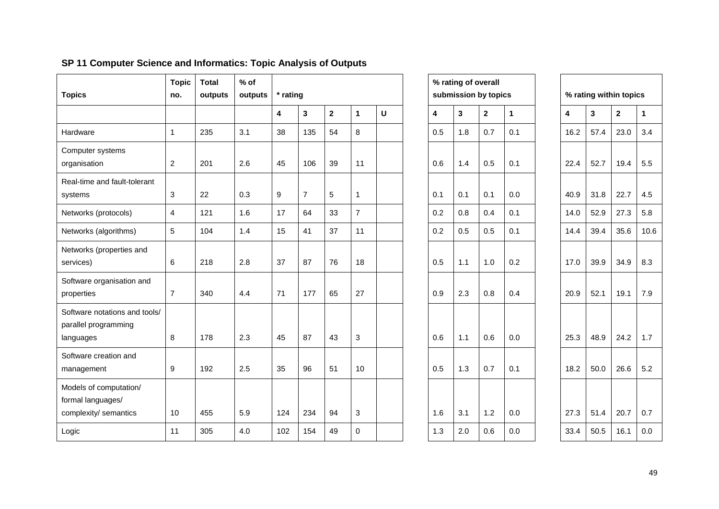| <b>Topics</b>                                                        | <b>Topic</b><br>no.     | <b>Total</b><br>outputs | $%$ of<br>outputs | * rating |                |                |                |   |     | % rating of overall<br>submission by topics |              |              |      | % rating within topics |              |              |
|----------------------------------------------------------------------|-------------------------|-------------------------|-------------------|----------|----------------|----------------|----------------|---|-----|---------------------------------------------|--------------|--------------|------|------------------------|--------------|--------------|
|                                                                      |                         |                         |                   | 4        | 3              | $\overline{2}$ | 1              | U | 4   | 3                                           | $\mathbf{2}$ | $\mathbf{1}$ | 4    | 3                      | $\mathbf{2}$ | $\mathbf{1}$ |
| Hardware                                                             | $\mathbf{1}$            | 235                     | 3.1               | 38       | 135            | 54             | 8              |   | 0.5 | 1.8                                         | 0.7          | 0.1          | 16.2 | 57.4                   | 23.0         | 3.4          |
| Computer systems<br>organisation                                     | 2                       | 201                     | 2.6               | 45       | 106            | 39             | 11             |   | 0.6 | 1.4                                         | 0.5          | 0.1          | 22.4 | 52.7                   | 19.4         | 5.5          |
| Real-time and fault-tolerant<br>systems                              | 3                       | 22                      | 0.3               | 9        | $\overline{7}$ | 5              | $\mathbf{1}$   |   | 0.1 | 0.1                                         | 0.1          | 0.0          | 40.9 | 31.8                   | 22.7         | 4.5          |
| Networks (protocols)                                                 | $\overline{\mathbf{4}}$ | 121                     | 1.6               | 17       | 64             | 33             | $\overline{7}$ |   | 0.2 | 0.8                                         | 0.4          | 0.1          | 14.0 | 52.9                   | 27.3         | 5.8          |
| Networks (algorithms)                                                | 5                       | 104                     | 1.4               | 15       | 41             | 37             | 11             |   | 0.2 | 0.5                                         | 0.5          | 0.1          | 14.4 | 39.4                   | 35.6         | 10.6         |
| Networks (properties and<br>services)                                | 6                       | 218                     | 2.8               | 37       | 87             | 76             | 18             |   | 0.5 | 1.1                                         | 1.0          | 0.2          | 17.0 | 39.9                   | 34.9         | 8.3          |
| Software organisation and<br>properties                              | $\overline{7}$          | 340                     | 4.4               | 71       | 177            | 65             | 27             |   | 0.9 | 2.3                                         | 0.8          | 0.4          | 20.9 | 52.1                   | 19.1         | 7.9          |
| Software notations and tools/<br>parallel programming<br>languages   | 8                       | 178                     | 2.3               | 45       | 87             | 43             | 3              |   | 0.6 | 1.1                                         | 0.6          | 0.0          | 25.3 | 48.9                   | 24.2         | 1.7          |
| Software creation and<br>management                                  | 9                       | 192                     | 2.5               | 35       | 96             | 51             | 10             |   | 0.5 | 1.3                                         | 0.7          | 0.1          | 18.2 | 50.0                   | 26.6         | 5.2          |
| Models of computation/<br>formal languages/<br>complexity/ semantics | 10                      | 455                     | 5.9               | 124      | 234            | 94             | 3              |   | 1.6 | 3.1                                         | 1.2          | 0.0          | 27.3 | 51.4                   | 20.7         | 0.7          |
| Logic                                                                | 11                      | 305                     | 4.0               | 102      | 154            | 49             | $\Omega$       |   | 1.3 | 2.0                                         | 0.6          | 0.0          | 33.4 | 50.5                   | 16.1         | 0.0          |

### **SP 11 Computer Science and Informatics: Topic Analysis of Outputs**

|                         | % rating of overall<br>submission by topics |                         |     |      |      | % rating within topics |                |
|-------------------------|---------------------------------------------|-------------------------|-----|------|------|------------------------|----------------|
| $\overline{\mathbf{4}}$ | 3                                           | $\overline{\mathbf{2}}$ | 1   | 4    | 3    | $\mathbf 2$            | 1              |
| 0.5                     | 1.8                                         | 0.7                     | 0.1 | 16.2 | 57.4 | 23.0                   | G              |
| 0.6                     | 1.4                                         | 0.5                     | 0.1 | 22.4 | 52.7 | 19.4                   | 5              |
| 0.1                     | 0.1                                         | 0.1                     | 0.0 | 40.9 | 31.8 | 22.7                   | 4              |
| 0.2                     | 0.8                                         | 0.4                     | 0.1 | 14.0 | 52.9 | 27.3                   | 5              |
| 0.2                     | 0.5                                         | 0.5                     | 0.1 | 14.4 | 39.4 | 35.6                   | 1              |
| 0.5                     | 1.1                                         | 1.0                     | 0.2 | 17.0 | 39.9 | 34.9                   | ε              |
| 0.9                     | 2.3                                         | 0.8                     | 0.4 | 20.9 | 52.1 | 19.1                   | 7              |
| 0.6                     | 1.1                                         | 0.6                     | 0.0 | 25.3 | 48.9 | 24.2                   | $\overline{1}$ |
| 0.5                     | 1.3                                         | 0.7                     | 0.1 | 18.2 | 50.0 | 26.6                   | 5              |
|                         |                                             |                         |     |      |      |                        |                |
| 1.6                     | 3.1                                         | 1.2                     | 0.0 | 27.3 | 51.4 | 20.7                   | C              |
| 1.3                     | 2.0                                         | 0.6                     | 0.0 | 33.4 | 50.5 | 16.1                   | $\mathsf{C}$   |

|      | % rating within topics |                |      |  |  |  |  |  |  |  |
|------|------------------------|----------------|------|--|--|--|--|--|--|--|
| 4    | 3                      | $\overline{2}$ | 1    |  |  |  |  |  |  |  |
| 16.2 | 57.4                   | 23.0           | 3.4  |  |  |  |  |  |  |  |
| 22.4 | 52.7                   | 19.4           | 5.5  |  |  |  |  |  |  |  |
| 40.9 | 31.8                   | 22.7           | 4.5  |  |  |  |  |  |  |  |
| 14.0 | 52.9                   | 27.3           | 5.8  |  |  |  |  |  |  |  |
| 14.4 | 39.4                   | 35.6           | 10.6 |  |  |  |  |  |  |  |
| 17.0 | 39.9                   | 34.9           | 8.3  |  |  |  |  |  |  |  |
| 20.9 | 52.1                   | 19.1           | 7.9  |  |  |  |  |  |  |  |
| 25.3 | 48.9                   | 24.2           | 1.7  |  |  |  |  |  |  |  |
| 18.2 | 50.0                   | 26.6           | 5.2  |  |  |  |  |  |  |  |
| 27.3 | 51.4                   | 20.7           | 0.7  |  |  |  |  |  |  |  |
| 33.4 | 50.5                   | 16.1           | 0.0  |  |  |  |  |  |  |  |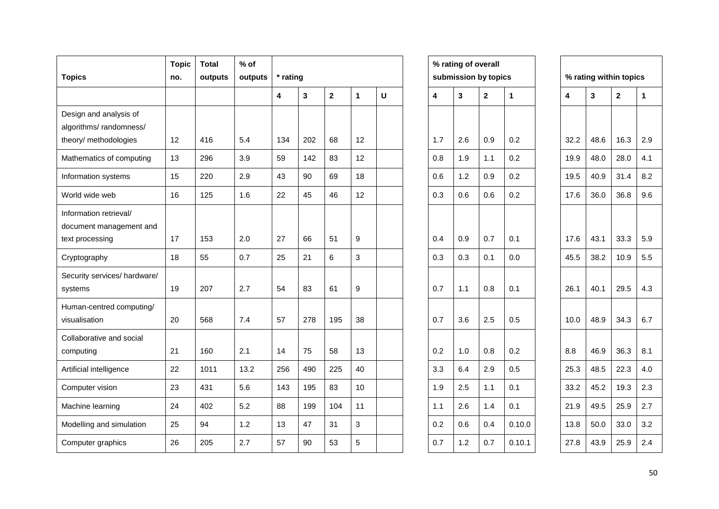| <b>Topics</b>                                                             | <b>Topic</b><br>no. | <b>Total</b><br>outputs | $%$ of<br>outputs | * rating |     |                         |              |   |     | % rating of overall<br>submission by topics |              |              |      |      | % rating within topics |              |
|---------------------------------------------------------------------------|---------------------|-------------------------|-------------------|----------|-----|-------------------------|--------------|---|-----|---------------------------------------------|--------------|--------------|------|------|------------------------|--------------|
|                                                                           |                     |                         |                   | 4        | 3   | $\overline{\mathbf{2}}$ | $\mathbf{1}$ | U | 4   | $\overline{3}$                              | $\mathbf{2}$ | $\mathbf{1}$ | 4    | 3    | $\mathbf 2$            | $\mathbf{1}$ |
| Design and analysis of<br>algorithms/randomness/<br>theory/ methodologies | 12                  | 416                     | 5.4               | 134      | 202 | 68                      | 12           |   | 1.7 | 2.6                                         | 0.9          | 0.2          | 32.2 | 48.6 | 16.3                   | 2.9          |
| Mathematics of computing                                                  | 13                  | 296                     | 3.9               | 59       | 142 | 83                      | 12           |   | 0.8 | 1.9                                         | 1.1          | 0.2          | 19.9 | 48.0 | 28.0                   | 4.1          |
| Information systems                                                       | 15                  | 220                     | 2.9               | 43       | 90  | 69                      | 18           |   | 0.6 | 1.2                                         | 0.9          | 0.2          | 19.5 | 40.9 | 31.4                   | 8.2          |
| World wide web                                                            | 16                  | 125                     | 1.6               | 22       | 45  | 46                      | 12           |   | 0.3 | 0.6                                         | 0.6          | 0.2          | 17.6 | 36.0 | 36.8                   | 9.6          |
| Information retrieval/<br>document management and<br>text processing      | 17                  | 153                     | 2.0               | 27       | 66  | 51                      | 9            |   | 0.4 | 0.9                                         | 0.7          | 0.1          | 17.6 | 43.1 | 33.3                   | 5.9          |
| Cryptography                                                              | 18                  | 55                      | 0.7               | 25       | 21  | 6                       | 3            |   | 0.3 | 0.3                                         | 0.1          | 0.0          | 45.5 | 38.2 | 10.9                   | 5.5          |
| Security services/ hardware/<br>systems                                   | 19                  | 207                     | 2.7               | 54       | 83  | 61                      | 9            |   | 0.7 | 1.1                                         | 0.8          | 0.1          | 26.1 | 40.1 | 29.5                   | 4.3          |
| Human-centred computing/<br>visualisation                                 | 20                  | 568                     | 7.4               | 57       | 278 | 195                     | 38           |   | 0.7 | 3.6                                         | 2.5          | 0.5          | 10.0 | 48.9 | 34.3                   | 6.7          |
| Collaborative and social<br>computing                                     | 21                  | 160                     | 2.1               | 14       | 75  | 58                      | 13           |   | 0.2 | 1.0                                         | 0.8          | 0.2          | 8.8  | 46.9 | 36.3                   | 8.1          |
| Artificial intelligence                                                   | 22                  | 1011                    | 13.2              | 256      | 490 | 225                     | 40           |   | 3.3 | 6.4                                         | 2.9          | 0.5          | 25.3 | 48.5 | 22.3                   | 4.0          |
| Computer vision                                                           | 23                  | 431                     | 5.6               | 143      | 195 | 83                      | 10           |   | 1.9 | 2.5                                         | 1.1          | 0.1          | 33.2 | 45.2 | 19.3                   | 2.3          |
| Machine learning                                                          | 24                  | 402                     | 5.2               | 88       | 199 | 104                     | 11           |   | 1.1 | 2.6                                         | 1.4          | 0.1          | 21.9 | 49.5 | 25.9                   | 2.7          |
| Modelling and simulation                                                  | 25                  | 94                      | 1.2               | 13       | 47  | 31                      | 3            |   | 0.2 | 0.6                                         | 0.4          | 0.10.0       | 13.8 | 50.0 | 33.0                   | 3.2          |
| Computer graphics                                                         | 26                  | 205                     | 2.7               | 57       | 90  | 53                      | 5            |   | 0.7 | 1.2                                         | 0.7          | 0.10.1       | 27.8 | 43.9 | 25.9                   | 2.4          |

|     | % rating of overall<br>submission by topics |             |        |      | % rating within topics |             |                          |
|-----|---------------------------------------------|-------------|--------|------|------------------------|-------------|--------------------------|
| 4   | 3                                           | $\mathbf 2$ | 1      | 4    | 3                      | $\mathbf 2$ | 1                        |
|     |                                             |             |        |      |                        |             |                          |
| 1.7 | 2.6                                         | 0.9         | 0.2    | 32.2 | 48.6                   | 16.3        | 2                        |
| 0.8 | 1.9                                         | 1.1         | 0.2    | 19.9 | 48.0                   | 28.0        | 4                        |
| 0.6 | 1.2                                         | 0.9         | 0.2    | 19.5 | 40.9                   | 31.4        | ε                        |
| 0.3 | 0.6                                         | 0.6         | 0.2    | 17.6 | 36.0                   | 36.8        | ç                        |
|     |                                             |             |        |      |                        |             |                          |
| 0.4 | 0.9                                         | 0.7         | 0.1    | 17.6 | 43.1                   | 33.3        | 5                        |
| 0.3 | 0.3                                         | 0.1         | 0.0    | 45.5 | 38.2                   | 10.9        | 5                        |
| 0.7 | 1.1                                         | 0.8         | 0.1    | 26.1 | 40.1                   | 29.5        | $\overline{\mathcal{L}}$ |
| 0.7 | 3.6                                         | 2.5         | 0.5    | 10.0 | 48.9                   | 34.3        | $\epsilon$               |
| 0.2 | 1.0                                         | 0.8         | 0.2    | 8.8  | 46.9                   | 36.3        | ε                        |
| 3.3 | 6.4                                         | 2.9         | 0.5    | 25.3 | 48.5                   | 22.3        | 4                        |
| 1.9 | 2.5                                         | 1.1         | 0.1    | 33.2 | 45.2                   | 19.3        | 2                        |
| 1.1 | 2.6                                         | 1.4         | 0.1    | 21.9 | 49.5                   | 25.9        | 2                        |
| 0.2 | 0.6                                         | 0.4         | 0.10.0 | 13.8 | 50.0                   | 33.0        | 3                        |
| 0.7 | 1.2                                         | 0.7         | 0.10.1 | 27.8 | 43.9                   | 25.9        | 2                        |
|     |                                             |             |        |      |                        |             |                          |

| % rating within topics  |      |      |     |  |  |  |  |  |  |
|-------------------------|------|------|-----|--|--|--|--|--|--|
| $\overline{\mathbf{4}}$ | 3    | 2    | 1   |  |  |  |  |  |  |
|                         |      |      |     |  |  |  |  |  |  |
| 32.2                    | 48.6 | 16.3 | 2.9 |  |  |  |  |  |  |
| 19.9                    | 48.0 | 28.0 | 4.1 |  |  |  |  |  |  |
| 19.5                    | 40.9 | 31.4 | 8.2 |  |  |  |  |  |  |
| 17.6                    | 36.0 | 36.8 | 9.6 |  |  |  |  |  |  |
|                         |      |      |     |  |  |  |  |  |  |
| 17.6                    | 43.1 | 33.3 | 5.9 |  |  |  |  |  |  |
| 45.5                    | 38.2 | 10.9 | 5.5 |  |  |  |  |  |  |
| 26.1                    | 40.1 | 29.5 | 4.3 |  |  |  |  |  |  |
| 10.0                    | 48.9 | 34.3 | 6.7 |  |  |  |  |  |  |
| 8.8                     | 46.9 | 36.3 | 8.1 |  |  |  |  |  |  |
| 25.3                    | 48.5 | 22.3 | 4.0 |  |  |  |  |  |  |
| 33.2                    | 45.2 | 19.3 | 2.3 |  |  |  |  |  |  |
| 21.9                    | 49.5 | 25.9 | 2.7 |  |  |  |  |  |  |
| 13.8                    | 50.0 | 33.0 | 3.2 |  |  |  |  |  |  |
| 27.8                    | 43.9 | 25.9 | 2.4 |  |  |  |  |  |  |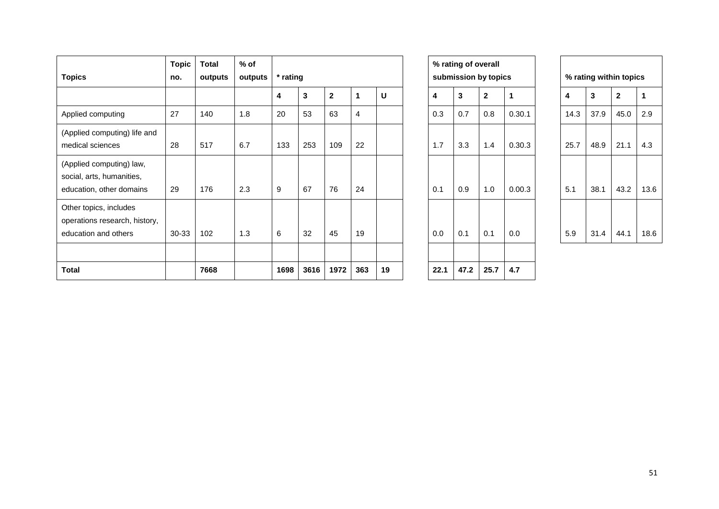| <b>Topics</b>                                                                     | <b>Topic</b><br>no. | <b>Total</b><br>outputs | $%$ of<br>outputs | * rating |      |              |     |    |      | % rating of overall | submission by topics |        |      | % rating within topics |              |      |
|-----------------------------------------------------------------------------------|---------------------|-------------------------|-------------------|----------|------|--------------|-----|----|------|---------------------|----------------------|--------|------|------------------------|--------------|------|
|                                                                                   |                     |                         |                   | 4        | 3    | $\mathbf{2}$ |     | U  | 4    | 3                   | $\mathbf 2$          | 1      | 4    | 3                      | $\mathbf{2}$ | 1    |
| Applied computing                                                                 | 27                  | 140                     | 1.8               | 20       | 53   | 63           | 4   |    | 0.3  | 0.7                 | 0.8                  | 0.30.1 | 14.3 | 37.9                   | 45.0         | 2.9  |
| (Applied computing) life and<br>medical sciences                                  | 28                  | 517                     | 6.7               | 133      | 253  | 109          | 22  |    | 1.7  | 3.3                 | 1.4                  | 0.30.3 | 25.7 | 48.9                   | 21.1         | 4.3  |
| (Applied computing) law,<br>social, arts, humanities,<br>education, other domains | 29                  | 176                     | 2.3               | 9        | 67   | 76           | 24  |    | 0.1  | 0.9                 | 1.0                  | 0.00.3 | 5.1  | 38.1                   | 43.2         | 13.6 |
| Other topics, includes<br>operations research, history,<br>education and others   | 30-33               | 102                     | 1.3               | 6        | 32   | 45           | 19  |    | 0.0  | 0.1                 | 0.1                  | 0.0    | 5.9  | 31.4                   | 44.1         | 18.6 |
| <b>Total</b>                                                                      |                     | 7668                    |                   | 1698     | 3616 | 1972         | 363 | 19 | 22.1 | 47.2                | 25.7                 | 4.7    |      |                        |              |      |

|      | % rating of overall<br>submission by topics |              |        |      | % rating within topics |              |   |
|------|---------------------------------------------|--------------|--------|------|------------------------|--------------|---|
| 4    | 3                                           | $\mathbf{2}$ | 1      | 4    | 3                      | $\mathbf{2}$ |   |
| 0.3  | 0.7                                         | 0.8          | 0.30.1 | 14.3 | 37.9                   | 45.0         | 2 |
| 1.7  | 3.3                                         | 1.4          | 0.30.3 | 25.7 | 48.9                   | 21.1         | 4 |
|      |                                             |              |        |      |                        |              |   |
| 0.1  | 0.9                                         | 1.0          | 0.00.3 | 5.1  | 38.1                   | 43.2         |   |
| 0.0  | 0.1                                         | 0.1          | 0.0    | 5.9  | 31.4                   | 44.1         |   |
|      |                                             |              |        |      |                        |              |   |
| 22.1 | 47.2                                        | 25.7         | 4.7    |      |                        |              |   |

| % rating within topics |      |                |      |  |  |  |  |  |  |
|------------------------|------|----------------|------|--|--|--|--|--|--|
| 4                      | 3    | $\overline{2}$ | 1    |  |  |  |  |  |  |
| 14.3                   | 37.9 | 45.0           | 2.9  |  |  |  |  |  |  |
| 25.7                   | 48.9 | 21.1           | 4.3  |  |  |  |  |  |  |
| 5.1                    | 38.1 | 43.2           | 13.6 |  |  |  |  |  |  |
| 5.9                    | 31.4 | 44.1           | 18.6 |  |  |  |  |  |  |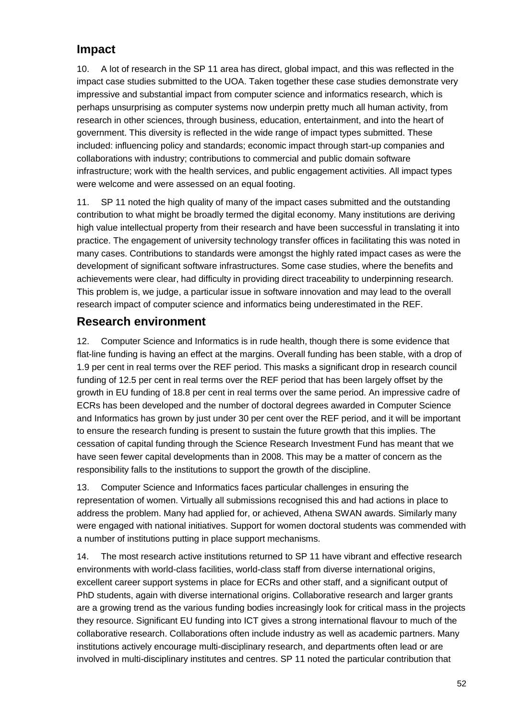### **Impact**

10. A lot of research in the SP 11 area has direct, global impact, and this was reflected in the impact case studies submitted to the UOA. Taken together these case studies demonstrate very impressive and substantial impact from computer science and informatics research, which is perhaps unsurprising as computer systems now underpin pretty much all human activity, from research in other sciences, through business, education, entertainment, and into the heart of government. This diversity is reflected in the wide range of impact types submitted. These included: influencing policy and standards; economic impact through start-up companies and collaborations with industry; contributions to commercial and public domain software infrastructure; work with the health services, and public engagement activities. All impact types were welcome and were assessed on an equal footing.

11. SP 11 noted the high quality of many of the impact cases submitted and the outstanding contribution to what might be broadly termed the digital economy. Many institutions are deriving high value intellectual property from their research and have been successful in translating it into practice. The engagement of university technology transfer offices in facilitating this was noted in many cases. Contributions to standards were amongst the highly rated impact cases as were the development of significant software infrastructures. Some case studies, where the benefits and achievements were clear, had difficulty in providing direct traceability to underpinning research. This problem is, we judge, a particular issue in software innovation and may lead to the overall research impact of computer science and informatics being underestimated in the REF.

### **Research environment**

12. Computer Science and Informatics is in rude health, though there is some evidence that flat-line funding is having an effect at the margins. Overall funding has been stable, with a drop of 1.9 per cent in real terms over the REF period. This masks a significant drop in research council funding of 12.5 per cent in real terms over the REF period that has been largely offset by the growth in EU funding of 18.8 per cent in real terms over the same period. An impressive cadre of ECRs has been developed and the number of doctoral degrees awarded in Computer Science and Informatics has grown by just under 30 per cent over the REF period, and it will be important to ensure the research funding is present to sustain the future growth that this implies. The cessation of capital funding through the Science Research Investment Fund has meant that we have seen fewer capital developments than in 2008. This may be a matter of concern as the responsibility falls to the institutions to support the growth of the discipline.

13. Computer Science and Informatics faces particular challenges in ensuring the representation of women. Virtually all submissions recognised this and had actions in place to address the problem. Many had applied for, or achieved, Athena SWAN awards. Similarly many were engaged with national initiatives. Support for women doctoral students was commended with a number of institutions putting in place support mechanisms.

14. The most research active institutions returned to SP 11 have vibrant and effective research environments with world-class facilities, world-class staff from diverse international origins, excellent career support systems in place for ECRs and other staff, and a significant output of PhD students, again with diverse international origins. Collaborative research and larger grants are a growing trend as the various funding bodies increasingly look for critical mass in the projects they resource. Significant EU funding into ICT gives a strong international flavour to much of the collaborative research. Collaborations often include industry as well as academic partners. Many institutions actively encourage multi-disciplinary research, and departments often lead or are involved in multi-disciplinary institutes and centres. SP 11 noted the particular contribution that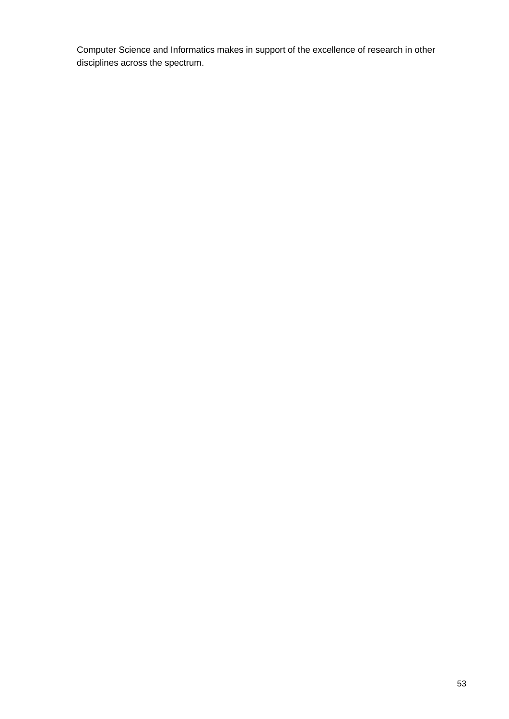Computer Science and Informatics makes in support of the excellence of research in other disciplines across the spectrum.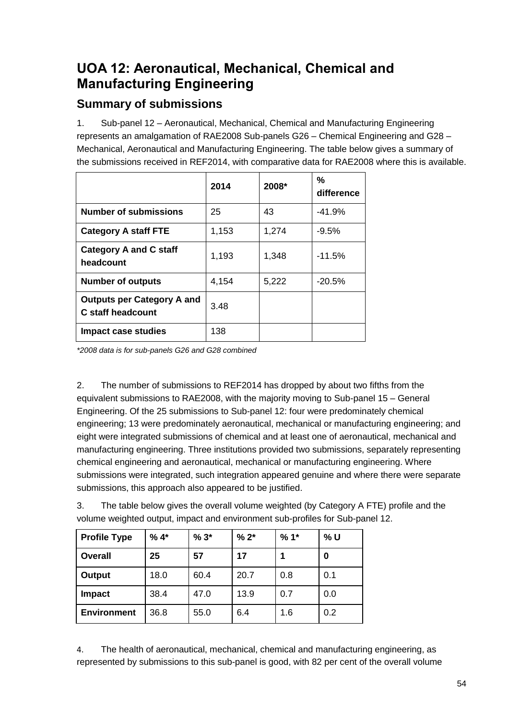# <span id="page-54-0"></span>**UOA 12: Aeronautical, Mechanical, Chemical and Manufacturing Engineering**

### **Summary of submissions**

1. Sub-panel 12 – Aeronautical, Mechanical, Chemical and Manufacturing Engineering represents an amalgamation of RAE2008 Sub-panels G26 – Chemical Engineering and G28 – Mechanical, Aeronautical and Manufacturing Engineering. The table below gives a summary of the submissions received in REF2014, with comparative data for RAE2008 where this is available.

|                                                               | 2014  | 2008* | %<br>difference |
|---------------------------------------------------------------|-------|-------|-----------------|
| <b>Number of submissions</b>                                  | 25    | 43    | $-41.9%$        |
| <b>Category A staff FTE</b>                                   | 1,153 | 1,274 | $-9.5\%$        |
| <b>Category A and C staff</b><br>headcount                    | 1,193 | 1,348 | $-11.5%$        |
| <b>Number of outputs</b>                                      | 4,154 | 5,222 | $-20.5%$        |
| <b>Outputs per Category A and</b><br><b>C</b> staff headcount | 3.48  |       |                 |
| Impact case studies                                           | 138   |       |                 |

*\*2008 data is for sub-panels G26 and G28 combined*

2. The number of submissions to REF2014 has dropped by about two fifths from the equivalent submissions to RAE2008, with the majority moving to Sub-panel 15 – General Engineering. Of the 25 submissions to Sub-panel 12: four were predominately chemical engineering; 13 were predominately aeronautical, mechanical or manufacturing engineering; and eight were integrated submissions of chemical and at least one of aeronautical, mechanical and manufacturing engineering. Three institutions provided two submissions, separately representing chemical engineering and aeronautical, mechanical or manufacturing engineering. Where submissions were integrated, such integration appeared genuine and where there were separate submissions, this approach also appeared to be justified.

3. The table below gives the overall volume weighted (by Category A FTE) profile and the volume weighted output, impact and environment sub-profiles for Sub-panel 12.

| <b>Profile Type</b> | $%4*$ | $%3*$ | $% 2*$ | $%1*$ | % U |
|---------------------|-------|-------|--------|-------|-----|
| Overall             | 25    | 57    | 17     |       | 0   |
| Output              | 18.0  | 60.4  | 20.7   | 0.8   | 0.1 |
| <b>Impact</b>       | 38.4  | 47.0  | 13.9   | 0.7   | 0.0 |
| <b>Environment</b>  | 36.8  | 55.0  | 6.4    | 1.6   | 0.2 |

4. The health of aeronautical, mechanical, chemical and manufacturing engineering, as represented by submissions to this sub-panel is good, with 82 per cent of the overall volume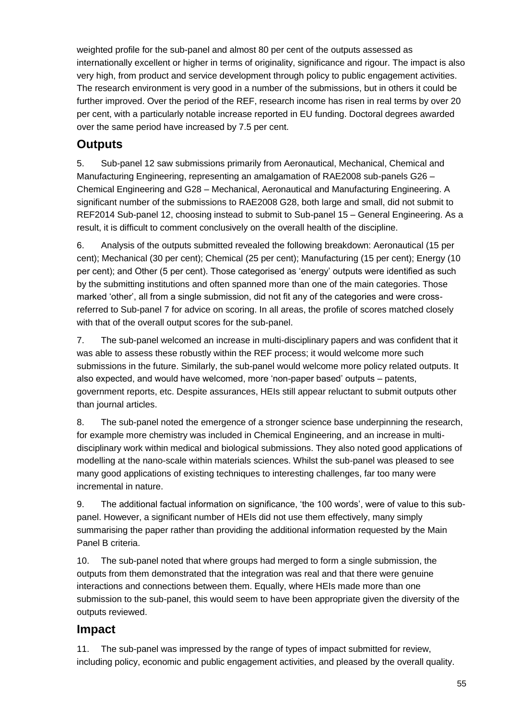weighted profile for the sub-panel and almost 80 per cent of the outputs assessed as internationally excellent or higher in terms of originality, significance and rigour. The impact is also very high, from product and service development through policy to public engagement activities. The research environment is very good in a number of the submissions, but in others it could be further improved. Over the period of the REF, research income has risen in real terms by over 20 per cent, with a particularly notable increase reported in EU funding. Doctoral degrees awarded over the same period have increased by 7.5 per cent.

### **Outputs**

5. Sub-panel 12 saw submissions primarily from Aeronautical, Mechanical, Chemical and Manufacturing Engineering, representing an amalgamation of RAE2008 sub-panels G26 – Chemical Engineering and G28 – Mechanical, Aeronautical and Manufacturing Engineering. A significant number of the submissions to RAE2008 G28, both large and small, did not submit to REF2014 Sub-panel 12, choosing instead to submit to Sub-panel 15 – General Engineering. As a result, it is difficult to comment conclusively on the overall health of the discipline.

6. Analysis of the outputs submitted revealed the following breakdown: Aeronautical (15 per cent); Mechanical (30 per cent); Chemical (25 per cent); Manufacturing (15 per cent); Energy (10 per cent); and Other (5 per cent). Those categorised as 'energy' outputs were identified as such by the submitting institutions and often spanned more than one of the main categories. Those marked 'other', all from a single submission, did not fit any of the categories and were crossreferred to Sub-panel 7 for advice on scoring. In all areas, the profile of scores matched closely with that of the overall output scores for the sub-panel.

7. The sub-panel welcomed an increase in multi-disciplinary papers and was confident that it was able to assess these robustly within the REF process; it would welcome more such submissions in the future. Similarly, the sub-panel would welcome more policy related outputs. It also expected, and would have welcomed, more 'non-paper based' outputs – patents, government reports, etc. Despite assurances, HEIs still appear reluctant to submit outputs other than journal articles.

8. The sub-panel noted the emergence of a stronger science base underpinning the research, for example more chemistry was included in Chemical Engineering, and an increase in multidisciplinary work within medical and biological submissions. They also noted good applications of modelling at the nano-scale within materials sciences. Whilst the sub-panel was pleased to see many good applications of existing techniques to interesting challenges, far too many were incremental in nature.

9. The additional factual information on significance, 'the 100 words', were of value to this subpanel. However, a significant number of HEIs did not use them effectively, many simply summarising the paper rather than providing the additional information requested by the Main Panel B criteria.

10. The sub-panel noted that where groups had merged to form a single submission, the outputs from them demonstrated that the integration was real and that there were genuine interactions and connections between them. Equally, where HEIs made more than one submission to the sub-panel, this would seem to have been appropriate given the diversity of the outputs reviewed.

### **Impact**

11. The sub-panel was impressed by the range of types of impact submitted for review, including policy, economic and public engagement activities, and pleased by the overall quality.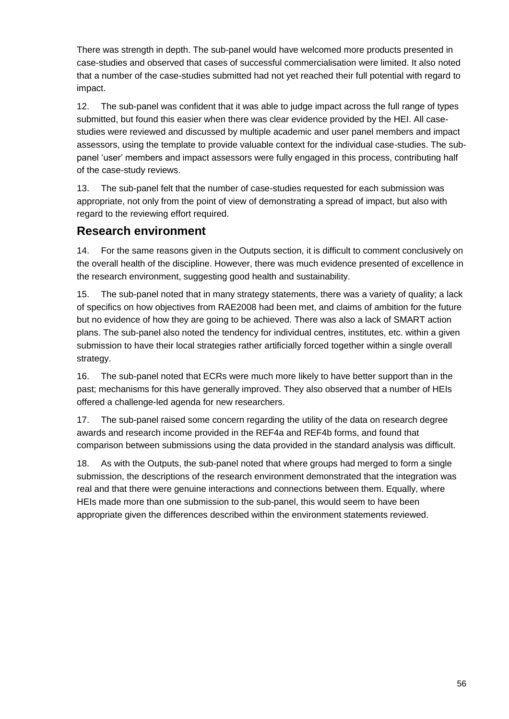There was strength in depth. The sub-panel would have welcomed more products presented in case-studies and observed that cases of successful commercialisation were limited. It also noted that a number of the case-studies submitted had not yet reached their full potential with regard to impact.

12. The sub-panel was confident that it was able to judge impact across the full range of types submitted, but found this easier when there was clear evidence provided by the HEI. All casestudies were reviewed and discussed by multiple academic and user panel members and impact assessors, using the template to provide valuable context for the individual case-studies. The subpanel 'user' members and impact assessors were fully engaged in this process, contributing half of the case-study reviews.

13. The sub-panel felt that the number of case-studies requested for each submission was appropriate, not only from the point of view of demonstrating a spread of impact, but also with regard to the reviewing effort required.

### **Research environment**

14. For the same reasons given in the Outputs section, it is difficult to comment conclusively on the overall health of the discipline. However, there was much evidence presented of excellence in the research environment, suggesting good health and sustainability.

15. The sub-panel noted that in many strategy statements, there was a variety of quality; a lack of specifics on how objectives from RAE2008 had been met, and claims of ambition for the future but no evidence of how they are going to be achieved. There was also a lack of SMART action plans. The sub-panel also noted the tendency for individual centres, institutes, etc. within a given submission to have their local strategies rather artificially forced together within a single overall strategy.

16. The sub-panel noted that ECRs were much more likely to have better support than in the past; mechanisms for this have generally improved. They also observed that a number of HEIs offered a challenge-led agenda for new researchers.

17. The sub-panel raised some concern regarding the utility of the data on research degree awards and research income provided in the REF4a and REF4b forms, and found that comparison between submissions using the data provided in the standard analysis was difficult.

18. As with the Outputs, the sub-panel noted that where groups had merged to form a single submission, the descriptions of the research environment demonstrated that the integration was real and that there were genuine interactions and connections between them. Equally, where HEIs made more than one submission to the sub-panel, this would seem to have been appropriate given the differences described within the environment statements reviewed.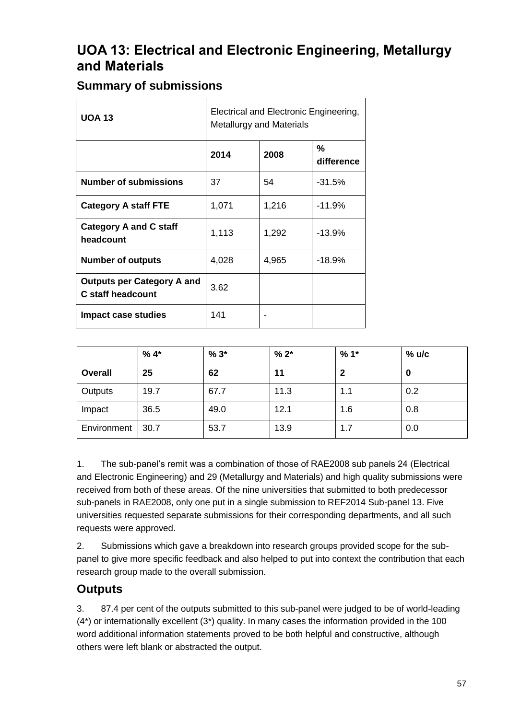## <span id="page-57-0"></span>**UOA 13: Electrical and Electronic Engineering, Metallurgy and Materials**

### **Summary of submissions**

| <b>UOA 13</b>                                                 | Electrical and Electronic Engineering,<br><b>Metallurgy and Materials</b> |       |                 |  |  |  |  |
|---------------------------------------------------------------|---------------------------------------------------------------------------|-------|-----------------|--|--|--|--|
|                                                               | 2014                                                                      | 2008  | %<br>difference |  |  |  |  |
| <b>Number of submissions</b>                                  | 37                                                                        | 54    | $-31.5%$        |  |  |  |  |
| <b>Category A staff FTE</b>                                   | 1,071                                                                     | 1,216 | $-11.9%$        |  |  |  |  |
| <b>Category A and C staff</b><br>headcount                    | 1,113                                                                     | 1,292 | $-13.9%$        |  |  |  |  |
| <b>Number of outputs</b>                                      | 4,028                                                                     | 4,965 | $-18.9\%$       |  |  |  |  |
| <b>Outputs per Category A and</b><br><b>C</b> staff headcount | 3.62                                                                      |       |                 |  |  |  |  |
| Impact case studies                                           | 141                                                                       |       |                 |  |  |  |  |

|                | $%4*$ | $%3*$ | $% 2*$ | $%1*$ | % ulc |
|----------------|-------|-------|--------|-------|-------|
| <b>Overall</b> | 25    | 62    | 11     | 2     | 0     |
| Outputs        | 19.7  | 67.7  | 11.3   | 1.1   | 0.2   |
| Impact         | 36.5  | 49.0  | 12.1   | 1.6   | 0.8   |
| Environment    | 30.7  | 53.7  | 13.9   | 1.7   | 0.0   |

1. The sub-panel's remit was a combination of those of RAE2008 sub panels 24 (Electrical and Electronic Engineering) and 29 (Metallurgy and Materials) and high quality submissions were received from both of these areas. Of the nine universities that submitted to both predecessor sub-panels in RAE2008, only one put in a single submission to REF2014 Sub-panel 13. Five universities requested separate submissions for their corresponding departments, and all such requests were approved.

2. Submissions which gave a breakdown into research groups provided scope for the subpanel to give more specific feedback and also helped to put into context the contribution that each research group made to the overall submission.

### **Outputs**

3. 87.4 per cent of the outputs submitted to this sub-panel were judged to be of world-leading (4\*) or internationally excellent (3\*) quality. In many cases the information provided in the 100 word additional information statements proved to be both helpful and constructive, although others were left blank or abstracted the output.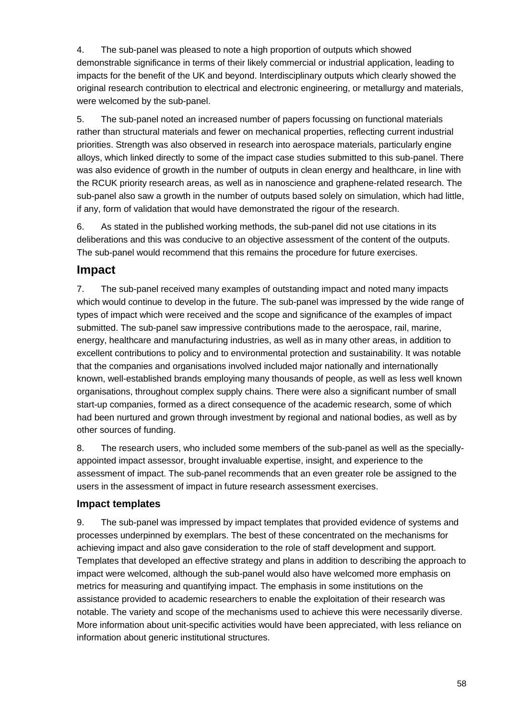4. The sub-panel was pleased to note a high proportion of outputs which showed demonstrable significance in terms of their likely commercial or industrial application, leading to impacts for the benefit of the UK and beyond. Interdisciplinary outputs which clearly showed the original research contribution to electrical and electronic engineering, or metallurgy and materials, were welcomed by the sub-panel.

5. The sub-panel noted an increased number of papers focussing on functional materials rather than structural materials and fewer on mechanical properties, reflecting current industrial priorities. Strength was also observed in research into aerospace materials, particularly engine alloys, which linked directly to some of the impact case studies submitted to this sub-panel. There was also evidence of growth in the number of outputs in clean energy and healthcare, in line with the RCUK priority research areas, as well as in nanoscience and graphene-related research. The sub-panel also saw a growth in the number of outputs based solely on simulation, which had little, if any, form of validation that would have demonstrated the rigour of the research.

6. As stated in the published working methods, the sub-panel did not use citations in its deliberations and this was conducive to an objective assessment of the content of the outputs. The sub-panel would recommend that this remains the procedure for future exercises.

### **Impact**

7. The sub-panel received many examples of outstanding impact and noted many impacts which would continue to develop in the future. The sub-panel was impressed by the wide range of types of impact which were received and the scope and significance of the examples of impact submitted. The sub-panel saw impressive contributions made to the aerospace, rail, marine, energy, healthcare and manufacturing industries, as well as in many other areas, in addition to excellent contributions to policy and to environmental protection and sustainability. It was notable that the companies and organisations involved included major nationally and internationally known, well-established brands employing many thousands of people, as well as less well known organisations, throughout complex supply chains. There were also a significant number of small start-up companies, formed as a direct consequence of the academic research, some of which had been nurtured and grown through investment by regional and national bodies, as well as by other sources of funding.

8. The research users, who included some members of the sub-panel as well as the speciallyappointed impact assessor, brought invaluable expertise, insight, and experience to the assessment of impact. The sub-panel recommends that an even greater role be assigned to the users in the assessment of impact in future research assessment exercises.

#### **Impact templates**

9. The sub-panel was impressed by impact templates that provided evidence of systems and processes underpinned by exemplars. The best of these concentrated on the mechanisms for achieving impact and also gave consideration to the role of staff development and support. Templates that developed an effective strategy and plans in addition to describing the approach to impact were welcomed, although the sub-panel would also have welcomed more emphasis on metrics for measuring and quantifying impact. The emphasis in some institutions on the assistance provided to academic researchers to enable the exploitation of their research was notable. The variety and scope of the mechanisms used to achieve this were necessarily diverse. More information about unit-specific activities would have been appreciated, with less reliance on information about generic institutional structures.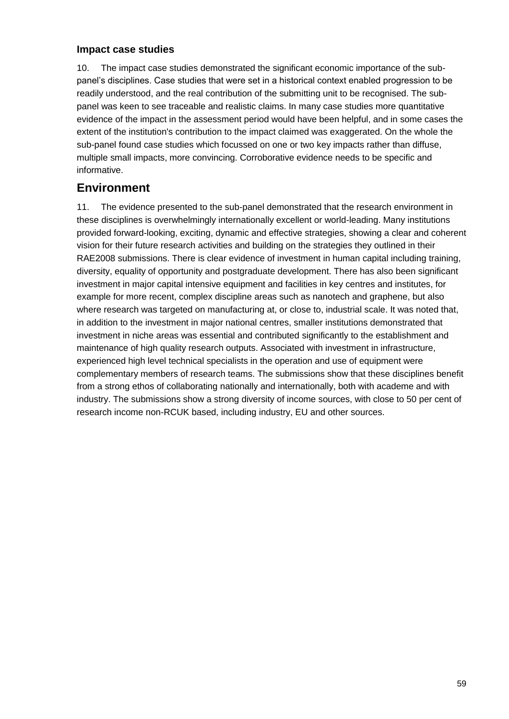#### **Impact case studies**

10. The impact case studies demonstrated the significant economic importance of the subpanel's disciplines. Case studies that were set in a historical context enabled progression to be readily understood, and the real contribution of the submitting unit to be recognised. The subpanel was keen to see traceable and realistic claims. In many case studies more quantitative evidence of the impact in the assessment period would have been helpful, and in some cases the extent of the institution's contribution to the impact claimed was exaggerated. On the whole the sub-panel found case studies which focussed on one or two key impacts rather than diffuse, multiple small impacts, more convincing. Corroborative evidence needs to be specific and informative.

### **Environment**

11. The evidence presented to the sub-panel demonstrated that the research environment in these disciplines is overwhelmingly internationally excellent or world-leading. Many institutions provided forward-looking, exciting, dynamic and effective strategies, showing a clear and coherent vision for their future research activities and building on the strategies they outlined in their RAE2008 submissions. There is clear evidence of investment in human capital including training, diversity, equality of opportunity and postgraduate development. There has also been significant investment in major capital intensive equipment and facilities in key centres and institutes, for example for more recent, complex discipline areas such as nanotech and graphene, but also where research was targeted on manufacturing at, or close to, industrial scale. It was noted that, in addition to the investment in major national centres, smaller institutions demonstrated that investment in niche areas was essential and contributed significantly to the establishment and maintenance of high quality research outputs. Associated with investment in infrastructure, experienced high level technical specialists in the operation and use of equipment were complementary members of research teams. The submissions show that these disciplines benefit from a strong ethos of collaborating nationally and internationally, both with academe and with industry. The submissions show a strong diversity of income sources, with close to 50 per cent of research income non-RCUK based, including industry, EU and other sources.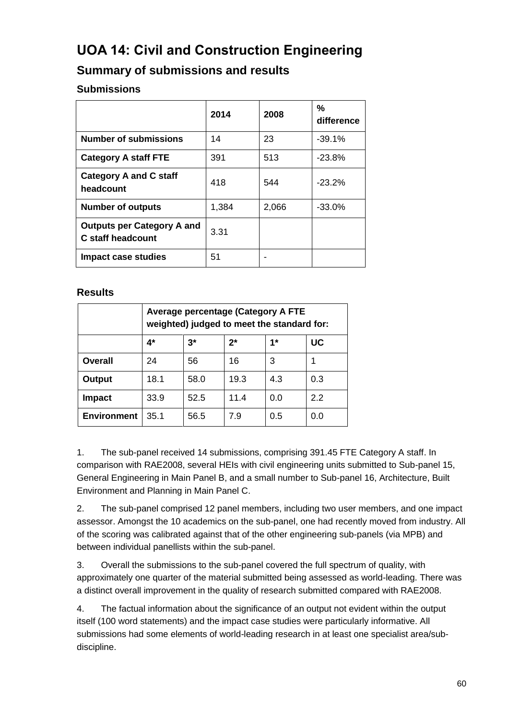# <span id="page-60-0"></span>**UOA 14: Civil and Construction Engineering**

### **Summary of submissions and results**

#### **Submissions**

|                                                        | 2014  | 2008  | %<br>difference |
|--------------------------------------------------------|-------|-------|-----------------|
| <b>Number of submissions</b>                           | 14    | 23    | $-39.1%$        |
| <b>Category A staff FTE</b>                            | 391   | 513   | $-23.8\%$       |
| <b>Category A and C staff</b><br>headcount             | 418   | 544   | $-23.2%$        |
| <b>Number of outputs</b>                               | 1,384 | 2,066 | $-33.0%$        |
| <b>Outputs per Category A and</b><br>C staff headcount | 3.31  |       |                 |
| Impact case studies                                    | 51    |       |                 |

#### **Results**

|                    | <b>Average percentage (Category A FTE</b><br>weighted) judged to meet the standard for: |       |       |     |     |  |  |
|--------------------|-----------------------------------------------------------------------------------------|-------|-------|-----|-----|--|--|
|                    | 4*                                                                                      | $3^*$ | $2^*$ | 1*  | UC  |  |  |
| Overall            | 24                                                                                      | 56    | 16    | 3   |     |  |  |
| Output             | 18.1                                                                                    | 58.0  | 19.3  | 4.3 | 0.3 |  |  |
| <b>Impact</b>      | 33.9                                                                                    | 52.5  | 11.4  | 0.0 | 2.2 |  |  |
| <b>Environment</b> | 35.1                                                                                    | 56.5  | 7.9   | 0.5 | 0.0 |  |  |

1. The sub-panel received 14 submissions, comprising 391.45 FTE Category A staff. In comparison with RAE2008, several HEIs with civil engineering units submitted to Sub-panel 15, General Engineering in Main Panel B, and a small number to Sub-panel 16, Architecture, Built Environment and Planning in Main Panel C.

2. The sub-panel comprised 12 panel members, including two user members, and one impact assessor. Amongst the 10 academics on the sub-panel, one had recently moved from industry. All of the scoring was calibrated against that of the other engineering sub-panels (via MPB) and between individual panellists within the sub-panel.

3. Overall the submissions to the sub-panel covered the full spectrum of quality, with approximately one quarter of the material submitted being assessed as world-leading. There was a distinct overall improvement in the quality of research submitted compared with RAE2008.

4. The factual information about the significance of an output not evident within the output itself (100 word statements) and the impact case studies were particularly informative. All submissions had some elements of world-leading research in at least one specialist area/subdiscipline.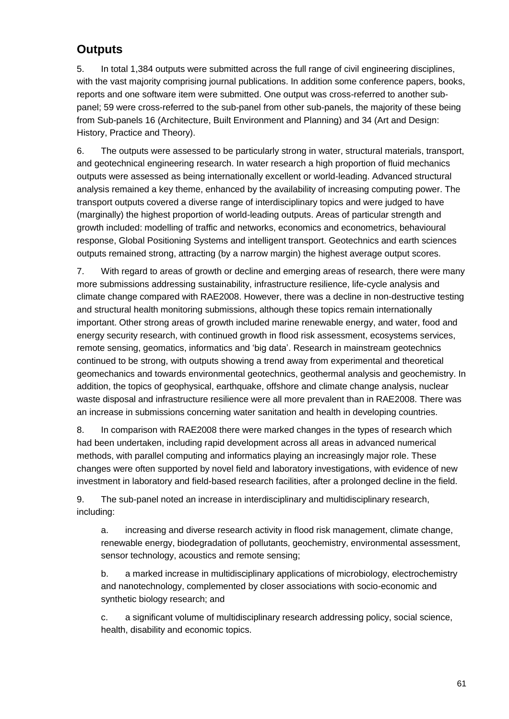### **Outputs**

5. In total 1,384 outputs were submitted across the full range of civil engineering disciplines, with the vast majority comprising journal publications. In addition some conference papers, books, reports and one software item were submitted. One output was cross-referred to another subpanel; 59 were cross-referred to the sub-panel from other sub-panels, the majority of these being from Sub-panels 16 (Architecture, Built Environment and Planning) and 34 (Art and Design: History, Practice and Theory).

6. The outputs were assessed to be particularly strong in water, structural materials, transport, and geotechnical engineering research. In water research a high proportion of fluid mechanics outputs were assessed as being internationally excellent or world-leading. Advanced structural analysis remained a key theme, enhanced by the availability of increasing computing power. The transport outputs covered a diverse range of interdisciplinary topics and were judged to have (marginally) the highest proportion of world-leading outputs. Areas of particular strength and growth included: modelling of traffic and networks, economics and econometrics, behavioural response, Global Positioning Systems and intelligent transport. Geotechnics and earth sciences outputs remained strong, attracting (by a narrow margin) the highest average output scores.

7. With regard to areas of growth or decline and emerging areas of research, there were many more submissions addressing sustainability, infrastructure resilience, life-cycle analysis and climate change compared with RAE2008. However, there was a decline in non-destructive testing and structural health monitoring submissions, although these topics remain internationally important. Other strong areas of growth included marine renewable energy, and water, food and energy security research, with continued growth in flood risk assessment, ecosystems services, remote sensing, geomatics, informatics and 'big data'. Research in mainstream geotechnics continued to be strong, with outputs showing a trend away from experimental and theoretical geomechanics and towards environmental geotechnics, geothermal analysis and geochemistry. In addition, the topics of geophysical, earthquake, offshore and climate change analysis, nuclear waste disposal and infrastructure resilience were all more prevalent than in RAE2008. There was an increase in submissions concerning water sanitation and health in developing countries.

8. In comparison with RAE2008 there were marked changes in the types of research which had been undertaken, including rapid development across all areas in advanced numerical methods, with parallel computing and informatics playing an increasingly major role. These changes were often supported by novel field and laboratory investigations, with evidence of new investment in laboratory and field-based research facilities, after a prolonged decline in the field.

9. The sub-panel noted an increase in interdisciplinary and multidisciplinary research, including:

a. increasing and diverse research activity in flood risk management, climate change, renewable energy, biodegradation of pollutants, geochemistry, environmental assessment, sensor technology, acoustics and remote sensing;

b. a marked increase in multidisciplinary applications of microbiology, electrochemistry and nanotechnology, complemented by closer associations with socio-economic and synthetic biology research; and

c. a significant volume of multidisciplinary research addressing policy, social science, health, disability and economic topics.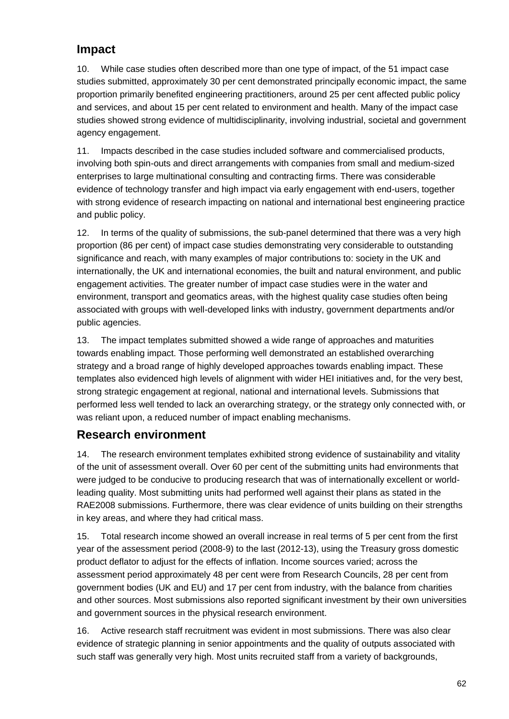### **Impact**

10. While case studies often described more than one type of impact, of the 51 impact case studies submitted, approximately 30 per cent demonstrated principally economic impact, the same proportion primarily benefited engineering practitioners, around 25 per cent affected public policy and services, and about 15 per cent related to environment and health. Many of the impact case studies showed strong evidence of multidisciplinarity, involving industrial, societal and government agency engagement.

11. Impacts described in the case studies included software and commercialised products, involving both spin-outs and direct arrangements with companies from small and medium-sized enterprises to large multinational consulting and contracting firms. There was considerable evidence of technology transfer and high impact via early engagement with end-users, together with strong evidence of research impacting on national and international best engineering practice and public policy.

12. In terms of the quality of submissions, the sub-panel determined that there was a very high proportion (86 per cent) of impact case studies demonstrating very considerable to outstanding significance and reach, with many examples of major contributions to: society in the UK and internationally, the UK and international economies, the built and natural environment, and public engagement activities. The greater number of impact case studies were in the water and environment, transport and geomatics areas, with the highest quality case studies often being associated with groups with well-developed links with industry, government departments and/or public agencies.

13. The impact templates submitted showed a wide range of approaches and maturities towards enabling impact. Those performing well demonstrated an established overarching strategy and a broad range of highly developed approaches towards enabling impact. These templates also evidenced high levels of alignment with wider HEI initiatives and, for the very best, strong strategic engagement at regional, national and international levels. Submissions that performed less well tended to lack an overarching strategy, or the strategy only connected with, or was reliant upon, a reduced number of impact enabling mechanisms.

### **Research environment**

14. The research environment templates exhibited strong evidence of sustainability and vitality of the unit of assessment overall. Over 60 per cent of the submitting units had environments that were judged to be conducive to producing research that was of internationally excellent or worldleading quality. Most submitting units had performed well against their plans as stated in the RAE2008 submissions. Furthermore, there was clear evidence of units building on their strengths in key areas, and where they had critical mass.

15. Total research income showed an overall increase in real terms of 5 per cent from the first year of the assessment period (2008-9) to the last (2012-13), using the Treasury gross domestic product deflator to adjust for the effects of inflation. Income sources varied; across the assessment period approximately 48 per cent were from Research Councils, 28 per cent from government bodies (UK and EU) and 17 per cent from industry, with the balance from charities and other sources. Most submissions also reported significant investment by their own universities and government sources in the physical research environment.

16. Active research staff recruitment was evident in most submissions. There was also clear evidence of strategic planning in senior appointments and the quality of outputs associated with such staff was generally very high. Most units recruited staff from a variety of backgrounds,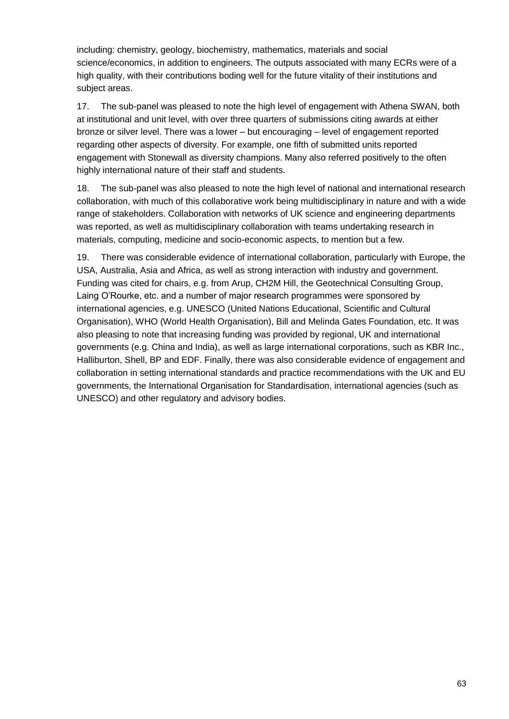including: chemistry, geology, biochemistry, mathematics, materials and social science/economics, in addition to engineers. The outputs associated with many ECRs were of a high quality, with their contributions boding well for the future vitality of their institutions and subject areas.

17. The sub-panel was pleased to note the high level of engagement with Athena SWAN, both at institutional and unit level, with over three quarters of submissions citing awards at either bronze or silver level. There was a lower – but encouraging – level of engagement reported regarding other aspects of diversity. For example, one fifth of submitted units reported engagement with Stonewall as diversity champions. Many also referred positively to the often highly international nature of their staff and students.

18. The sub-panel was also pleased to note the high level of national and international research collaboration, with much of this collaborative work being multidisciplinary in nature and with a wide range of stakeholders. Collaboration with networks of UK science and engineering departments was reported, as well as multidisciplinary collaboration with teams undertaking research in materials, computing, medicine and socio-economic aspects, to mention but a few.

19. There was considerable evidence of international collaboration, particularly with Europe, the USA, Australia, Asia and Africa, as well as strong interaction with industry and government. Funding was cited for chairs, e.g. from Arup, CH2M Hill, the Geotechnical Consulting Group, Laing O'Rourke, etc. and a number of major research programmes were sponsored by international agencies, e.g. UNESCO (United Nations Educational, Scientific and Cultural Organisation), WHO (World Health Organisation), Bill and Melinda Gates Foundation, etc. It was also pleasing to note that increasing funding was provided by regional, UK and international governments (e.g. China and India), as well as large international corporations, such as KBR Inc., Halliburton, Shell, BP and EDF. Finally, there was also considerable evidence of engagement and collaboration in setting international standards and practice recommendations with the UK and EU governments, the International Organisation for Standardisation, international agencies (such as UNESCO) and other regulatory and advisory bodies.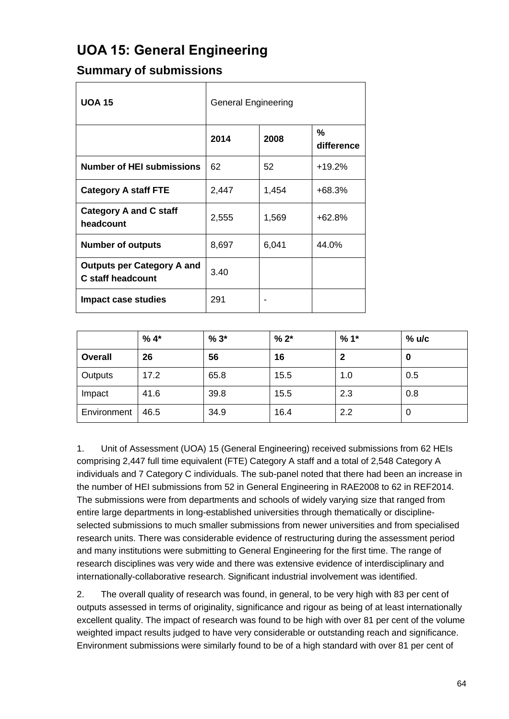# <span id="page-64-0"></span>**UOA 15: General Engineering**

### **Summary of submissions**

| <b>UOA 15</b>                                                 | <b>General Engineering</b> |       |                 |
|---------------------------------------------------------------|----------------------------|-------|-----------------|
|                                                               | 2014                       | 2008  | %<br>difference |
| <b>Number of HEI submissions</b>                              | 62                         | 52    | $+19.2%$        |
| <b>Category A staff FTE</b>                                   | 2,447                      | 1,454 | +68.3%          |
| <b>Category A and C staff</b><br>headcount                    | 2,555                      | 1,569 | $+62.8%$        |
| <b>Number of outputs</b>                                      | 8,697                      | 6,041 | 44.0%           |
| <b>Outputs per Category A and</b><br><b>C</b> staff headcount | 3.40                       |       |                 |
| Impact case studies                                           | 291                        |       |                 |

|                | $%4*$ | $%3*$ | $% 2*$ | $%1*$ | $%$ u/c |
|----------------|-------|-------|--------|-------|---------|
| <b>Overall</b> | 26    | 56    | 16     | 2     | 0       |
| Outputs        | 17.2  | 65.8  | 15.5   | 1.0   | 0.5     |
| Impact         | 41.6  | 39.8  | 15.5   | 2.3   | 0.8     |
| Environment    | 46.5  | 34.9  | 16.4   | 2.2   | 0       |

1. Unit of Assessment (UOA) 15 (General Engineering) received submissions from 62 HEIs comprising 2,447 full time equivalent (FTE) Category A staff and a total of 2,548 Category A individuals and 7 Category C individuals. The sub-panel noted that there had been an increase in the number of HEI submissions from 52 in General Engineering in RAE2008 to 62 in REF2014. The submissions were from departments and schools of widely varying size that ranged from entire large departments in long-established universities through thematically or disciplineselected submissions to much smaller submissions from newer universities and from specialised research units. There was considerable evidence of restructuring during the assessment period and many institutions were submitting to General Engineering for the first time. The range of research disciplines was very wide and there was extensive evidence of interdisciplinary and internationally-collaborative research. Significant industrial involvement was identified.

2. The overall quality of research was found, in general, to be very high with 83 per cent of outputs assessed in terms of originality, significance and rigour as being of at least internationally excellent quality. The impact of research was found to be high with over 81 per cent of the volume weighted impact results judged to have very considerable or outstanding reach and significance. Environment submissions were similarly found to be of a high standard with over 81 per cent of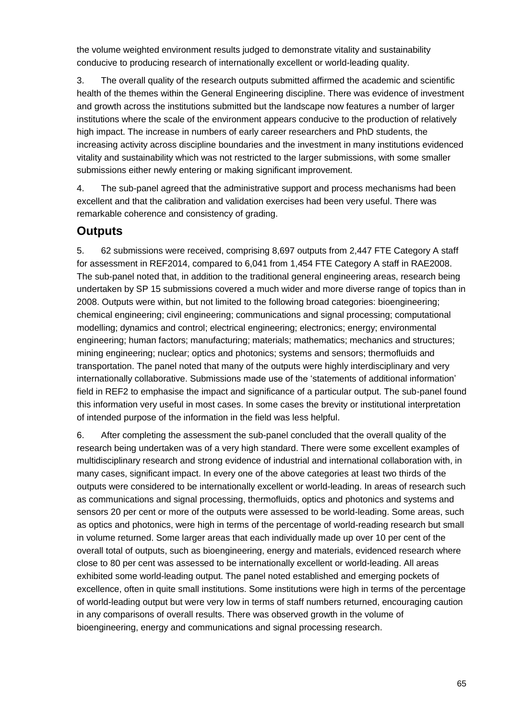the volume weighted environment results judged to demonstrate vitality and sustainability conducive to producing research of internationally excellent or world-leading quality.

3. The overall quality of the research outputs submitted affirmed the academic and scientific health of the themes within the General Engineering discipline. There was evidence of investment and growth across the institutions submitted but the landscape now features a number of larger institutions where the scale of the environment appears conducive to the production of relatively high impact. The increase in numbers of early career researchers and PhD students, the increasing activity across discipline boundaries and the investment in many institutions evidenced vitality and sustainability which was not restricted to the larger submissions, with some smaller submissions either newly entering or making significant improvement.

4. The sub-panel agreed that the administrative support and process mechanisms had been excellent and that the calibration and validation exercises had been very useful. There was remarkable coherence and consistency of grading.

### **Outputs**

5. 62 submissions were received, comprising 8,697 outputs from 2,447 FTE Category A staff for assessment in REF2014, compared to 6,041 from 1,454 FTE Category A staff in RAE2008. The sub-panel noted that, in addition to the traditional general engineering areas, research being undertaken by SP 15 submissions covered a much wider and more diverse range of topics than in 2008. Outputs were within, but not limited to the following broad categories: bioengineering; chemical engineering; civil engineering; communications and signal processing; computational modelling; dynamics and control; electrical engineering; electronics; energy; environmental engineering; human factors; manufacturing; materials; mathematics; mechanics and structures; mining engineering; nuclear; optics and photonics; systems and sensors; thermofluids and transportation. The panel noted that many of the outputs were highly interdisciplinary and very internationally collaborative. Submissions made use of the 'statements of additional information' field in REF2 to emphasise the impact and significance of a particular output. The sub-panel found this information very useful in most cases. In some cases the brevity or institutional interpretation of intended purpose of the information in the field was less helpful.

6. After completing the assessment the sub-panel concluded that the overall quality of the research being undertaken was of a very high standard. There were some excellent examples of multidisciplinary research and strong evidence of industrial and international collaboration with, in many cases, significant impact. In every one of the above categories at least two thirds of the outputs were considered to be internationally excellent or world-leading. In areas of research such as communications and signal processing, thermofluids, optics and photonics and systems and sensors 20 per cent or more of the outputs were assessed to be world-leading. Some areas, such as optics and photonics, were high in terms of the percentage of world-reading research but small in volume returned. Some larger areas that each individually made up over 10 per cent of the overall total of outputs, such as bioengineering, energy and materials, evidenced research where close to 80 per cent was assessed to be internationally excellent or world-leading. All areas exhibited some world-leading output. The panel noted established and emerging pockets of excellence, often in quite small institutions. Some institutions were high in terms of the percentage of world-leading output but were very low in terms of staff numbers returned, encouraging caution in any comparisons of overall results. There was observed growth in the volume of bioengineering, energy and communications and signal processing research.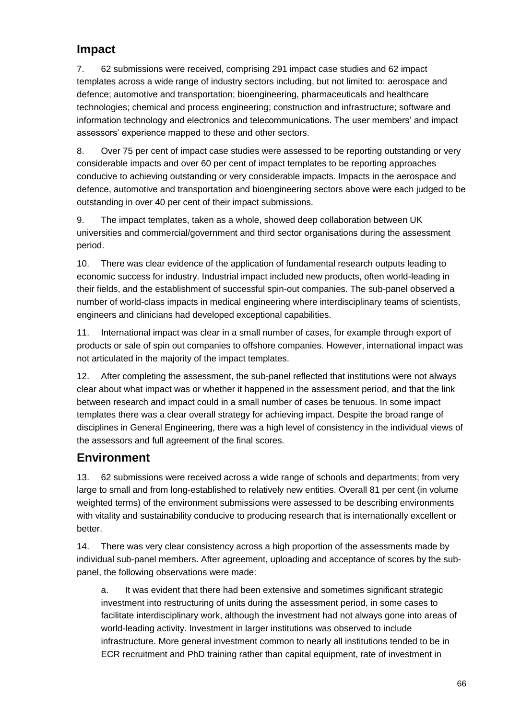### **Impact**

7. 62 submissions were received, comprising 291 impact case studies and 62 impact templates across a wide range of industry sectors including, but not limited to: aerospace and defence; automotive and transportation; bioengineering, pharmaceuticals and healthcare technologies; chemical and process engineering; construction and infrastructure; software and information technology and electronics and telecommunications. The user members' and impact assessors' experience mapped to these and other sectors.

8. Over 75 per cent of impact case studies were assessed to be reporting outstanding or very considerable impacts and over 60 per cent of impact templates to be reporting approaches conducive to achieving outstanding or very considerable impacts. Impacts in the aerospace and defence, automotive and transportation and bioengineering sectors above were each judged to be outstanding in over 40 per cent of their impact submissions.

9. The impact templates, taken as a whole, showed deep collaboration between UK universities and commercial/government and third sector organisations during the assessment period.

10. There was clear evidence of the application of fundamental research outputs leading to economic success for industry. Industrial impact included new products, often world-leading in their fields, and the establishment of successful spin-out companies. The sub-panel observed a number of world-class impacts in medical engineering where interdisciplinary teams of scientists, engineers and clinicians had developed exceptional capabilities.

11. International impact was clear in a small number of cases, for example through export of products or sale of spin out companies to offshore companies. However, international impact was not articulated in the majority of the impact templates.

12. After completing the assessment, the sub-panel reflected that institutions were not always clear about what impact was or whether it happened in the assessment period, and that the link between research and impact could in a small number of cases be tenuous. In some impact templates there was a clear overall strategy for achieving impact. Despite the broad range of disciplines in General Engineering, there was a high level of consistency in the individual views of the assessors and full agreement of the final scores.

### **Environment**

13. 62 submissions were received across a wide range of schools and departments; from very large to small and from long-established to relatively new entities. Overall 81 per cent (in volume weighted terms) of the environment submissions were assessed to be describing environments with vitality and sustainability conducive to producing research that is internationally excellent or better.

14. There was very clear consistency across a high proportion of the assessments made by individual sub-panel members. After agreement, uploading and acceptance of scores by the subpanel, the following observations were made:

a. It was evident that there had been extensive and sometimes significant strategic investment into restructuring of units during the assessment period, in some cases to facilitate interdisciplinary work, although the investment had not always gone into areas of world-leading activity. Investment in larger institutions was observed to include infrastructure. More general investment common to nearly all institutions tended to be in ECR recruitment and PhD training rather than capital equipment, rate of investment in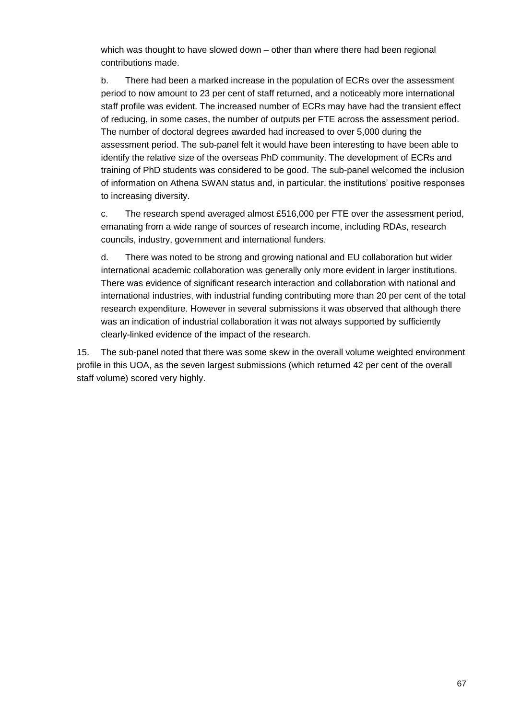which was thought to have slowed down – other than where there had been regional contributions made.

b. There had been a marked increase in the population of ECRs over the assessment period to now amount to 23 per cent of staff returned, and a noticeably more international staff profile was evident. The increased number of ECRs may have had the transient effect of reducing, in some cases, the number of outputs per FTE across the assessment period. The number of doctoral degrees awarded had increased to over 5,000 during the assessment period. The sub-panel felt it would have been interesting to have been able to identify the relative size of the overseas PhD community. The development of ECRs and training of PhD students was considered to be good. The sub-panel welcomed the inclusion of information on Athena SWAN status and, in particular, the institutions' positive responses to increasing diversity.

c. The research spend averaged almost £516,000 per FTE over the assessment period, emanating from a wide range of sources of research income, including RDAs, research councils, industry, government and international funders.

d. There was noted to be strong and growing national and EU collaboration but wider international academic collaboration was generally only more evident in larger institutions. There was evidence of significant research interaction and collaboration with national and international industries, with industrial funding contributing more than 20 per cent of the total research expenditure. However in several submissions it was observed that although there was an indication of industrial collaboration it was not always supported by sufficiently clearly-linked evidence of the impact of the research.

15. The sub-panel noted that there was some skew in the overall volume weighted environment profile in this UOA, as the seven largest submissions (which returned 42 per cent of the overall staff volume) scored very highly.